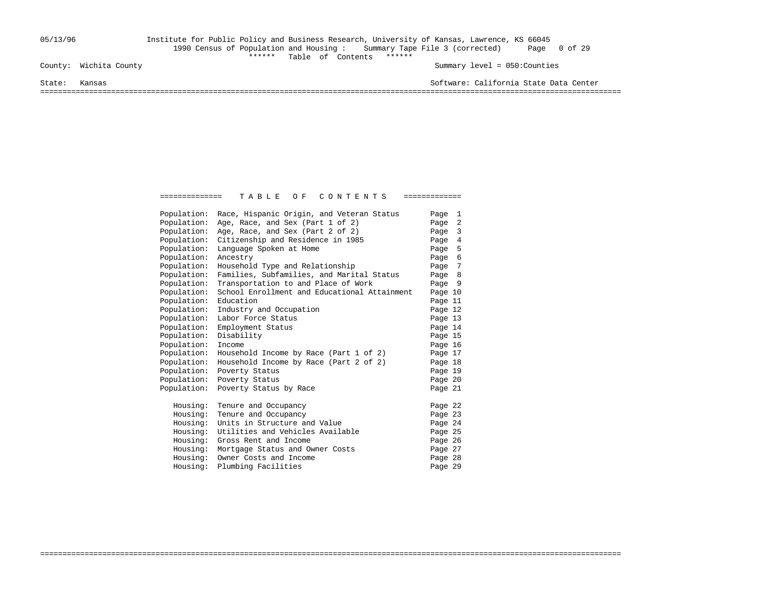## 05/13/96 Institute for Public Policy and Business Research, University of Kansas, Lawrence, KS 66045 1990 Census of Population and Housing : Summary Tape File 3 (corrected) Page 0 of 29 \*\*\*\*\*\* Table of Contents \*\*\*\*\*\*

Summary level = 050:Counties

State: Kansas Software: California State Data Center

===================================================================================================================================

| Population:          | Race, Hispanic Origin, and Veteran Status            | Page 1  |  |
|----------------------|------------------------------------------------------|---------|--|
| Population:          | Age, Race, and Sex (Part 1 of 2)                     | Page 2  |  |
| Population:          | Age, Race, and Sex (Part 2 of 2)                     | Page 3  |  |
| Population:          | Citizenship and Residence in 1985                    | Page 4  |  |
| Population:          | Language Spoken at Home                              | Page 5  |  |
| Population:          | Ancestry                                             | Page 6  |  |
| Population:          | Household Type and Relationship                      | Page 7  |  |
| Population:          | Families, Subfamilies, and Marital Status            | Page 8  |  |
| Population:          | Transportation to and Place of Work                  | Page 9  |  |
| Population:          | School Enrollment and Educational Attainment         | Page 10 |  |
| Population:          | Education                                            | Page 11 |  |
| Population:          | Industry and Occupation                              | Page 12 |  |
| Population:          | Labor Force Status                                   | Page 13 |  |
| Population:          | Employment Status                                    | Page 14 |  |
| Population:          | Disability                                           | Page 15 |  |
| Population:          | Income                                               | Page 16 |  |
| Population:          | Household Income by Race (Part 1 of 2)               | Page 17 |  |
| Population:          | Household Income by Race (Part 2 of 2)               | Page 18 |  |
| Population:          | Poverty Status                                       | Page 19 |  |
| Population:          | Poverty Status                                       | Page 20 |  |
| Population:          | Poverty Status by Race                               | Page 21 |  |
| Housing:             | Tenure and Occupancy                                 | Page 22 |  |
|                      |                                                      |         |  |
| Housing:<br>Housing: | Tenure and Occupancy<br>Units in Structure and Value | Page 23 |  |
|                      | Utilities and Vehicles Available                     | Page 24 |  |
| Housing:<br>Housing: | Gross Rent and Income                                | Page 25 |  |
|                      | Mortgage Status and Owner Costs                      | Page 26 |  |
| Housing:             | Owner Costs and Income                               | Page 27 |  |
| Housing:             |                                                      | Page 28 |  |
| Housing:             | Plumbing Facilities                                  | Page 29 |  |

===================================================================================================================================

============== T A B L E O F C O N T E N T S =============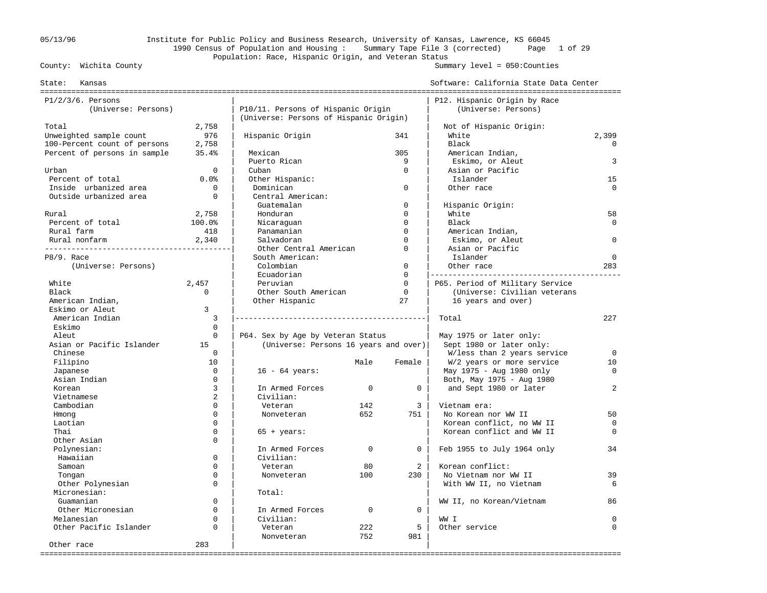## 05/13/96 Institute for Public Policy and Business Research, University of Kansas, Lawrence, KS 66045 1990 Census of Population and Housing : Summary Tape File 3 (corrected) Page 1 of 29 Population: Race, Hispanic Origin, and Veteran Status<br>County: Wichita County

#### Summary level =  $050$ : Counties

| Kansas<br>State:             |              |                                        |             |             | Software: California State Data Center |             |
|------------------------------|--------------|----------------------------------------|-------------|-------------|----------------------------------------|-------------|
| $P1/2/3/6$ . Persons         |              |                                        |             |             | P12. Hispanic Origin by Race           |             |
| (Universe: Persons)          |              | P10/11. Persons of Hispanic Origin     |             |             | (Universe: Persons)                    |             |
|                              |              | (Universe: Persons of Hispanic Origin) |             |             |                                        |             |
| Total                        | 2,758        |                                        |             |             | Not of Hispanic Origin:                |             |
| Unweighted sample count      | 976          | Hispanic Origin                        |             | 341         | White                                  | 2,399       |
| 100-Percent count of persons | 2,758        |                                        |             |             | Black                                  | $\Omega$    |
| Percent of persons in sample | 35.4%        | Mexican                                |             | 305         | American Indian,                       |             |
|                              |              | Puerto Rican                           |             | 9           | Eskimo, or Aleut                       | 3           |
| Urban                        | $\Omega$     | Cuban                                  |             | $\Omega$    | Asian or Pacific                       |             |
| Percent of total             | 0.0%         | Other Hispanic:                        |             |             | Islander                               | 15          |
| Inside urbanized area        | $\mathbf 0$  | Dominican                              |             | $\mathbf 0$ | Other race                             | $\Omega$    |
| Outside urbanized area       | $\Omega$     | Central American:                      |             |             |                                        |             |
|                              |              | Guatemalan                             |             | $\Omega$    | Hispanic Origin:                       |             |
| Rural                        | 2,758        | Honduran                               |             | $\Omega$    | White                                  | 58          |
| Percent of total             | 100.0%       | Nicaraguan                             |             | $\Omega$    | Black                                  | $\Omega$    |
| Rural farm                   | 418          | Panamanian                             |             | $\Omega$    | American Indian,                       |             |
| Rural nonfarm                | 2,340        | Salvadoran                             |             | $\Omega$    | Eskimo, or Aleut                       | $\Omega$    |
|                              |              | Other Central American                 |             | $\Omega$    | Asian or Pacific                       |             |
| P8/9. Race                   |              | South American:                        |             |             | Islander                               | $\mathbf 0$ |
| (Universe: Persons)          |              | Colombian                              |             | $\mathbf 0$ | Other race                             | 283         |
|                              |              | Ecuadorian                             |             | $\Omega$    |                                        |             |
| White                        | 2,457        | Peruvian                               |             | $\Omega$    | P65. Period of Military Service        |             |
| Black                        | $\Omega$     | Other South American                   |             | $\mathbf 0$ | (Universe: Civilian veterans           |             |
| American Indian,             |              | Other Hispanic                         |             | 27          | 16 years and over)                     |             |
| Eskimo or Aleut              | 3            |                                        |             |             |                                        |             |
| American Indian              | 3            |                                        |             |             | Total                                  | 227         |
| Eskimo                       | $\mathbf{0}$ |                                        |             |             |                                        |             |
| Aleut                        | $\Omega$     | P64. Sex by Age by Veteran Status      |             |             | May 1975 or later only:                |             |
| Asian or Pacific Islander    | 15           | (Universe: Persons 16 years and over)  |             |             | Sept 1980 or later only:               |             |
| Chinese                      | $\Omega$     |                                        |             |             | W/less than 2 years service            | $\Omega$    |
| Filipino                     | 10           |                                        | Male        | Female      | W/2 years or more service              | 10          |
| Japanese                     | $\mathbf 0$  | $16 - 64 \text{ years}$ :              |             |             | May 1975 - Aug 1980 only               | $\mathbf 0$ |
| Asian Indian                 | $\Omega$     |                                        |             |             | Both, May 1975 - Aug 1980              |             |
| Korean                       | 3            | In Armed Forces                        | $\mathbf 0$ | 0           | and Sept 1980 or later                 | 2           |
| Vietnamese                   | 2            | Civilian:                              |             |             |                                        |             |
| Cambodian                    | $\Omega$     | Veteran                                | 142         | 3           | Vietnam era:                           |             |
| Hmong                        | $\Omega$     | Nonveteran                             | 652         | 751         | No Korean nor WW II                    | 50          |
| Laotian                      | $\Omega$     |                                        |             |             | Korean conflict, no WW II              | $\Omega$    |
| Thai                         | $\Omega$     | $65 + \text{years}$ :                  |             |             | Korean conflict and WW II              | $\Omega$    |
| Other Asian                  | $\Omega$     |                                        |             |             |                                        |             |
| Polynesian:                  |              | In Armed Forces                        | $\Omega$    | $\Omega$    | Feb 1955 to July 1964 only             | 34          |
| Hawaiian                     | $\Omega$     | Civilian:                              |             |             |                                        |             |
| Samoan                       | $\Omega$     | Veteran                                | 80          | 2           | Korean conflict:                       |             |
| Tongan                       | $\mathbf 0$  | Nonveteran                             | 100         | 230         | No Vietnam nor WW II                   | 39          |
| Other Polynesian             | $\Omega$     |                                        |             |             | With WW II, no Vietnam                 | 6           |
| Micronesian:                 |              | Total:                                 |             |             |                                        |             |
| Guamanian                    | $\Omega$     |                                        |             |             | WW II, no Korean/Vietnam               | 86          |
| Other Micronesian            | $\Omega$     | In Armed Forces                        | $\mathbf 0$ | 0           |                                        |             |
| Melanesian                   | $\Omega$     | Civilian:                              |             |             | WW I                                   | $\mathbf 0$ |
| Other Pacific Islander       | $\Omega$     | Veteran                                | 222         | 5           | Other service                          | $\Omega$    |
|                              |              | Nonveteran                             | 752         | 981         |                                        |             |
| Other race                   | 283          |                                        |             |             |                                        |             |
|                              |              |                                        |             |             |                                        |             |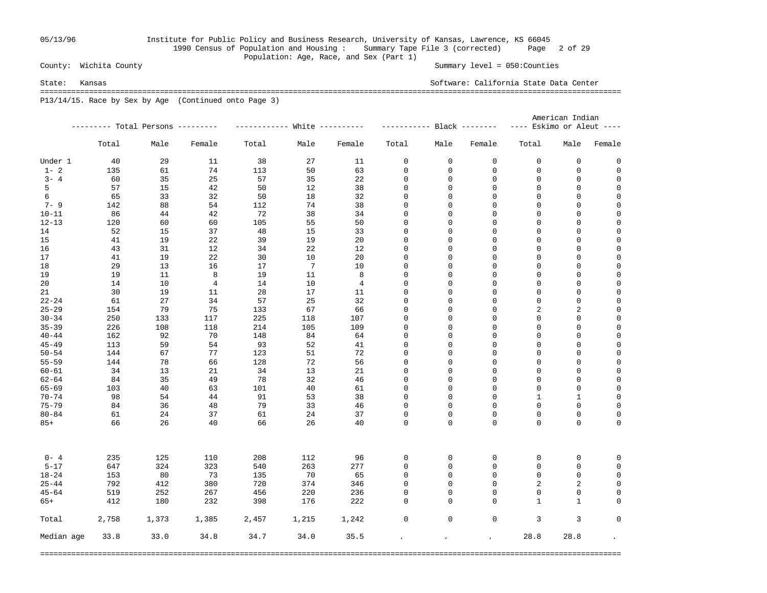## 05/13/96 Institute for Public Policy and Business Research, University of Kansas, Lawrence, KS 66045 1990 Census of Population and Housing : Summary Tape File 3 (corrected) Page 2 of 29 Population: Age, Race, and Sex (Part 1)<br>County: Wichita County

Summary level =  $050$ : Counties

State: Kansas Software: California State Data Center =================================================================================================================================== P13/14/15. Race by Sex by Age (Continued onto Page 3)

|            |       |                                   |                |       |                             |        |                            |             |             | American Indian           |              |                                     |  |
|------------|-------|-----------------------------------|----------------|-------|-----------------------------|--------|----------------------------|-------------|-------------|---------------------------|--------------|-------------------------------------|--|
|            |       | --------- Total Persons --------- |                |       | ----------- White --------- |        | ----------- Black -------- |             |             | ---- Eskimo or Aleut ---- |              |                                     |  |
|            | Total | Male                              | Female         | Total | Male                        | Female | Total                      | Male        | Female      | Total                     | Male         | Female                              |  |
| Under 1    | 40    | 29                                | 11             | 38    | 27                          | 11     | 0                          | 0           | 0           | 0                         | 0            | 0                                   |  |
| $1 - 2$    | 135   | 61                                | 74             | 113   | 50                          | 63     | 0                          | 0           | 0           | 0                         | 0            | 0                                   |  |
| $3 - 4$    | 60    | 35                                | 25             | 57    | 35                          | 22     | $\mathsf 0$                | $\mathsf 0$ | 0           | 0                         | 0            | $\mathbf 0$                         |  |
| 5          | 57    | 15                                | 42             | 50    | 12                          | 38     | 0                          | $\mathsf 0$ | 0           | $\mathbf 0$               | 0            | $\mathsf{O}\xspace$                 |  |
| 6          | 65    | 33                                | 32             | 50    | 18                          | 32     | 0                          | $\mathbf 0$ | 0           | $\mathbf 0$               | $\mathsf 0$  | $\mathbf 0$                         |  |
| $7 - 9$    | 142   | 88                                | 54             | 112   | 74                          | 38     | 0                          | 0           | 0           | $\mathbf 0$               | 0            | $\mathsf{O}\xspace$                 |  |
| $10 - 11$  | 86    | 44                                | 42             | 72    | 38                          | 34     | 0                          | 0           | 0           | 0                         | 0            | $\mathsf{O}\xspace$                 |  |
| $12 - 13$  | 120   | 60                                | 60             | 105   | 55                          | 50     | 0                          | 0           | $\Omega$    | $\Omega$                  | 0            | $\mathbf 0$                         |  |
| 14         | 52    | 15                                | 37             | 48    | 15                          | 33     | $\mathbf 0$                | $\mathbf 0$ | 0           | $\mathbf 0$               | 0            | $\mathbf 0$                         |  |
| 15         | 41    | 19                                | 22             | 39    | 19                          | 20     | $\mathsf 0$                | $\mathsf 0$ | $\Omega$    | $\mathbf 0$               | 0            | $\mathbf 0$                         |  |
| 16         | 43    | 31                                | 12             | 34    | 22                          | 12     | $\mathsf 0$                | 0           | 0           | $\mathbf 0$               | 0            | $\mathbf 0$                         |  |
| 17         | 41    | 19                                | 22             | 30    | 10                          | 20     | $\mathsf 0$                | $\mathsf 0$ | 0           | $\mathbf 0$               | 0            | $\mathsf{O}\xspace$                 |  |
| 18         | 29    | 13                                | 16             | 17    | $7\phantom{.0}$             | 10     | 0                          | 0           | 0           | $\mathbf 0$               | 0            | $\mathbf 0$                         |  |
| 19         | 19    | 11                                | 8              | 19    | 11                          | 8      | 0                          | 0           | $\Omega$    | $\Omega$                  | 0            | $\mathbf 0$                         |  |
| 20         | 14    | 10                                | $\overline{4}$ | 14    | 10                          | 4      | $\mathbf 0$                | $\mathsf 0$ | $\Omega$    | $\mathbf{0}$              | 0            | $\mathbf 0$                         |  |
| 21         | 30    | 19                                | 11             | 28    | 17                          | 11     | $\mathbf 0$                | $\mathsf 0$ | 0           | $\mathbf{0}$              | 0            | $\mathbf 0$                         |  |
| $22 - 24$  | 61    | 27                                | 34             | 57    | 25                          | 32     | 0                          | 0           | 0           | $\mathbf{0}$              | 0            | $\mathbf 0$                         |  |
| $25 - 29$  | 154   | 79                                | 75             | 133   | 67                          | 66     | 0                          | $\mathsf 0$ | 0           | 2                         | 2            | $\mathbf 0$                         |  |
| $30 - 34$  | 250   | 133                               | 117            | 225   | 118                         | 107    | 0                          | 0           | 0           | 0                         | 0            | $\mathbf 0$                         |  |
|            |       |                                   |                |       |                             |        |                            |             | 0           | 0                         |              |                                     |  |
| $35 - 39$  | 226   | 108                               | 118            | 214   | 105                         | 109    | 0                          | 0           |             | $\Omega$                  | 0            | $\mathsf{O}\xspace$<br>$\mathbf{0}$ |  |
| $40 - 44$  | 162   | 92                                | 70             | 148   | 84                          | 64     | 0                          | $\mathsf 0$ | 0           |                           | 0            |                                     |  |
| $45 - 49$  | 113   | 59                                | 54             | 93    | 52                          | 41     | 0                          | $\mathsf 0$ | 0           | $\mathbf 0$               | 0            | $\mathbf 0$                         |  |
| $50 - 54$  | 144   | 67                                | 77             | 123   | 51                          | 72     | 0                          | 0           | $\Omega$    | $\mathbf 0$               | 0            | $\mathbf 0$                         |  |
| $55 - 59$  | 144   | 78                                | 66             | 128   | 72                          | 56     | 0                          | $\mathsf 0$ | 0           | $\mathbf{0}$              | 0            | $\mathbf 0$                         |  |
| $60 - 61$  | 34    | 13                                | 21             | 34    | 13                          | 21     | 0                          | 0           | 0           | $\mathbf 0$               | 0            | $\mathbf 0$                         |  |
| $62 - 64$  | 84    | 35                                | 49             | 78    | 32                          | 46     | 0                          | 0           | 0           | 0                         | 0            | $\mathsf{O}\xspace$                 |  |
| $65 - 69$  | 103   | 40                                | 63             | 101   | 40                          | 61     | 0                          | $\mathsf 0$ | $\Omega$    | $\Omega$                  | 0            | $\mathbf 0$                         |  |
| $70 - 74$  | 98    | 54                                | 44             | 91    | 53                          | 38     | 0                          | $\mathsf 0$ | 0           | $\mathbf{1}$              | $\mathbf{1}$ | $\mathbf 0$                         |  |
| $75 - 79$  | 84    | 36                                | 48             | 79    | 33                          | 46     | 0                          | 0           | 0           | $\Omega$                  | 0            | $\mathbf 0$                         |  |
| $80 - 84$  | 61    | 24                                | 37             | 61    | 24                          | 37     | 0                          | $\mathsf 0$ | 0           | 0                         | 0            | $\mathbf 0$                         |  |
| $85+$      | 66    | 26                                | 40             | 66    | 26                          | 40     | 0                          | $\Omega$    | $\Omega$    | 0                         | $\mathbf 0$  | $\mathbf 0$                         |  |
| $0 - 4$    | 235   | 125                               | 110            | 208   | 112                         | 96     | 0                          | 0           | 0           | 0                         | 0            | $\Omega$                            |  |
| $5 - 17$   | 647   | 324                               | 323            | 540   | 263                         | 277    | $\mathsf 0$                | 0           | 0           | $\mathsf 0$               | 0            | $\mathbf 0$                         |  |
| $18 - 24$  | 153   | 80                                | 73             | 135   | 70                          | 65     | 0                          | 0           | 0           | $\mathbf 0$               | $\mathsf 0$  | $\mathbf 0$                         |  |
| $25 - 44$  | 792   | 412                               | 380            | 720   | 374                         | 346    | 0                          | $\mathsf 0$ | 0           | 2                         | $\sqrt{2}$   | $\mathbf 0$                         |  |
| $45 - 64$  | 519   | 252                               | 267            | 456   | 220                         | 236    | 0                          | 0           | 0           | $\Omega$                  | 0            | 0                                   |  |
| $65+$      | 412   | 180                               | 232            | 398   | 176                         | 222    | $\mathbf 0$                | $\mathbf 0$ | 0           | $\mathbf{1}$              | $\mathbf{1}$ | $\Omega$                            |  |
| Total      | 2,758 | 1,373                             | 1,385          | 2,457 | 1,215                       | 1,242  | 0                          | $\mathbf 0$ | $\mathsf 0$ | 3                         | 3            | 0                                   |  |
| Median age | 33.8  | 33.0                              | 34.8           | 34.7  | 34.0                        | 35.5   |                            |             |             | 28.8                      | 28.8         |                                     |  |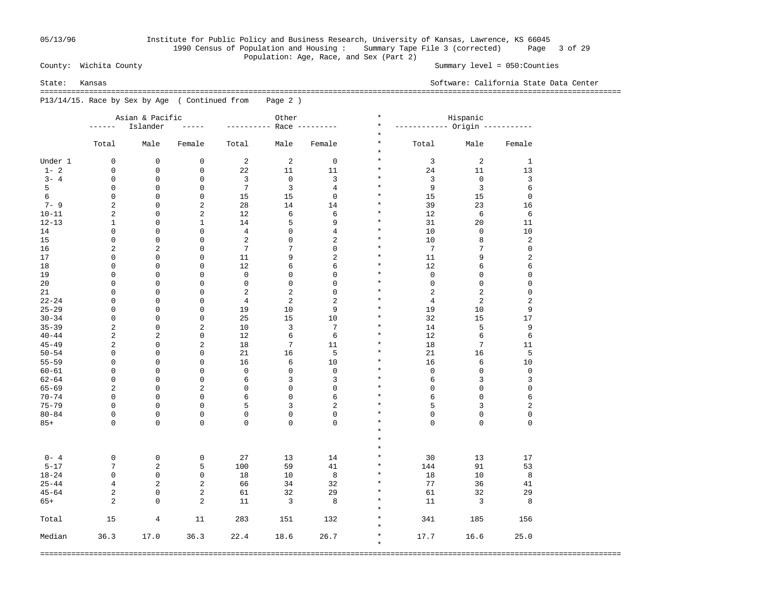## 05/13/96 Institute for Public Policy and Business Research, University of Kansas, Lawrence, KS 66045 1990 Census of Population and Housing : Summary Tape File 3 (corrected) Page 3 of 29 Population: Age, Race, and Sex (Part 2)<br>County: Wichita County

Summary level =  $050$ : Counties

State: Kansas Software: California State Data Center

 =================================================================================================================================== P13/14/15. Race by Sex by Age ( Continued from Page 2 )

|           |                         | Asian & Pacific |                         |                | Other          |                | $\star$            |                 | Hispanic                      |                         |  |
|-----------|-------------------------|-----------------|-------------------------|----------------|----------------|----------------|--------------------|-----------------|-------------------------------|-------------------------|--|
|           | ------                  | Islander        |                         | ------         | Race $---$     |                | $\star$            |                 | ---------- Origin ----------- |                         |  |
|           |                         |                 |                         |                |                |                | $\star$            |                 |                               |                         |  |
|           | Total                   | Male            | Female                  | Total          | Male           | Female         | $\star$<br>$\star$ | Total           | Male                          | Female                  |  |
| Under 1   | $\mathbf 0$             | $\mathbf 0$     | $\mathbf 0$             | 2              | $\overline{2}$ | $\mathbf 0$    | $\star$            | $\overline{3}$  | 2                             | $\mathbf{1}$            |  |
| $1 - 2$   | $\mathbf 0$             | $\mathbf 0$     | $\mathbf 0$             | 22             | 11             | 11             | $\star$            | 24              | 11                            | 13                      |  |
| $3 - 4$   | $\mathbf 0$             | $\mathbf 0$     | 0                       | 3              | $\mathsf 0$    | 3              | $\star$            | 3               | $\mathbf 0$                   | $\mathbf{3}$            |  |
| 5         | $\mathbf 0$             | $\mathbf 0$     | 0                       | 7              | 3              | $\overline{4}$ | $\star$            | 9               | 3                             | 6                       |  |
| 6         | $\mathbf 0$             | $\mathbf 0$     | 0                       | 15             | 15             | $\mathbf 0$    | $\star$            | 15              | 15                            | $\mathbf 0$             |  |
| $7 - 9$   | $\overline{a}$          | $\mathbf 0$     | $\overline{a}$          | 28             | 14             | 14             | $\star$            | 39              | 23                            | 16                      |  |
| $10 - 11$ | $\overline{a}$          | $\mathbf 0$     | $\overline{a}$          | 12             | 6              | 6              | $\star$            | 12              | 6                             | 6                       |  |
| $12 - 13$ | $\mathbf{1}$            | $\mathbf 0$     | $\mathbf{1}$            | 14             | 5              | 9              | $\star$            | 31              | 20                            | 11                      |  |
| 14        | $\mathbf 0$             | $\mathbf 0$     | 0                       | $\overline{4}$ | 0              | $\overline{4}$ | $\star$            | 10              | $\mathsf 0$                   | 10                      |  |
|           |                         |                 |                         |                |                |                | $\star$            |                 |                               |                         |  |
| 15        | $\mathbf 0$             | $\mathbf 0$     | 0                       | $\overline{2}$ | $\mathbf 0$    | $\overline{a}$ | $\star$            | 10              | 8                             | $\overline{\mathbf{c}}$ |  |
| 16        | $\overline{a}$          | $\overline{c}$  | 0                       | 7              | 7              | $\mathbf 0$    |                    | $7\phantom{.0}$ | 7                             | $\mathsf 0$             |  |
| 17        | $\mathbf 0$             | $\mathbf 0$     | 0                       | 11             | 9              | $\overline{a}$ | $\star$            | 11              | 9                             | $\overline{\mathbf{c}}$ |  |
| 18        | 0                       | $\mathbf 0$     | 0                       | 12             | 6              | 6              | $\star$            | 12              | 6                             | 6                       |  |
| 19        | $\mathbf 0$             | $\mathbf 0$     | 0                       | $\mathbf 0$    | 0              | $\mathbf 0$    | $\star$            | $\mathbf 0$     | $\mathbf 0$                   | $\mathsf 0$             |  |
| 20        | $\mathbf 0$             | $\mathbf 0$     | $\mathbf 0$             | $\mathsf 0$    | $\mathbf 0$    | $\mathbf 0$    | $\star$            | $\mathsf 0$     | $\mathsf 0$                   | $\mathsf 0$             |  |
| 21        | $\mathbf 0$             | 0               | $\mathbf 0$             | $\overline{2}$ | 2              | $\mathbf 0$    | $\star$            | $\overline{2}$  | $\overline{2}$                | $\mathsf 0$             |  |
| $22 - 24$ | $\mathbf 0$             | $\mathbf 0$     | $\mathbf 0$             | $\overline{4}$ | 2              | $\overline{2}$ | $\star$            | $\overline{4}$  | $\overline{\mathbf{c}}$       | $\sqrt{2}$              |  |
| $25 - 29$ | $\mathbf 0$             | 0               | $\mathbf 0$             | 19             | 10             | 9              | $\star$            | 19              | 10                            | 9                       |  |
| $30 - 34$ | 0                       | 0               | $\mathsf 0$             | 25             | 15             | 10             | $\star$            | 32              | 15                            | 17                      |  |
| $35 - 39$ | 2                       | 0               | $\overline{2}$          | 10             | 3              | 7              | $\star$            | 14              | 5                             | 9                       |  |
| $40 - 44$ | $\overline{\mathbf{c}}$ | $\overline{c}$  | $\mathsf 0$             | 12             | 6              | $\sqrt{6}$     | $\star$            | 12              | 6                             | 6                       |  |
| $45 - 49$ | $\overline{\mathbf{c}}$ | 0               | $\overline{a}$          | 18             | 7              | 11             | $\star$            | 18              | 7                             | 11                      |  |
| $50 - 54$ | 0                       | 0               | $\mathsf 0$             | 21             | 16             | 5              | $\star$            | 21              | 16                            | 5                       |  |
| $55 - 59$ | $\mathbf 0$             | 0               | $\mathbf 0$             | 16             | 6              | 10             | $\star$            | 16              | 6                             | 10                      |  |
| $60 - 61$ | $\mathbf 0$             | 0               | 0                       | $\mathsf 0$    | 0              | $\mathsf 0$    | $\star$            | $\mathsf 0$     | $\mathsf 0$                   | $\mathsf 0$             |  |
| $62 - 64$ | $\mathbf 0$             | 0               | 0                       | 6              | 3              | 3              | $\star$            | 6               | 3                             | 3                       |  |
| $65 - 69$ | $\overline{a}$          | $\mathbf 0$     | $\overline{a}$          | $\mathsf 0$    | 0              | $\mathsf 0$    | $\star$            | $\mathsf 0$     | $\mathsf 0$                   | $\mathsf{O}\xspace$     |  |
| $70 - 74$ | $\mathbf 0$             | $\mathbf 0$     | 0                       | 6              | 0              | 6              | $\star$            | 6               | $\mathsf 0$                   | 6                       |  |
| $75 - 79$ | $\mathbf 0$             | $\mathbf 0$     | $\mathsf 0$             | 5              | 3              | $\overline{a}$ | $\star$            | 5               | 3                             | $\overline{\mathbf{c}}$ |  |
| $80 - 84$ | $\mathbf 0$             | $\mathbf 0$     | 0                       | $\mathsf 0$    | 0              | $\mathbf 0$    | $\star$            | $\mathbf 0$     | $\mathsf 0$                   | $\mathsf 0$             |  |
| $85+$     | $\Omega$                | $\mathbf 0$     | 0                       | $\mathbf 0$    | 0              | $\Omega$       | $\star$            | $\Omega$        | 0                             | $\overline{0}$          |  |
|           |                         |                 |                         |                |                |                | $\star$            |                 |                               |                         |  |
|           |                         |                 |                         |                |                |                | $\star$            |                 |                               |                         |  |
|           |                         |                 |                         |                |                |                | $\star$            |                 |                               |                         |  |
|           |                         |                 |                         |                |                |                |                    |                 |                               |                         |  |
| $0 - 4$   | 0                       | $\mathbf 0$     | 0                       | 27             | 13             | 14             | $\star$            | 30              | 13                            | 17                      |  |
| $5 - 17$  | 7                       | $\overline{c}$  | 5                       | 100            | 59             | 41             | $\star$            | 144             | 91                            | 53                      |  |
| $18 - 24$ | $\mathbf 0$             | $\mathbf 0$     | 0                       | 18             | 10             | $\,8\,$        | $\star$            | 18              | 10                            | 8                       |  |
| $25 - 44$ | 4                       | $\overline{c}$  | $\overline{a}$          | 66             | 34             | 32             | $\star$            | 77              | 36                            | 41                      |  |
| $45 - 64$ | $\overline{a}$          | $\mathbf 0$     | $\overline{\mathbf{c}}$ | 61             | 32             | 29             | $\star$            | 61              | 32                            | 29                      |  |
| $65+$     | 2                       | $\mathbf 0$     | $\overline{a}$          | 11             | 3              | 8              | $\star$            | 11              | 3                             | 8                       |  |
|           |                         |                 |                         |                |                |                | $\star$            |                 |                               |                         |  |
| Total     | 15                      | 4               | 11                      | 283            | 151            | 132            | $\star$            | 341             | 185                           | 156                     |  |
|           |                         |                 |                         |                |                |                | $\star$            |                 |                               |                         |  |
| Median    | 36.3                    | 17.0            | 36.3                    | 22.4           | 18.6           | 26.7           | $\star$            | 17.7            | 16.6                          | 25.0                    |  |
|           |                         |                 |                         |                |                |                | $\star$            |                 |                               |                         |  |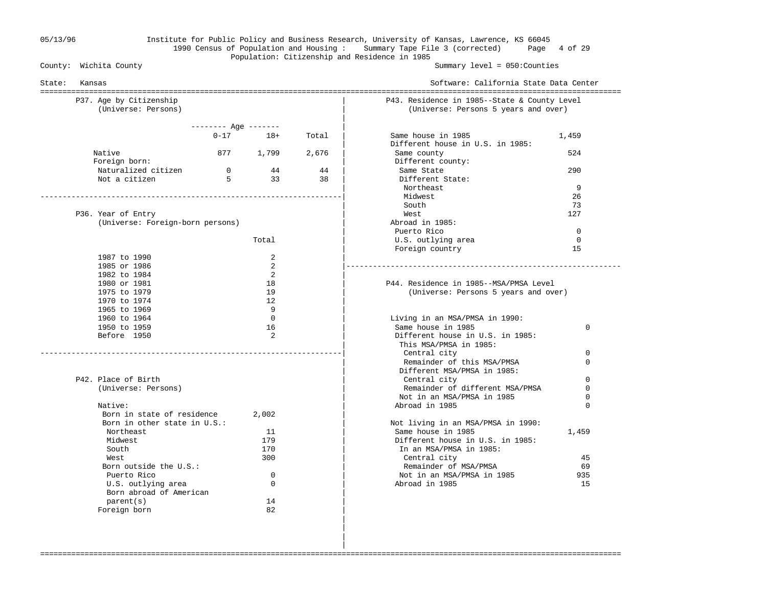### 05/13/96 Institute for Public Policy and Business Research, University of Kansas, Lawrence, KS 66045 1990 Census of Population and Housing : Summary Tape File 3 (corrected) Page 4 of 29 Population: Citizenship and Residence in 1985<br>County: Wichita County

Summary level =  $050$ : Counties

| State:<br>Kansas                 |                       |              |       | Software: California State Data Center       |             |
|----------------------------------|-----------------------|--------------|-------|----------------------------------------------|-------------|
| P37. Age by Citizenship          |                       |              |       | P43. Residence in 1985--State & County Level |             |
| (Universe: Persons)              |                       |              |       | (Universe: Persons 5 years and over)         |             |
|                                  | $------$ Age $------$ |              |       |                                              |             |
|                                  |                       | $0 - 17$ 18+ | Total | Same house in 1985                           | 1,459       |
|                                  |                       |              |       | Different house in U.S. in 1985:             |             |
| Native                           |                       | 877 1,799    | 2,676 | Same county                                  | 524         |
| Foreign born:                    |                       |              |       | Different county:                            |             |
| Naturalized citizen              | $\overline{0}$        | 44           | 44    | Same State                                   | 290         |
| Not a citizen                    | 5                     | 33           | 38    | Different State:                             |             |
|                                  |                       |              |       | Northeast                                    | 9           |
|                                  |                       |              |       | Midwest                                      | 26          |
|                                  |                       |              |       | South                                        | 73          |
| P36. Year of Entry               |                       |              |       | West                                         | 127         |
| (Universe: Foreign-born persons) |                       |              |       | Abroad in 1985:                              |             |
|                                  |                       |              |       | Puerto Rico                                  | $\Omega$    |
|                                  |                       | Total        |       | U.S. outlying area                           | $\Omega$    |
|                                  |                       |              |       | Foreign country                              | 1.5         |
| 1987 to 1990                     |                       | 2            |       |                                              |             |
| 1985 or 1986                     |                       | 2            |       | ______________________                       |             |
| 1982 to 1984                     |                       | 2            |       |                                              |             |
| 1980 or 1981                     |                       | 18           |       | P44. Residence in 1985--MSA/PMSA Level       |             |
| 1975 to 1979                     |                       | 19           |       | (Universe: Persons 5 years and over)         |             |
| 1970 to 1974<br>1965 to 1969     |                       | 12<br>9      |       |                                              |             |
| 1960 to 1964                     |                       | $\Omega$     |       | Living in an MSA/PMSA in 1990:               |             |
| 1950 to 1959                     |                       | 16           |       | Same house in 1985                           | 0           |
| Before 1950                      |                       | 2            |       | Different house in U.S. in 1985:             |             |
|                                  |                       |              |       | This MSA/PMSA in 1985:                       |             |
|                                  |                       |              |       | Central city                                 | 0           |
|                                  |                       |              |       | Remainder of this MSA/PMSA                   | 0           |
|                                  |                       |              |       | Different MSA/PMSA in 1985:                  |             |
| P42. Place of Birth              |                       |              |       | Central city                                 | $\Omega$    |
| (Universe: Persons)              |                       |              |       | Remainder of different MSA/PMSA              | $\mathbf 0$ |
|                                  |                       |              |       | Not in an MSA/PMSA in 1985                   | $\mathbf 0$ |
| Native:                          |                       |              |       | Abroad in 1985                               | $\Omega$    |
| Born in state of residence       |                       | 2,002        |       |                                              |             |
| Born in other state in U.S.:     |                       |              |       | Not living in an MSA/PMSA in 1990:           |             |
| Northeast                        |                       | 11           |       | Same house in 1985                           | 1,459       |
| Midwest                          |                       | 179          |       | Different house in U.S. in 1985:             |             |
| South                            |                       | 170          |       | In an MSA/PMSA in 1985:                      |             |
| West                             |                       | 300          |       | Central city                                 | 45          |
| Born outside the U.S.:           |                       |              |       | Remainder of MSA/PMSA                        | 69          |
| Puerto Rico                      |                       | $\mathbf 0$  |       | Not in an MSA/PMSA in 1985                   | 935         |
| U.S. outlying area               |                       | $\mathbf 0$  |       | Abroad in 1985                               | 15          |
| Born abroad of American          |                       |              |       |                                              |             |
| parent(s)                        |                       | 14<br>82     |       |                                              |             |
| Foreign born                     |                       |              |       |                                              |             |

===================================================================================================================================

 | |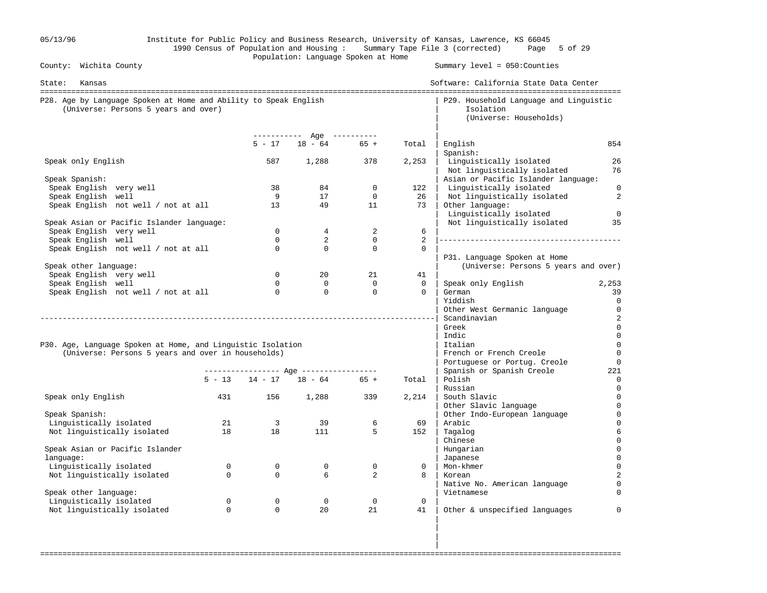| 05/13/96                                                                                                 |              |                               | Population: Language Spoken at Home     |                            |                | Institute for Public Policy and Business Research, University of Kansas, Lawrence, KS 66045<br>1990 Census of Population and Housing: Summary Tape File 3 (corrected) Page 5 of 29 |                               |
|----------------------------------------------------------------------------------------------------------|--------------|-------------------------------|-----------------------------------------|----------------------------|----------------|------------------------------------------------------------------------------------------------------------------------------------------------------------------------------------|-------------------------------|
| County: Wichita County                                                                                   |              |                               |                                         |                            |                | Summary level = 050: Counties                                                                                                                                                      |                               |
| State:<br>Kansas                                                                                         |              |                               |                                         |                            |                | Software: California State Data Center                                                                                                                                             |                               |
| P28. Age by Language Spoken at Home and Ability to Speak English<br>(Universe: Persons 5 years and over) |              |                               |                                         |                            |                | P29. Household Language and Linguistic<br>Isolation<br>(Universe: Households)                                                                                                      |                               |
|                                                                                                          |              | $5 - 17$                      | ----------- Age ----------<br>$18 - 64$ | $65 +$                     | Total          | English                                                                                                                                                                            | 854                           |
|                                                                                                          |              |                               |                                         |                            |                | Spanish:                                                                                                                                                                           |                               |
| Speak only English                                                                                       |              | 587                           | 1,288                                   | 378                        | 2,253          | Linguistically isolated<br>Not linguistically isolated                                                                                                                             | 26<br>76                      |
| Speak Spanish:                                                                                           |              |                               |                                         |                            |                | Asian or Pacific Islander language:                                                                                                                                                |                               |
| Speak English very well                                                                                  |              | 38<br>9                       | 84<br>17                                | $\mathbf 0$<br>$\mathbf 0$ | 122<br>26      | Linguistically isolated                                                                                                                                                            | $\mathbf 0$<br>$\overline{c}$ |
| Speak English well<br>Speak English not well / not at all                                                |              | 13                            | 49                                      | 11                         | 73             | Not linguistically isolated<br>Other language:<br>Linguistically isolated                                                                                                          | $\overline{0}$                |
| Speak Asian or Pacific Islander language:                                                                |              |                               |                                         |                            |                | Not linguistically isolated                                                                                                                                                        | 35                            |
| Speak English very well                                                                                  |              | $\Omega$                      | $4\overline{ }$                         | 2                          | 6              |                                                                                                                                                                                    |                               |
| Speak English well                                                                                       |              | $\Omega$                      | $\overline{2}$                          | $\overline{0}$             | $\overline{2}$ |                                                                                                                                                                                    |                               |
| Speak English not well / not at all                                                                      |              | $\Omega$                      | $\overline{0}$                          | $\Omega$                   | $\mathbf 0$    | P31. Language Spoken at Home                                                                                                                                                       |                               |
| Speak other language:                                                                                    |              |                               |                                         |                            |                | (Universe: Persons 5 years and over)                                                                                                                                               |                               |
| Speak English very well                                                                                  |              | $\Omega$                      | 20                                      | 21                         | 41             |                                                                                                                                                                                    |                               |
| Speak English well                                                                                       |              | $\Omega$                      | $\Omega$                                | $\Omega$                   | $\Omega$       | Speak only English                                                                                                                                                                 | 2,253                         |
| Speak English not well / not at all                                                                      |              | $\overline{0}$                | $\mathbf 0$                             | $\circ$                    | $\Omega$       | German                                                                                                                                                                             | 39                            |
|                                                                                                          |              |                               |                                         |                            |                | Yiddish                                                                                                                                                                            | $\overline{0}$                |
|                                                                                                          |              |                               |                                         |                            |                | Other West Germanic language                                                                                                                                                       | $\mathbf 0$                   |
|                                                                                                          |              |                               |                                         |                            |                | Scandinavian                                                                                                                                                                       | $\overline{c}$                |
|                                                                                                          |              |                               |                                         |                            |                | Greek<br>Indic                                                                                                                                                                     | $\mathbf 0$<br>$\mathbf 0$    |
| P30. Age, Language Spoken at Home, and Linguistic Isolation                                              |              |                               |                                         |                            |                | Italian                                                                                                                                                                            | $\mathbf 0$                   |
| (Universe: Persons 5 years and over in households)                                                       |              |                               |                                         |                            |                | French or French Creole                                                                                                                                                            | $\overline{0}$                |
|                                                                                                          |              |                               |                                         |                            |                | Portuguese or Portug. Creole                                                                                                                                                       | $\mathbf 0$                   |
|                                                                                                          |              |                               | ---------------- Age ----------------   |                            |                | Spanish or Spanish Creole                                                                                                                                                          | 221                           |
|                                                                                                          |              |                               | $5 - 13$ $14 - 17$ $18 - 64$ $65 +$     |                            | Total          | Polish                                                                                                                                                                             | $\mathbf 0$                   |
|                                                                                                          |              |                               |                                         |                            |                | Russian                                                                                                                                                                            | 0                             |
| Speak only English                                                                                       | 431          | 156                           | 1,288                                   | 339                        | 2,214          | South Slavic                                                                                                                                                                       | 0                             |
|                                                                                                          |              |                               |                                         |                            |                | Other Slavic language                                                                                                                                                              | $\overline{0}$                |
| Speak Spanish:                                                                                           |              |                               |                                         |                            |                | Other Indo-European language                                                                                                                                                       | 0                             |
| Linguistically isolated<br>Not linguistically isolated                                                   | 21<br>18     | $\overline{\mathbf{3}}$<br>18 | 39<br>111                               | 6<br>5                     | 69<br>152      | Arabic<br>Tagalog                                                                                                                                                                  | $\Omega$<br>6                 |
|                                                                                                          |              |                               |                                         |                            |                | Chinese                                                                                                                                                                            |                               |
| Speak Asian or Pacific Islander                                                                          |              |                               |                                         |                            |                | Hungarian                                                                                                                                                                          |                               |
| language:                                                                                                |              |                               |                                         |                            |                | Japanese                                                                                                                                                                           | $\Omega$                      |
| Linguistically isolated                                                                                  | $\mathbf{0}$ | $\mathsf{O}$                  | $\mathbf 0$                             | $\mathbf 0$                | 0              | Mon-khmer                                                                                                                                                                          |                               |
| Not linguistically isolated                                                                              | $\Omega$     | $\Omega$                      | 6                                       | 2                          | 8              | Korean                                                                                                                                                                             |                               |
|                                                                                                          |              |                               |                                         |                            |                | Native No. American language                                                                                                                                                       |                               |
| Speak other language:                                                                                    |              |                               |                                         |                            |                | Vietnamese                                                                                                                                                                         |                               |
| Linguistically isolated                                                                                  | $\mathbf 0$  | $\mathbf{0}$                  | $\mathbf 0$                             | $\overline{0}$             | $\mathbf 0$    |                                                                                                                                                                                    |                               |
| Not linguistically isolated                                                                              | $\mathbf 0$  | $\Omega$                      | 20                                      | 21                         | 41             | Other & unspecified languages                                                                                                                                                      | $\Omega$                      |
|                                                                                                          |              |                               |                                         |                            |                |                                                                                                                                                                                    |                               |

===================================================================================================================================

in the contract of the contract of the contract of the contract of the contract of the contract of the contract in the contract of the contract of the contract of the contract of the contract of the contract of the contract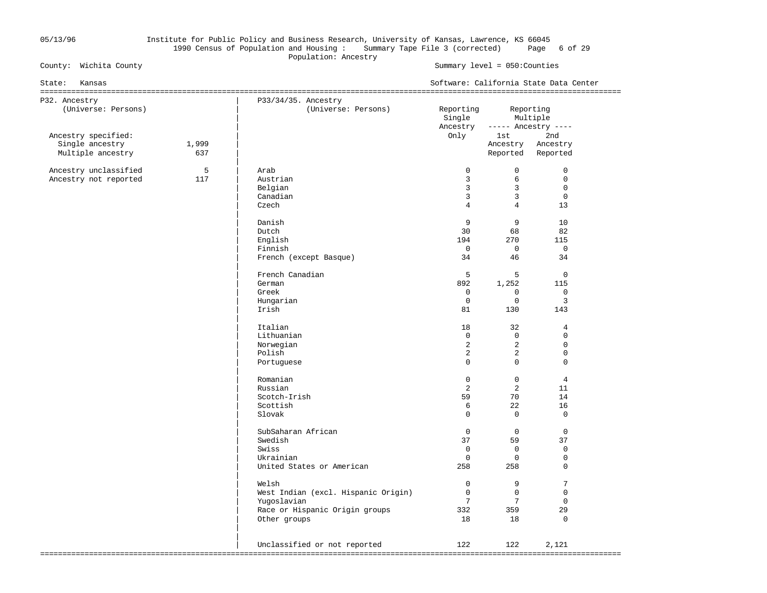### 05/13/96 Institute for Public Policy and Business Research, University of Kansas, Lawrence, KS 66045 1990 Census of Population and Housing : Summary Tape File 3 (corrected) Page 6 of 29 Population: Ancestry<br>
Population: Ancestry<br>
Population: Ancestry

#### Summary level =  $050$ : Counties

| State:<br>Kansas                                            |              |                                                                                                               |                                                                        |                                                                           | Software: California State Data Center                                     |
|-------------------------------------------------------------|--------------|---------------------------------------------------------------------------------------------------------------|------------------------------------------------------------------------|---------------------------------------------------------------------------|----------------------------------------------------------------------------|
| P32. Ancestry<br>(Universe: Persons)                        |              | P33/34/35. Ancestry<br>(Universe: Persons)                                                                    | Reporting<br>Single<br>Ancestry                                        |                                                                           | Reporting<br>Multiple<br>$---$ Ancestry $---$                              |
| Ancestry specified:<br>Single ancestry<br>Multiple ancestry | 1,999<br>637 |                                                                                                               | Only                                                                   | 1st i<br>Ancestry                                                         | 2nd<br>Ancestry<br>Reported Reported                                       |
| Ancestry unclassified<br>Ancestry not reported              | 5<br>117     | Arab<br>Austrian<br>Belgian<br>Canadian<br>Czech                                                              | $\mathbf 0$<br>3<br>$\overline{3}$<br>$\overline{3}$<br>$\overline{4}$ | $\overline{0}$<br>6<br>$\overline{3}$<br>$\overline{3}$<br>$\overline{4}$ | $\mathbf 0$<br>$\mathbf 0$<br>$\mathbf 0$<br>$\mathsf 0$<br>13             |
|                                                             |              | Danish<br>Dutch<br>English<br>Finnish<br>French (except Basque)                                               | 9<br>30<br>194<br>$\overline{0}$<br>34                                 | 9<br>68<br>270<br>$\overline{0}$<br>46                                    | 10<br>82<br>115<br>$\mathbf 0$<br>34                                       |
|                                                             |              | French Canadian<br>German<br>Greek<br>Hungarian<br>Irish                                                      | 5<br>892<br>$\mathbf 0$<br>$\mathbf 0$<br>81                           | 5<br>1,252<br>$\Omega$<br>$\mathbf 0$<br>130                              | $\mathbb O$<br>115<br>$\Omega$<br>3<br>143                                 |
|                                                             |              | Italian<br>Lithuanian<br>Norwegian<br>Polish<br>Portuguese                                                    | 18<br>$\overline{0}$<br>2<br>2<br>$\Omega$                             | 32<br>$\overline{0}$<br>2<br>$\overline{2}$<br>$\Omega$                   | $\overline{4}$<br>$\mathbf 0$<br>$\mathbf 0$<br>$\mathsf 0$<br>$\mathbf 0$ |
|                                                             |              | Romanian<br>Russian<br>Scotch-Irish<br>Scottish<br>Slovak                                                     | $\mathbf 0$<br>2<br>59<br>6<br>$\Omega$                                | $\overline{0}$<br>2<br>70<br>22<br>$\Omega$                               | $\overline{4}$<br>11<br>14<br>16<br>$\mathbf 0$                            |
|                                                             |              | SubSaharan African<br>Swedish<br>Swiss<br>Ukrainian<br>United States or American                              | $\mathbf 0$<br>37<br>$\mathbf 0$<br>$\mathbf{0}$<br>258                | $\mathbf 0$<br>59<br>$\mathbf 0$<br>$\circ$<br>258                        | $\mathbf 0$<br>37<br>$\mathsf 0$<br>0<br>$\mathbf 0$                       |
|                                                             |              | Welsh<br>West Indian (excl. Hispanic Origin)<br>Yugoslavian<br>Race or Hispanic Origin groups<br>Other groups | $\mathbf 0$<br>$\mathbf 0$<br>$7\overline{ }$<br>332<br>18             | 9<br>$\mathbf 0$<br>7<br>359<br>18                                        | 7<br>$\mathbf 0$<br>$\mathbf 0$<br>29<br>$\mathbf 0$                       |
|                                                             |              | Unclassified or not reported                                                                                  | 122                                                                    | 122                                                                       | 2,121                                                                      |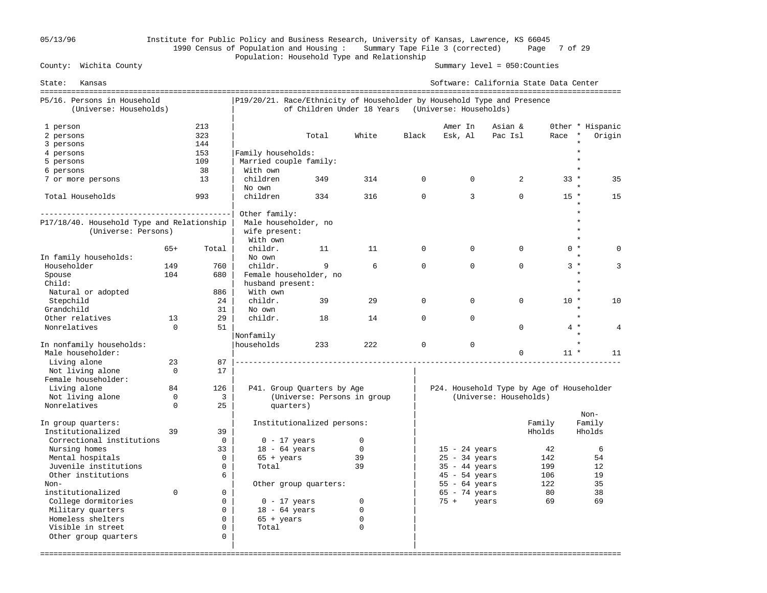## 05/13/96 Institute for Public Policy and Business Research, University of Kansas, Lawrence, KS 66045 1990 Census of Population and Housing : Summary Tape File 3 (corrected) Page 7 of 29 Population: Household Type and Relationship

Summary level =  $050$ : Counties

| State:<br>Kansas                                                                                           |                      |                                                             |                                                                         |                             |                                                |              |                                                       | Software: California State Data Center    |                   |                                       |
|------------------------------------------------------------------------------------------------------------|----------------------|-------------------------------------------------------------|-------------------------------------------------------------------------|-----------------------------|------------------------------------------------|--------------|-------------------------------------------------------|-------------------------------------------|-------------------|---------------------------------------|
| P5/16. Persons in Household<br>(Universe: Households)                                                      |                      |                                                             | P19/20/21. Race/Ethnicity of Householder by Household Type and Presence | of Children Under 18 Years  |                                                |              | (Universe: Households)                                |                                           |                   |                                       |
| 1 person<br>2 persons                                                                                      |                      | 213<br>323                                                  |                                                                         | Total                       | White                                          | Black        | Amer In<br>Esk, Al                                    | Asian &<br>Pac Isl                        | Race              | Other * Hispanic<br>$\star$<br>Origin |
| 3 persons<br>4 persons                                                                                     |                      | 144<br>153                                                  | Family households:                                                      |                             |                                                |              |                                                       |                                           |                   |                                       |
| 5 persons<br>6 persons                                                                                     |                      | 109<br>38                                                   | Married couple family:<br>With own                                      |                             |                                                |              |                                                       |                                           |                   |                                       |
| 7 or more persons                                                                                          |                      | 13                                                          | children<br>No own                                                      | 349                         | 314                                            | $\Omega$     | $\Omega$                                              | 2                                         | $33 *$            | 35                                    |
| Total Households                                                                                           |                      | 993                                                         | children                                                                | 334                         | 316                                            | $\Omega$     | 3                                                     | $\Omega$                                  | $15 *$            | 15                                    |
| P17/18/40. Household Type and Relationship<br>(Universe: Persons)                                          |                      |                                                             | Other family:<br>Male householder, no<br>wife present:<br>With own      |                             |                                                |              |                                                       |                                           |                   |                                       |
| In family households:                                                                                      | $65+$                | Total                                                       | childr.<br>No own                                                       | 11                          | 11                                             | $\mathbf 0$  | $\Omega$                                              | $\mathbf 0$                               | $0 *$             | $\Omega$                              |
| Householder<br>Spouse                                                                                      | 149<br>104           | 760<br>680                                                  | childr.<br>Female householder, no                                       | 9                           | 6                                              | $\Omega$     | $\Omega$                                              | $\Omega$                                  | $3*$              | 3<br>÷                                |
| Child:<br>Natural or adopted                                                                               |                      | 886                                                         | husband present:<br>With own                                            |                             |                                                |              |                                                       |                                           |                   |                                       |
| Stepchild<br>Grandchild                                                                                    |                      | 24<br>31                                                    | childr.<br>No own                                                       | 39                          | 29                                             | $\Omega$     | $\Omega$                                              | $\Omega$                                  | $10 *$            | 10                                    |
| Other relatives<br>Nonrelatives                                                                            | 13<br>$\Omega$       | 29<br>51                                                    | childr.<br>Nonfamily                                                    | 18                          | 14                                             | $\mathbf{0}$ | $\Omega$                                              | $\Omega$                                  | $4 *$             | $\star$<br>4                          |
| In nonfamily households:<br>Male householder:                                                              |                      |                                                             | Ihouseholds                                                             | 233                         | 222                                            | $\mathbf 0$  | $\mathbf 0$                                           | $\mathbf 0$                               | $11 *$            | 11                                    |
| Living alone<br>Not living alone<br>Female householder:                                                    | 23<br>$\Omega$       | 87<br>17                                                    |                                                                         |                             |                                                |              |                                                       |                                           |                   |                                       |
| Living alone                                                                                               | 84                   | 126                                                         |                                                                         | P41. Group Quarters by Age  |                                                |              |                                                       | P24. Household Type by Age of Householder |                   |                                       |
| Not living alone<br>Nonrelatives                                                                           | $\Omega$<br>$\Omega$ | 3<br>25                                                     | quarters)                                                               | (Universe: Persons in group |                                                |              |                                                       | (Universe: Households)                    |                   | $Non-$                                |
| In group quarters:<br>Institutionalized                                                                    | 39                   | 39                                                          |                                                                         | Institutionalized persons:  |                                                |              |                                                       | Family<br>Hholds                          |                   | Family<br>Hholds                      |
| Correctional institutions<br>Nursing homes                                                                 |                      | $\Omega$<br>33                                              | $0 - 17$ years<br>$18 - 64$ years                                       |                             | $\mathbf 0$<br>$\Omega$                        |              | $15 - 24$ years                                       |                                           | 42                | 6                                     |
| Mental hospitals<br>Juvenile institutions<br>Other institutions                                            |                      | $\mathbf 0$<br>$\Omega$<br>6                                | $65 + \text{years}$<br>Total                                            |                             | 39<br>39                                       |              | $25 - 34$ years<br>$35 - 44$ years<br>$45 - 54$ years |                                           | 142<br>199<br>106 | 54<br>12<br>19                        |
| $Non-$<br>institutionalized                                                                                | $\Omega$             | $\mathbf 0$                                                 |                                                                         | Other group quarters:       |                                                |              | $55 - 64$ years<br>$65 - 74$ years                    |                                           | 122<br>80         | 35<br>38                              |
| College dormitories<br>Military quarters<br>Homeless shelters<br>Visible in street<br>Other group quarters |                      | $\Omega$<br>$\Omega$<br>$\Omega$<br>$\mathbf 0$<br>$\Omega$ | $0 - 17$ years<br>$18 - 64$ years<br>$65 + \text{years}$<br>Total       |                             | 0<br>$\mathbf 0$<br>$\mathbf 0$<br>$\mathbf 0$ |              | $75 +$<br>years                                       |                                           | 69                | 69                                    |
|                                                                                                            |                      |                                                             |                                                                         |                             |                                                |              |                                                       |                                           |                   |                                       |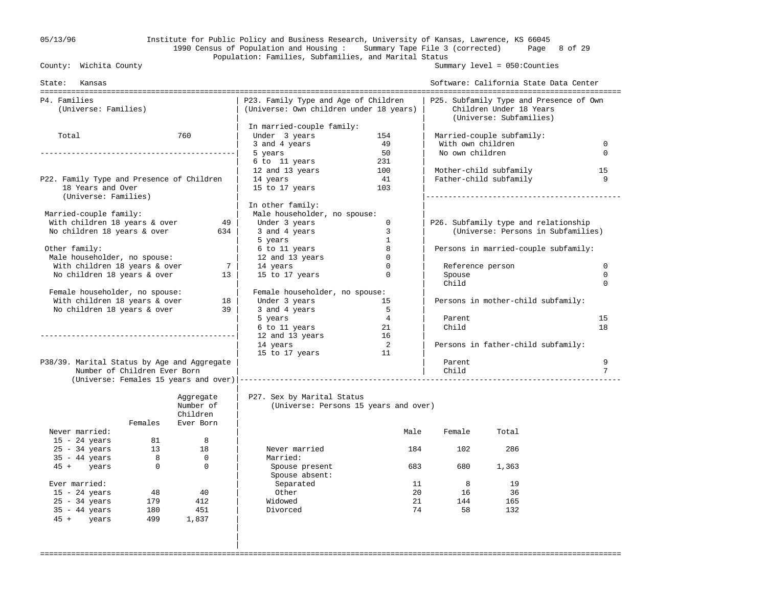## 05/13/96 Institute for Public Policy and Business Research, University of Kansas, Lawrence, KS 66045 1990 Census of Population and Housing : Summary Tape File 3 (corrected) Page 8 of 29 Population: Families, Subfamilies, and Marital Status<br>County: Wichita County

Summary level =  $050$ : Counties

| State: Kansas                               |                              |                |                                                                                 |                |                   | Software: California State Data Center                                                        |             |
|---------------------------------------------|------------------------------|----------------|---------------------------------------------------------------------------------|----------------|-------------------|-----------------------------------------------------------------------------------------------|-------------|
| P4. Families<br>(Universe: Families)        |                              |                | P23. Family Type and Age of Children<br>(Universe: Own children under 18 years) |                |                   | P25. Subfamily Type and Presence of Own<br>Children Under 18 Years<br>(Universe: Subfamilies) |             |
|                                             |                              |                | In married-couple family:                                                       |                |                   |                                                                                               |             |
| Total                                       |                              | 760            | Under 3 years                                                                   | 154            |                   | Married-couple subfamily:                                                                     |             |
|                                             |                              |                | 3 and 4 years                                                                   | 49             | With own children |                                                                                               | $\mathbf 0$ |
|                                             |                              |                | 5 years                                                                         | 50             | No own children   |                                                                                               | $\Omega$    |
|                                             |                              |                | 6 to 11 years                                                                   | 231            |                   |                                                                                               |             |
|                                             |                              |                | 12 and 13 years                                                                 | 100            |                   | Mother-child subfamily                                                                        | 15          |
| P22. Family Type and Presence of Children   |                              |                | 14 years                                                                        | 41             |                   | Father-child subfamily                                                                        | 9           |
| 18 Years and Over<br>(Universe: Families)   |                              |                | 15 to 17 years                                                                  | 103            |                   |                                                                                               |             |
|                                             |                              |                | In other family:                                                                |                |                   |                                                                                               |             |
| Married-couple family:                      |                              |                | Male householder, no spouse:                                                    |                |                   |                                                                                               |             |
| With children 18 years & over               |                              | 49             | Under 3 years                                                                   | $\mathbf 0$    |                   | P26. Subfamily type and relationship                                                          |             |
| No children 18 years & over                 |                              | 634            | 3 and 4 years                                                                   | 3              |                   | (Universe: Persons in Subfamilies)                                                            |             |
|                                             |                              |                | 5 years                                                                         | $\mathbf{1}$   |                   |                                                                                               |             |
| Other family:                               |                              |                | 6 to 11 years                                                                   | 8              |                   | Persons in married-couple subfamily:                                                          |             |
| Male householder, no spouse:                |                              |                | 12 and 13 years                                                                 | $\mathbf 0$    |                   |                                                                                               |             |
| With children 18 years & over               |                              | 7              | 14 years                                                                        | $\Omega$       | Reference person  |                                                                                               | $\mathbf 0$ |
| No children 18 years & over                 |                              | 13             | 15 to 17 years                                                                  | $\Omega$       | Spouse            |                                                                                               | $\mathbf 0$ |
|                                             |                              |                |                                                                                 |                | Child             |                                                                                               | $\Omega$    |
| Female householder, no spouse:              |                              |                | Female householder, no spouse:                                                  |                |                   |                                                                                               |             |
| With children 18 years & over               |                              | 18             | Under 3 years                                                                   | 15             |                   | Persons in mother-child subfamily:                                                            |             |
| No children 18 years & over                 |                              | 39             | 3 and 4 years                                                                   | $5^{\circ}$    |                   |                                                                                               |             |
|                                             |                              |                | 5 years                                                                         | $\overline{4}$ | Parent            |                                                                                               | 15          |
|                                             |                              |                | 6 to 11 years                                                                   | -21            | Child             |                                                                                               | 18          |
|                                             |                              |                | 12 and 13 years                                                                 | 16             |                   |                                                                                               |             |
|                                             |                              |                | 14 years                                                                        | $\overline{2}$ |                   | Persons in father-child subfamily:                                                            |             |
|                                             |                              |                | 15 to 17 years                                                                  | 11             |                   |                                                                                               |             |
| P38/39. Marital Status by Age and Aggregate |                              |                |                                                                                 |                | Parent            |                                                                                               | 9           |
|                                             | Number of Children Ever Born |                |                                                                                 |                | Child             |                                                                                               | 7           |
|                                             |                              |                |                                                                                 |                |                   |                                                                                               |             |
|                                             |                              | Aggregate      | P27. Sex by Marital Status                                                      |                |                   |                                                                                               |             |
|                                             |                              | Number of      | (Universe: Persons 15 years and over)                                           |                |                   |                                                                                               |             |
|                                             |                              | Children       |                                                                                 |                |                   |                                                                                               |             |
|                                             | Females                      | Ever Born      |                                                                                 |                |                   |                                                                                               |             |
| Never married:                              |                              |                |                                                                                 | Male           | Female            | Total                                                                                         |             |
| $15 - 24$ years                             | 81                           | 8              |                                                                                 |                |                   |                                                                                               |             |
| $25 - 34$ years                             | 13                           | 18             | Never married                                                                   | 184            | 102               | 286                                                                                           |             |
| $35 - 44$ years                             | 8 <sup>8</sup>               | $\overline{0}$ | Married:                                                                        |                |                   |                                                                                               |             |
| 45 + years                                  | $\overline{0}$               | $\mathbf 0$    | Spouse present<br>Spouse absent:                                                | 683            | 680               | 1,363                                                                                         |             |
| Ever married:                               |                              |                | Separated                                                                       |                | 8<br>11           | 19                                                                                            |             |
| $15 - 24$ years                             | 48                           | 40             | Other                                                                           | 20             | 16                | -36                                                                                           |             |
| $25 - 34$ years                             | 179                          | 412            | Widowed                                                                         |                | 21<br>144         | 165                                                                                           |             |
| $35 - 44$ years                             | 180                          | 451            | Divorced                                                                        | 74             | 58                | 132                                                                                           |             |
| 45 + years                                  | 499                          | 1,837          |                                                                                 |                |                   |                                                                                               |             |
|                                             |                              |                |                                                                                 |                |                   |                                                                                               |             |
|                                             |                              |                |                                                                                 |                |                   |                                                                                               |             |
|                                             |                              |                |                                                                                 |                |                   |                                                                                               |             |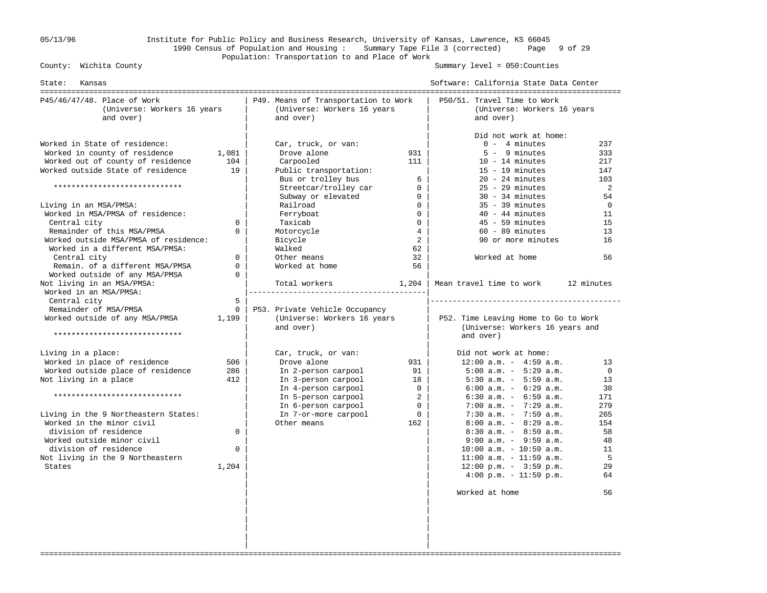## 05/13/96 Institute for Public Policy and Business Research, University of Kansas, Lawrence, KS 66045 1990 Census of Population and Housing : Summary Tape File 3 (corrected) Page 9 of 29 Population: Transportation to and Place of Work<br>County: Wichita County

Summary level =  $050$ : Counties

| State:<br>Kansas                                                                                                                                                                                                                                                                                                                                                                  |                                                    |                                                                                                                                                                                                                                      |                                                                                                                                                    | Software: California State Data Center                                                                                                                                                                                                                                                                                                                                                                                                                                                           |                                                                                                 |
|-----------------------------------------------------------------------------------------------------------------------------------------------------------------------------------------------------------------------------------------------------------------------------------------------------------------------------------------------------------------------------------|----------------------------------------------------|--------------------------------------------------------------------------------------------------------------------------------------------------------------------------------------------------------------------------------------|----------------------------------------------------------------------------------------------------------------------------------------------------|--------------------------------------------------------------------------------------------------------------------------------------------------------------------------------------------------------------------------------------------------------------------------------------------------------------------------------------------------------------------------------------------------------------------------------------------------------------------------------------------------|-------------------------------------------------------------------------------------------------|
| P45/46/47/48. Place of Work<br>(Universe: Workers 16 years<br>and over)                                                                                                                                                                                                                                                                                                           |                                                    | P49. Means of Transportation to Work<br>(Universe: Workers 16 years<br>and over)                                                                                                                                                     |                                                                                                                                                    | P50/51. Travel Time to Work<br>(Universe: Workers 16 years<br>and over)                                                                                                                                                                                                                                                                                                                                                                                                                          |                                                                                                 |
| Worked in State of residence:<br>Worked in county of residence<br>Worked out of county of residence<br>Worked outside State of residence<br>*****************************<br>Living in an MSA/PMSA:<br>Worked in MSA/PMSA of residence:<br>Central city<br>Remainder of this MSA/PMSA<br>Worked outside MSA/PMSA of residence:<br>Worked in a different MSA/PMSA:<br>Central city | 1,081<br>104<br>19<br>0<br>$\Omega$<br>$\Omega$    | Car, truck, or van:<br>Drove alone<br>Carpooled<br>Public transportation:<br>Bus or trolley bus<br>Streetcar/trolley car<br>Subway or elevated<br>Railroad<br>Ferryboat<br>Taxicab<br>Motorcycle<br>Bicycle<br>Walked<br>Other means | 931<br>111<br>6<br>$\overline{0}$<br>$\overline{0}$<br>$\overline{0}$<br>$\Omega$<br>$\mathbf{0}$<br>$4\overline{ }$<br>$\overline{a}$<br>62<br>32 | Did not work at home:<br>$0 - 4$ minutes<br>$5 - 9$ minutes<br>$10 - 14$ minutes<br>$15 - 19$ minutes<br>$20 - 24$ minutes<br>$25 - 29$ minutes<br>$30 - 34$ minutes<br>$35 - 39$ minutes<br>$40 - 44$ minutes<br>$45 - 59$ minutes<br>$60 - 89$ minutes<br>90 or more minutes<br>Worked at home                                                                                                                                                                                                 | 237<br>333<br>217<br>147<br>103<br>2<br>54<br>$\mathbf 0$<br>11<br>15<br>13<br>16<br>56         |
| Remain. of a different MSA/PMSA<br>Worked outside of any MSA/PMSA<br>Not living in an MSA/PMSA:<br>Worked in an MSA/PMSA:<br>Central city                                                                                                                                                                                                                                         | $\mathbf 0$<br>$\Omega$<br>5                       | Worked at home<br>Total workers                                                                                                                                                                                                      | 56<br>1,204                                                                                                                                        | Mean travel time to work                                                                                                                                                                                                                                                                                                                                                                                                                                                                         | 12 minutes                                                                                      |
| Remainder of MSA/PMSA<br>Worked outside of any MSA/PMSA<br>*****************************                                                                                                                                                                                                                                                                                          | $\mathbf{0}$<br>1,199                              | P53. Private Vehicle Occupancy<br>(Universe: Workers 16 years<br>and over)                                                                                                                                                           |                                                                                                                                                    | P52. Time Leaving Home to Go to Work<br>(Universe: Workers 16 years and<br>and over)                                                                                                                                                                                                                                                                                                                                                                                                             |                                                                                                 |
| Living in a place:<br>Worked in place of residence<br>Worked outside place of residence<br>Not living in a place<br>*****************************<br>Living in the 9 Northeastern States:<br>Worked in the minor civil<br>division of residence<br>Worked outside minor civil<br>division of residence<br>Not living in the 9 Northeastern<br>States                              | 506<br>286<br>412<br>$\Omega$<br>$\Omega$<br>1,204 | Car, truck, or van:<br>Drove alone<br>In 2-person carpool<br>In 3-person carpool<br>In 4-person carpool<br>In 5-person carpool<br>In 6-person carpool<br>In 7-or-more carpool<br>Other means                                         | 931<br>91<br>18<br>$\overline{0}$<br>2<br>$\Omega$<br>$\Omega$<br>162                                                                              | Did not work at home:<br>$12:00$ a.m. - $4:59$ a.m.<br>$5:00$ a.m. - $5:29$ a.m.<br>$5:30$ a.m. - $5:59$ a.m.<br>$6:00$ a.m. - $6:29$ a.m.<br>$6:30$ a.m. - $6:59$ a.m.<br>$7:00$ a.m. - $7:29$ a.m.<br>$7:30$ a.m. - $7:59$ a.m.<br>$8:00$ a.m. - $8:29$ a.m.<br>$8:30$ a.m. - $8:59$ a.m.<br>$9:00$ a.m. - $9:59$ a.m.<br>$10:00$ a.m. - $10:59$ a.m.<br>$11:00$ a.m. - $11:59$ a.m.<br>$12:00 \text{ p.m.} - 3:59 \text{ p.m.}$<br>$4:00 \text{ p.m.} - 11:59 \text{ p.m.}$<br>Worked at home | 13<br>$\Omega$<br>13<br>38<br>171<br>279<br>265<br>154<br>58<br>48<br>11<br>5<br>29<br>64<br>56 |
|                                                                                                                                                                                                                                                                                                                                                                                   |                                                    |                                                                                                                                                                                                                                      |                                                                                                                                                    |                                                                                                                                                                                                                                                                                                                                                                                                                                                                                                  |                                                                                                 |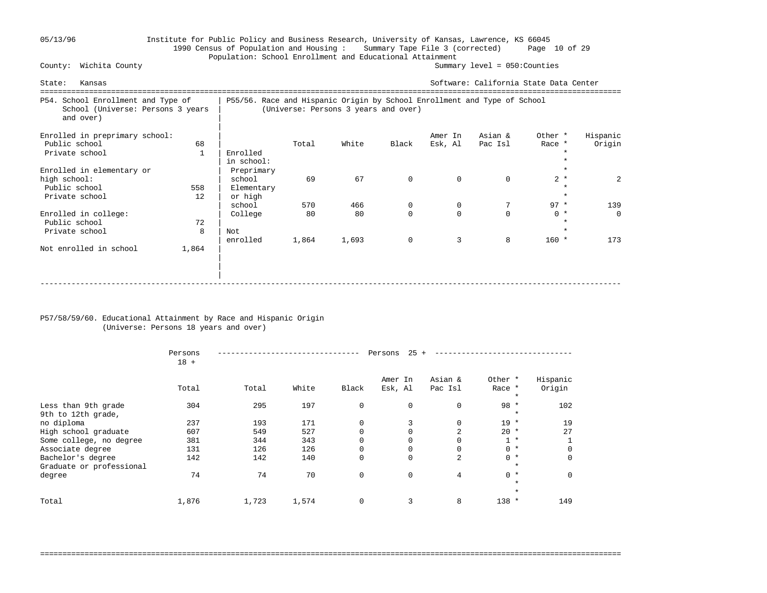#### 05/13/96 Institute for Public Policy and Business Research, University of Kansas, Lawrence, KS 66045 1990 Census of Population and Housing : Summary Tape File 3 (corrected) Page 10 of 29 Population: School Enrollment and Educational Attainment<br>Summar Summar Summary level =  $050$ : Counties

State: Kansas Software: California State Data Center =================================================================================================================================== School Enrollment and Type of | P55/56. Race and Hispanic Origin by School Enrollment and Type of School<br>School (Universe: Persons 3 years | (Universe: Persons 3 years and over) (Universe: Persons 3 years and over) and over) | Enrolled in preprimary school:  $\begin{array}{ccc} \mid & \mid & \mid & \text{MME} & \text{MME} & \text{MME} & \text{MHE} \mid \end{array}$  and  $\begin{array}{ccc} \text{EME} & \text{MHE} & \text{MHE} & \text{MHE} & \text{MHE} & \text{MHE} & \text{MHE} & \text{MHE} & \text{MHE} & \text{MHE} & \text{MHE} & \text{MHE} & \text{MHE} & \text{MHE} & \text{MHE} & \text{MHE} & \text{MHE} & \text{MHE} &$  Public school 68 | Total White Black Esk, Al Pac Isl Race \* Origin Private school 1 | Enrolled \*  $\ln \text{ school}:$ Enrolled in elementary or  $\begin{array}{c|ccc}\n & & \text{Preprimary} & & \\
 & & \text{steprimary} & & \\
\hline\n\end{array}$ high school: | school 69 67 0 0 2 \* 2 Public school 558 | Elementary \* Private school  $\qquad \qquad 12 \qquad \text{or high}$  | school 570 466 0 0 7 97 \* 139 Enrolled in college:  $\begin{array}{cccccccc} \text{Enrolled in college} & & & \text{1} & & \text{College} & & & 80 & & 80 & & 0 & & 0 & & 0 & & \star & & 0 \ \text{Public school} & & & & & & & & 72 & & \end{array}$ Public school  $\overline{72}$  | \* Private school  $\begin{array}{ccc} 8 & | \,\text{Not} \end{array}$  | enrolled 1,864 1,693 0 3 8 160 \* 173 Not enrolled in school 1,864 | | | -----------------------------------------------------------------------------------------------------------------------------------

#### P57/58/59/60. Educational Attainment by Race and Hispanic Origin (Universe: Persons 18 years and over)

|                                           | Persons<br>$18 +$ |       |       |             | 25<br>Persons      |                    |                              |                    |
|-------------------------------------------|-------------------|-------|-------|-------------|--------------------|--------------------|------------------------------|--------------------|
|                                           | Total             | Total | White | Black       | Amer In<br>Esk, Al | Asian &<br>Pac Isl | Other *<br>Race *            | Hispanic<br>Origin |
| Less than 9th grade<br>9th to 12th grade, | 304               | 295   | 197   | 0           | $\mathbf 0$        | 0                  | $\star$<br>$98 *$<br>$\star$ | 102                |
| no diploma                                | 237               | 193   | 171   | 0           | 3                  | 0                  | $19 *$                       | 19                 |
| High school graduate                      | 607               | 549   | 527   | $\Omega$    |                    | $\overline{a}$     | $20 *$                       | 27                 |
| Some college, no degree                   | 381               | 344   | 343   | $\Omega$    |                    | 0                  | $1 *$                        |                    |
| Associate degree                          | 131               | 126   | 126   | 0           | 0                  | 0                  | $0 *$                        | 0                  |
| Bachelor's degree                         | 142               | 142   | 140   | 0           | $\Omega$           | 2                  | $0 *$                        | $\Omega$           |
| Graduate or professional                  |                   |       |       |             |                    |                    | $\star$                      |                    |
| degree                                    | 74                | 74    | 70    | $\mathbf 0$ | $\Omega$           | 4                  | $0 *$                        | $\Omega$           |
|                                           |                   |       |       |             |                    |                    | $\star$                      |                    |
|                                           |                   |       |       |             |                    |                    | $\star$                      |                    |
| Total                                     | 1,876             | 1,723 | 1,574 | 0           | 3                  | 8                  | $138 *$                      | 149                |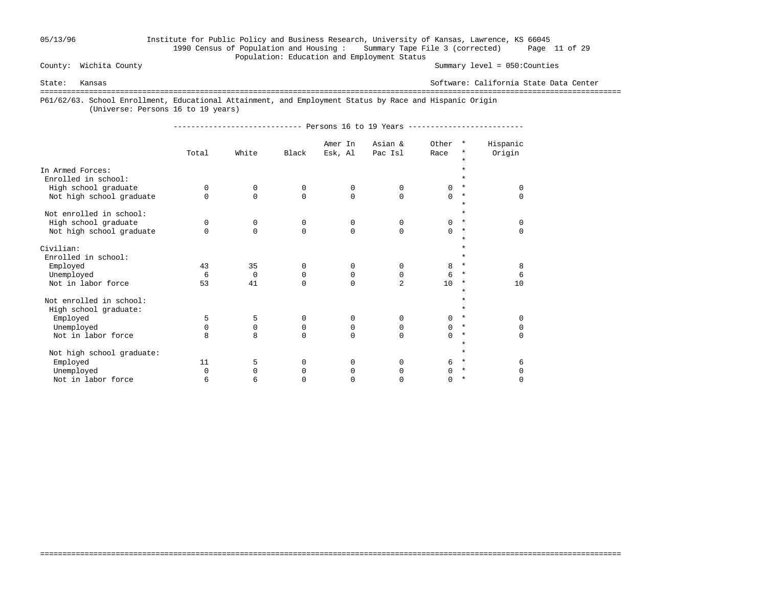## 05/13/96 Institute for Public Policy and Business Research, University of Kansas, Lawrence, KS 66045 1990 Census of Population and Housing : Summary Tape File 3 (corrected) Page 11 of 29 Population: Education and Employment Status

Summary level =  $050$ : Counties

State: Kansas Software: California State Data Center

===================================================================================================================================

===================================================================================================================================

P61/62/63. School Enrollment, Educational Attainment, and Employment Status by Race and Hispanic Origin

(Universe: Persons 16 to 19 years)

----------------------------- Persons 16 to 19 Years --------------------------

|                                         |          |          |             | Amer In  | Asian &        | Other    | $\star$             | Hispanic |
|-----------------------------------------|----------|----------|-------------|----------|----------------|----------|---------------------|----------|
|                                         | Total    | White    | Black       | Esk, Al  | Pac Isl        | Race     | *                   | Origin   |
|                                         |          |          |             |          |                |          | $\star$             |          |
| In Armed Forces:<br>Enrolled in school: |          |          |             |          |                |          | *                   |          |
| High school graduate                    | $\Omega$ | 0        | $\mathbf 0$ | 0        | 0              | $\Omega$ | $\star$             | $\Omega$ |
| Not high school graduate                | $\Omega$ | $\Omega$ | $\Omega$    | $\Omega$ | $\Omega$       | $\Omega$ | $^\star$<br>$\star$ | $\Omega$ |
| Not enrolled in school:                 |          |          |             |          |                |          | $\star$             |          |
| High school graduate                    | $\Omega$ | 0        | 0           | 0        | $\Omega$       | 0        | $^\ast$             | $\Omega$ |
| Not high school graduate                | $\cap$   | $\Omega$ | $\Omega$    | $\Omega$ | $\Omega$       | $\Omega$ | $\ast$              | $\Omega$ |
|                                         |          |          |             |          |                |          | $\star$             |          |
| Civilian:                               |          |          |             |          |                |          | *                   |          |
| Enrolled in school:                     |          |          |             |          |                |          | ÷                   |          |
| Employed                                | 43       | 35       | 0           | 0        | $\Omega$       | 8        | $\star$             | 8        |
| Unemployed                              | 6        | 0        | 0           | 0        | $\Omega$       | 6        | $^\ast$             | 6        |
| Not in labor force                      | 53       | 41       | $\Omega$    | $\Omega$ | $\overline{a}$ | 10       | $\ast$              | 10       |
| Not enrolled in school:                 |          |          |             |          |                |          | $\star$<br>$\star$  |          |
| High school graduate:                   |          |          |             |          |                |          | $\star$             |          |
| Employed                                | 5        | 5        | 0           | 0        | $\Omega$       | $\Omega$ | $\star$             | $\Omega$ |
| Unemployed                              | $\Omega$ | 0        | 0           | 0        | $\Omega$       | $\Omega$ | $^\star$            | $\Omega$ |
| Not in labor force                      | 8        | 8        | $\Omega$    | $\Omega$ | $\Omega$       | $\cap$   | $\star$             | $\Omega$ |
| Not high school graduate:               |          |          |             |          |                |          | $\star$<br>$\star$  |          |
| Employed                                | 11       | 5        | $\Omega$    | $\Omega$ | $\Omega$       | 6        | $\star$             | 6        |
| Unemployed                              | $\Omega$ | $\Omega$ | $\Omega$    | $\Omega$ | 0              | 0        | $\star$             | $\Omega$ |
| Not in labor force                      | 6        | 6        | 0           | U        | O              | 0        | $\star$             | $\Omega$ |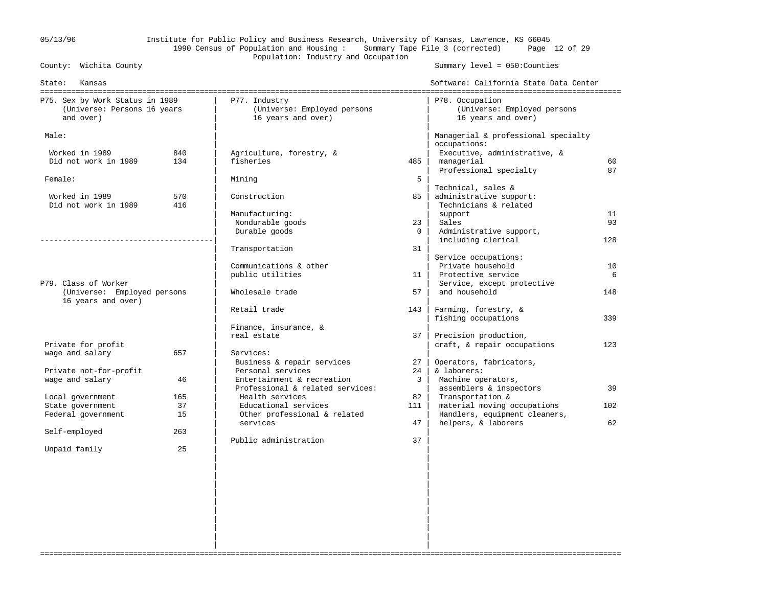## 05/13/96 Institute for Public Policy and Business Research, University of Kansas, Lawrence, KS 66045 1990 Census of Population and Housing : Summary Tape File 3 (corrected) Page 12 of 29 Population: Industry and Occupation<br>County: Wichita County

Summary level =  $050$ : Counties

| State:<br>Kansas                                                            |     |                                                                    |                | Software: California State Data Center                               |     |
|-----------------------------------------------------------------------------|-----|--------------------------------------------------------------------|----------------|----------------------------------------------------------------------|-----|
| P75. Sex by Work Status in 1989<br>(Universe: Persons 16 years<br>and over) |     | P77. Industry<br>(Universe: Employed persons<br>16 years and over) |                | P78. Occupation<br>(Universe: Employed persons<br>16 years and over) |     |
| Male:                                                                       |     |                                                                    |                | Managerial & professional specialty                                  |     |
| Worked in 1989                                                              | 840 | Agriculture, forestry, &                                           |                | occupations:<br>Executive, administrative, &                         |     |
| Did not work in 1989                                                        | 134 | fisheries                                                          | 485            | managerial                                                           | 60  |
|                                                                             |     |                                                                    |                | Professional specialty                                               | 87  |
| Female:                                                                     |     | Mining                                                             | 5              |                                                                      |     |
|                                                                             |     |                                                                    |                | Technical, sales &                                                   |     |
| Worked in 1989                                                              | 570 | Construction                                                       | 85             | administrative support:                                              |     |
| Did not work in 1989                                                        | 416 |                                                                    |                | Technicians & related                                                |     |
|                                                                             |     | Manufacturing:                                                     |                | support                                                              | 11  |
|                                                                             |     | Nondurable goods                                                   | 23             | Sales                                                                | 93  |
|                                                                             |     | Durable goods                                                      | $\overline{0}$ | Administrative support,                                              |     |
|                                                                             |     |                                                                    | 31             | including clerical                                                   | 128 |
|                                                                             |     | Transportation                                                     |                | Service occupations:                                                 |     |
|                                                                             |     | Communications & other                                             |                | Private household                                                    | 10  |
|                                                                             |     | public utilities                                                   | 11             | Protective service                                                   | 6   |
| P79. Class of Worker                                                        |     |                                                                    |                | Service, except protective                                           |     |
| (Universe: Employed persons                                                 |     | Wholesale trade                                                    | 57             | and household                                                        | 148 |
| 16 years and over)                                                          |     |                                                                    |                |                                                                      |     |
|                                                                             |     | Retail trade                                                       | 143            | Farming, forestry, &                                                 |     |
|                                                                             |     |                                                                    |                | fishing occupations                                                  | 339 |
|                                                                             |     | Finance, insurance, &                                              |                |                                                                      |     |
|                                                                             |     | real estate                                                        | 37             | Precision production,                                                |     |
| Private for profit                                                          |     |                                                                    |                | craft, & repair occupations                                          | 123 |
| wage and salary                                                             | 657 | Services:                                                          |                |                                                                      |     |
|                                                                             |     | Business & repair services<br>Personal services                    | 27             | Operators, fabricators,                                              |     |
| Private not-for-profit<br>wage and salary                                   | 46  | Entertainment & recreation                                         | 24<br>3        | & laborers:<br>Machine operators,                                    |     |
|                                                                             |     | Professional & related services:                                   |                | assemblers & inspectors                                              | 39  |
| Local government                                                            | 165 | Health services                                                    | 82             | Transportation &                                                     |     |
| State government                                                            | 37  | Educational services                                               | 111            | material moving occupations                                          | 102 |
| Federal government                                                          | 15  | Other professional & related                                       |                | Handlers, equipment cleaners,                                        |     |
|                                                                             |     | services                                                           | 47             | helpers, & laborers                                                  | 62  |
| Self-employed                                                               | 263 |                                                                    |                |                                                                      |     |
|                                                                             |     | Public administration                                              | 37             |                                                                      |     |
| Unpaid family                                                               | 25  |                                                                    |                |                                                                      |     |
|                                                                             |     |                                                                    |                |                                                                      |     |
|                                                                             |     |                                                                    |                |                                                                      |     |
|                                                                             |     |                                                                    |                |                                                                      |     |
|                                                                             |     |                                                                    |                |                                                                      |     |
|                                                                             |     |                                                                    |                |                                                                      |     |
|                                                                             |     |                                                                    |                |                                                                      |     |
|                                                                             |     |                                                                    |                |                                                                      |     |
|                                                                             |     |                                                                    |                |                                                                      |     |
|                                                                             |     |                                                                    |                |                                                                      |     |
|                                                                             |     |                                                                    |                |                                                                      |     |

===================================================================================================================================

| |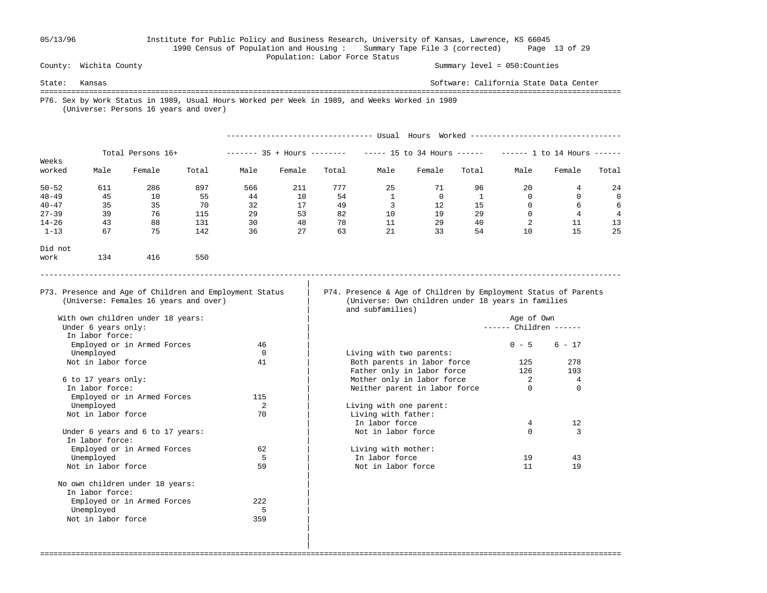### 05/13/96 Institute for Public Policy and Business Research, University of Kansas, Lawrence, KS 66045 1990 Census of Population and Housing : Summary Tape File 3 (corrected) Page 13 of 29 Population: Labor Force Status

Summary level =  $050$ : Counties

State: Kansas Software: California State Data Center =================================================================================================================================== P76. Sex by Work Status in 1989, Usual Hours Worked per Week in 1989, and Weeks Worked in 1989 (Universe: Persons 16 years and over) --------------------------------- Usual Hours Worked ---------------------------------- Total Persons 16+ ------- 35 + Hours ------- ----- 15 to 34 Hours ------ ----- 1 to 14 Hours -----

| Weeks     |      |        |       |      |        |       |      |        |       |      |        |       |
|-----------|------|--------|-------|------|--------|-------|------|--------|-------|------|--------|-------|
| worked    | Male | Female | Total | Male | Female | Total | Male | Female | Total | Male | Female | Total |
| $50 - 52$ | 611  | 286    | 897   | 566  | 211    | 777   | 25   | 71     | 96    | 20   |        | 24    |
| $48 - 49$ | 45   | 10     | 55    | 44   | 10     | 54    |      |        |       |      |        | 0     |
| $40 - 47$ | 35   | 35     | 70    | 32   | 17     | 49    |      | 12     | 15    |      |        | 6     |
| $27 - 39$ | 39   | 76     | 115   | 29   | 53     | 82    | 10   | 19     | 29    |      |        | 4     |
| $14 - 26$ | 43   | 88     | 131   | 30   | 48     | 78    | 11   | 29     | 40    |      | ᆂᆂ     | 13    |
| $1 - 13$  | 67   | 75     | 142   | 36   | 27     | 63    | 21   | 33     | 54    | 10   | ᅶ      | 25    |

-----------------------------------------------------------------------------------------------------------------------------------

===================================================================================================================================

Did not

| work | 134 | 416 | 550 |
|------|-----|-----|-----|

|

P73. Presence and Age of Children and Employment Status | P74. Presence & Age of Children by Employment Status of Parents (Universe: Females 16 years and over) | (Universe: Own children under 18 years in families (Universe: Own children under 18 years in families and subfamilies)

| Employed or in Armed Forces      | 46  |                               | $1 - 5$ | $6 - 17$       |
|----------------------------------|-----|-------------------------------|---------|----------------|
| Unemployed                       |     | Living with two parents:      |         |                |
| Not in labor force               | 41  | Both parents in labor force   | 125     | 278            |
|                                  |     | Father only in labor force    | 126     | 193            |
| 6 to 17 years only:              |     | Mother only in labor force    |         | $\overline{4}$ |
| In labor force:                  |     | Neither parent in labor force |         | $\Omega$       |
| Employed or in Armed Forces      | 115 |                               |         |                |
| Unemployed                       |     | Living with one parent:       |         |                |
| Not in labor force               | 70  | Living with father:           |         |                |
|                                  |     | In labor force                |         | 12             |
| Under 6 years and 6 to 17 years: |     | Not in labor force            |         | 3              |
| In labor force:                  |     |                               |         |                |
| Employed or in Armed Forces      | 62  | Living with mother:           |         |                |
| Unemployed                       |     | In labor force                | 19      | 43             |
| Not in labor force               | 59  | Not in labor force            |         | 19             |

| With own children under 18 years: |          | Age of Own                    |                        |               |  |  |  |
|-----------------------------------|----------|-------------------------------|------------------------|---------------|--|--|--|
| Under 6 years only:               |          |                               | ------ Children ------ |               |  |  |  |
| In labor force:                   |          |                               |                        |               |  |  |  |
| Employed or in Armed Forces       | 46       |                               | $0 - 5$                | $6 - 17$      |  |  |  |
| Unemployed                        | $\Omega$ | Living with two parents:      |                        |               |  |  |  |
| Not in labor force                | 41       | Both parents in labor force   | 125                    | 278           |  |  |  |
|                                   |          | Father only in labor force    | 126                    | 193           |  |  |  |
| 6 to 17 years only:               |          | Mother only in labor force    | 2                      | 4             |  |  |  |
| In labor force:                   |          | Neither parent in labor force | 0                      | $\Omega$      |  |  |  |
| Employed or in Armed Forces       | 115      |                               |                        |               |  |  |  |
| Unemployed                        |          | Living with one parent:       |                        |               |  |  |  |
| Not in labor force                | 70       | Living with father:           |                        |               |  |  |  |
|                                   |          | In labor force                | 4                      | 12            |  |  |  |
| Under 6 years and 6 to 17 years:  |          | Not in labor force            | $\Omega$               | $\mathcal{L}$ |  |  |  |
| In labor force:                   |          |                               |                        |               |  |  |  |
| Employed or in Armed Forces       | 62       | Living with mother:           |                        |               |  |  |  |
| Unemployed                        |          | In labor force                | 19                     | 43            |  |  |  |
| Not in labor force                | 59       | Not in labor force            | 11                     | 19            |  |  |  |
| No own children under 18 years:   |          |                               |                        |               |  |  |  |
| In labor force:                   |          |                               |                        |               |  |  |  |
| Employed or in Armed Forces       | 222      |                               |                        |               |  |  |  |
| Unemployed                        | 5        |                               |                        |               |  |  |  |
| Not in labor force                | 359      |                               |                        |               |  |  |  |
|                                   |          |                               |                        |               |  |  |  |

 | |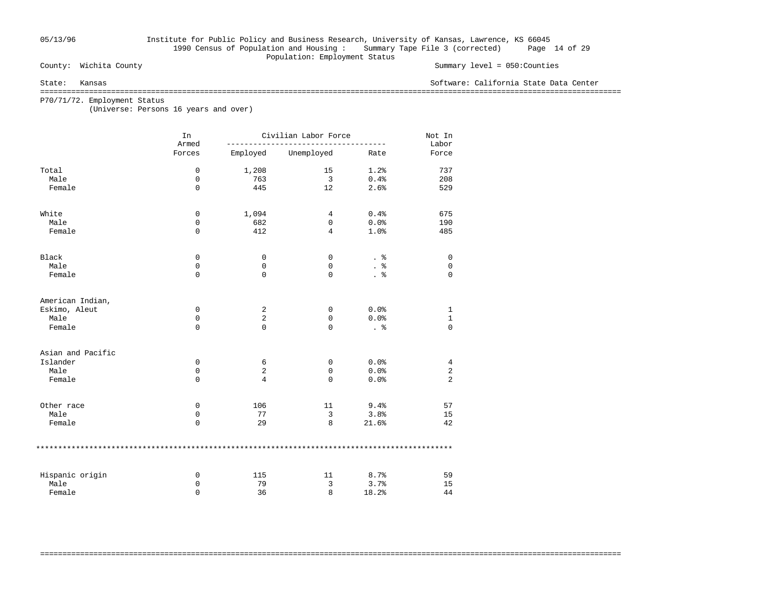## 05/13/96 Institute for Public Policy and Business Research, University of Kansas, Lawrence, KS 66045 1990 Census of Population and Housing : Summary Tape File 3 (corrected) Page 14 of 29 Population: Employment Status<br>
County: Wichita County

#### Summary level =  $050$ : Counties

State: Kansas Software: California State Data Center

===================================================================================================================================

===================================================================================================================================

P70/71/72. Employment Status

(Universe: Persons 16 years and over)

|                   | In<br>Armed | Civilian Labor Force |             | Not In<br>Labor |                |
|-------------------|-------------|----------------------|-------------|-----------------|----------------|
|                   | Forces      | Employed             | Unemployed  | Rate            | Force          |
| Total             | $\mathbf 0$ | 1,208                | 15          | 1.2%            | 737            |
| Male              | 0           | 763                  | 3           | 0.4%            | 208            |
| Female            | $\Omega$    | 445                  | 12          | 2.6%            | 529            |
| White             | $\mathbf 0$ | 1,094                | 4           | 0.4%            | 675            |
| Male              | 0           | 682                  | 0           | 0.0%            | 190            |
| Female            | $\mathbf 0$ | 412                  | 4           | 1.0%            | 485            |
| Black             | 0           | 0                    | 0           | . 응             | 0              |
| Male              | 0           | 0                    | 0           | . $\frac{6}{6}$ | $\mathbf 0$    |
| Female            | $\mathbf 0$ | $\mathbf 0$          | 0           | . 응             | $\mathbf 0$    |
| American Indian,  |             |                      |             |                 |                |
| Eskimo, Aleut     | 0           | 2                    | 0           | 0.0%            | 1              |
| Male              | 0           | $\overline{c}$       | 0           | 0.0%            | $\mathbf{1}$   |
| Female            | $\mathbf 0$ | $\mathbf 0$          | $\Omega$    | . 응             | $\Omega$       |
| Asian and Pacific |             |                      |             |                 |                |
| Islander          | 0           | 6                    | 0           | 0.0%            | $\overline{4}$ |
| Male              | 0           | $\overline{2}$       | $\mathbf 0$ | 0.0%            | $\overline{2}$ |
| Female            | $\mathbf 0$ | 4                    | 0           | 0.0%            | $\overline{a}$ |
| Other race        | 0           | 106                  | 11          | 9.4%            | 57             |
| Male              | $\mathbf 0$ | 77                   | 3           | 3.8%            | 15             |
| Female            | $\mathbf 0$ | 29                   | 8           | 21.6%           | 42             |
|                   |             |                      |             |                 |                |
| Hispanic origin   | 0           | 115                  | 11          | 8.7%            | 59             |
| Male              | 0           | 79                   | 3           | 3.7%            | 15             |
| Female            | $\Omega$    | 36                   | 8           | 18.2%           | 44             |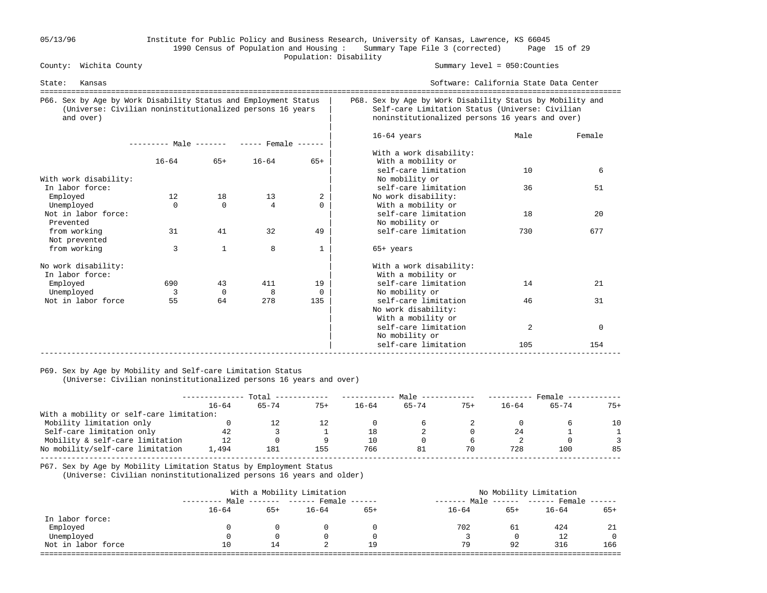### 05/13/96 Institute for Public Policy and Business Research, University of Kansas, Lawrence, KS 66045 1990 Census of Population and Housing : Summary Tape File 3 (corrected) Page 15 of 29 Population: Disability<br>
County: Wichita County

Summary level =  $050$ : Counties

| Kansas<br>State:                                                                                                                          |                                     |              |                |              | Software: California State Data Center                                                                                                                          | =========================== |          |  |  |
|-------------------------------------------------------------------------------------------------------------------------------------------|-------------------------------------|--------------|----------------|--------------|-----------------------------------------------------------------------------------------------------------------------------------------------------------------|-----------------------------|----------|--|--|
| P66. Sex by Age by Work Disability Status and Employment Status<br>(Universe: Civilian noninstitutionalized persons 16 years<br>and over) |                                     |              |                |              | P68. Sex by Age by Work Disability Status by Mobility and<br>Self-care Limitation Status (Universe: Civilian<br>noninstitutionalized persons 16 years and over) |                             |          |  |  |
|                                                                                                                                           | $------$ Male $-- ---$ Female $---$ |              |                |              | $16-64$ years                                                                                                                                                   | Male                        | Female   |  |  |
|                                                                                                                                           | $16 - 64$                           | $65+$        | $16 - 64$      | $65+$        | With a work disability:<br>With a mobility or                                                                                                                   |                             |          |  |  |
| With work disability:                                                                                                                     |                                     |              |                |              | self-care limitation<br>No mobility or                                                                                                                          | 10                          | 6        |  |  |
| In labor force:                                                                                                                           |                                     |              |                |              | self-care limitation                                                                                                                                            | 36                          | 51       |  |  |
| Employed                                                                                                                                  | 12                                  | 18           | 13             | 2            | No work disability:                                                                                                                                             |                             |          |  |  |
| Unemployed                                                                                                                                | $\Omega$                            | $\Omega$     | $\overline{4}$ | $\Omega$     | With a mobility or                                                                                                                                              |                             |          |  |  |
| Not in labor force:<br>Prevented                                                                                                          |                                     |              |                |              | self-care limitation<br>No mobility or                                                                                                                          | 18                          | 20       |  |  |
| from working<br>Not prevented                                                                                                             | 31                                  | 41           | 32             | 49           | self-care limitation                                                                                                                                            | 730                         | 677      |  |  |
| from working                                                                                                                              | 3                                   | $\mathbf{1}$ | 8              | $\mathbf{1}$ | $65+$ years                                                                                                                                                     |                             |          |  |  |
| No work disability:<br>In labor force:                                                                                                    |                                     |              |                |              | With a work disability:<br>With a mobility or                                                                                                                   |                             |          |  |  |
| Employed                                                                                                                                  | 690                                 | 43           | 411            | 19           | self-care limitation                                                                                                                                            | 14                          | 21       |  |  |
| Unemployed                                                                                                                                | 3                                   | $\Omega$     | 8              | $\Omega$     | No mobility or                                                                                                                                                  |                             |          |  |  |
| Not in labor force                                                                                                                        | 55                                  | 64           | 278            | 135          | self-care limitation<br>No work disability:<br>With a mobility or                                                                                               | 46                          | 31       |  |  |
|                                                                                                                                           |                                     |              |                |              | self-care limitation<br>No mobility or                                                                                                                          | 2                           | $\Omega$ |  |  |
|                                                                                                                                           |                                     |              |                |              | self-care limitation                                                                                                                                            | 105                         | 154      |  |  |

#### P69. Sex by Age by Mobility and Self-care Limitation Status

(Universe: Civilian noninstitutionalized persons 16 years and over)

|                                          | Total     |           |       | Male      |           |       | Female    |           |          |
|------------------------------------------|-----------|-----------|-------|-----------|-----------|-------|-----------|-----------|----------|
|                                          | $16 - 64$ | $65 - 74$ | $75+$ | $16 - 64$ | $65 - 74$ | $75+$ | $16 - 64$ | $65 - 74$ | $75+$    |
| With a mobility or self-care limitation: |           |           |       |           |           |       |           |           |          |
| Mobility limitation only                 |           | 12        |       |           |           |       |           |           | $10^{-}$ |
| Self-care limitation only                | 42        |           |       | 18        |           |       | 24        |           |          |
| Mobility & self-care limitation          | 12        |           |       | 10        |           |       |           |           |          |
| No mobility/self-care limitation         | 1,494     | 181       | 155   | 766       |           | 70    | 728       | 100       | 85       |
|                                          |           |           |       |           |           |       |           |           |          |

P67. Sex by Age by Mobility Limitation Status by Employment Status

(Universe: Civilian noninstitutionalized persons 16 years and older)

|                    |           |       | With a Mobility Limitation        |       | No Mobility Limitation |       |                             |              |  |  |
|--------------------|-----------|-------|-----------------------------------|-------|------------------------|-------|-----------------------------|--------------|--|--|
|                    |           |       | Male ------- ------ Female ------ |       | $------$ Male $\cdot$  |       | $----- - --- Fromale -----$ |              |  |  |
|                    | $16 - 64$ | $65+$ | $16 - 64$                         | $65+$ | $16 - 64$              | $65+$ | $16 - 64$                   | $65+$        |  |  |
| In labor force:    |           |       |                                   |       |                        |       |                             |              |  |  |
| Employed           |           |       |                                   |       | 702                    | -61   | 424                         | 21           |  |  |
| Unemployed         |           |       |                                   |       |                        | 0     | 12                          | $\mathbf{0}$ |  |  |
| Not in labor force | 10        | 14    |                                   | 19    | 79                     | 92    | 316                         | 166          |  |  |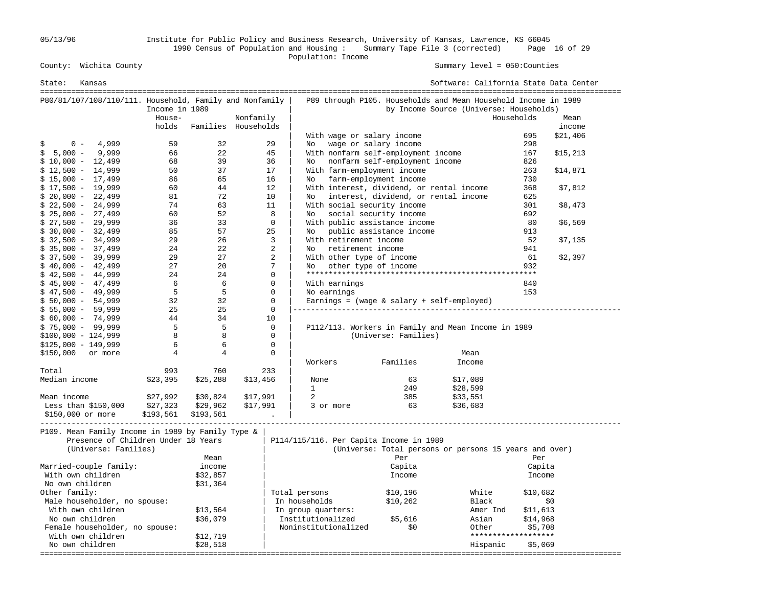05/13/96 Institute for Public Policy and Business Research, University of Kansas, Lawrence, KS 66045 1990 Census of Population and Housing : Summary Tape File 3 (corrected) Page 16 of 29 Population: Income

Summary level =  $050$ : Counties

| State:<br>Kansas                                                                                                 |                |                      |                     |                                                       |                                      | Software: California State Data Center                                                                    |                     |          |
|------------------------------------------------------------------------------------------------------------------|----------------|----------------------|---------------------|-------------------------------------------------------|--------------------------------------|-----------------------------------------------------------------------------------------------------------|---------------------|----------|
| P80/81/107/108/110/111. Household, Family and Nonfamily                                                          | Income in 1989 |                      |                     |                                                       |                                      | P89 through P105. Households and Mean Household Income in 1989<br>by Income Source (Universe: Households) |                     |          |
|                                                                                                                  | House-         |                      | Nonfamily           |                                                       |                                      |                                                                                                           | Households          | Mean     |
|                                                                                                                  | holds          |                      | Families Households |                                                       |                                      |                                                                                                           |                     | income   |
|                                                                                                                  |                |                      |                     | With wage or salary income                            |                                      |                                                                                                           | 695                 | \$21,406 |
| 4,999<br>$0 -$<br>S                                                                                              | 59             | 32                   | 29                  | No wage or salary income                              |                                      |                                                                                                           | 298                 |          |
| $$5,000 -$<br>9,999                                                                                              | 66             | 22                   | 45                  | With nonfarm self-employment income                   |                                      |                                                                                                           | 167                 | \$15,213 |
| $$10,000 - 12,499$                                                                                               | 68             | 39                   | 36                  | No nonfarm self-employment income                     |                                      |                                                                                                           | 826                 |          |
| $$12,500 - 14,999$                                                                                               | 50             | 37                   | 17                  | With farm-employment income                           |                                      |                                                                                                           | 263                 | \$14,871 |
| $$15,000 - 17,499$                                                                                               | 86             | 65                   | 16                  | No farm-employment income                             |                                      |                                                                                                           | 730                 |          |
| $$17,500 - 19,999$                                                                                               | 60             | 44                   | 12                  | With interest, dividend, or rental income             |                                      |                                                                                                           | 368                 | \$7,812  |
| $$20,000 - 22,499$                                                                                               | 81             | 72                   | 10                  | No                                                    | interest, dividend, or rental income |                                                                                                           | 625                 |          |
| $$22,500 - 24,999$                                                                                               | 74             | 63                   | 11                  | With social security income                           |                                      |                                                                                                           | 301                 | \$8,473  |
| $$25,000 - 27,499$                                                                                               | 60             | 52                   | 8<br>$\Omega$       | No                                                    | social security income               |                                                                                                           | 692                 |          |
| $$27,500 - 29,999$                                                                                               | 36<br>85       | 33<br>57             | 25                  | With public assistance income                         |                                      |                                                                                                           | 80<br>913           | \$6,569  |
| $$30,000 - 32,499$                                                                                               | 29             | 26                   | 3                   | No public assistance income<br>With retirement income |                                      |                                                                                                           |                     |          |
| $$32,500 - 34,999$<br>$$35,000 - 37,499$                                                                         | 24             | 22                   | 2                   | No retirement income                                  |                                      |                                                                                                           | 52<br>941           | \$7,135  |
| $$37,500 - 39,999$                                                                                               | 29             | 27                   | 2                   | With other type of income                             |                                      |                                                                                                           | 61                  | \$2,397  |
| $$40,000 - 42,499$                                                                                               | 27             | 20                   | 7                   | No                                                    | other type of income                 |                                                                                                           | 932                 |          |
| $$42,500 - 44,999$                                                                                               | 24             | 24                   | $\mathsf 0$         |                                                       |                                      | *************************                                                                                 |                     |          |
| $$45,000 - 47,499$                                                                                               | 6              | - 6                  | $\mathbf{0}$        | With earnings                                         |                                      |                                                                                                           | 840                 |          |
| $$47,500 - 49,999$                                                                                               | 5              | 5                    | 0                   | No earnings                                           |                                      |                                                                                                           | 153                 |          |
| $$50,000 - 54,999$                                                                                               | 32             | 32                   | $\mathbf 0$         | Earnings = $(wage & salary + self-emploved)$          |                                      |                                                                                                           |                     |          |
| $$55,000 - 59,999$                                                                                               | 25             | 25                   | $\mathbf 0$         |                                                       |                                      |                                                                                                           |                     |          |
| $$60,000 - 74,999$                                                                                               | 44             | 34                   | 10                  |                                                       |                                      |                                                                                                           |                     |          |
| $$75,000 - 99,999$                                                                                               | 5              | - 5                  | $\mathbf 0$         |                                                       |                                      | P112/113. Workers in Family and Mean Income in 1989                                                       |                     |          |
| $$100,000 - 124,999$                                                                                             | 8              | 8                    | $\mathbf 0$         |                                                       | (Universe: Families)                 |                                                                                                           |                     |          |
| $$125,000 - 149,999$                                                                                             | 6              | 6                    | $\mathbf{0}$        |                                                       |                                      |                                                                                                           |                     |          |
| \$150,000 or more                                                                                                | $\overline{4}$ | $\overline{4}$       | $\mathbf{0}$        |                                                       |                                      | Mean                                                                                                      |                     |          |
|                                                                                                                  |                |                      |                     | Workers                                               | Families                             | Income                                                                                                    |                     |          |
| Total                                                                                                            | 993            | 760                  | 233                 |                                                       |                                      |                                                                                                           |                     |          |
| Median income                                                                                                    | \$23,395       | \$25,288             | \$13,456            | None                                                  | 63                                   | \$17,089                                                                                                  |                     |          |
|                                                                                                                  |                |                      |                     | $\mathbf{1}$                                          | 249                                  | \$28,599                                                                                                  |                     |          |
| Mean income                                                                                                      | \$27,992       | \$30,824             | \$17,991            | 2                                                     | 385                                  | \$33,551                                                                                                  |                     |          |
| Less than $$150,000$                                                                                             | \$27,323       | \$29,962             | \$17,991            | 3 or more                                             | 63                                   | \$36,683                                                                                                  |                     |          |
| \$150,000 or more                                                                                                | \$193,561      | \$193,561            |                     |                                                       |                                      |                                                                                                           |                     |          |
| P109. Mean Family Income in 1989 by Family Type &<br>Presence of Children Under 18 Years<br>(Universe: Families) |                | Mean                 |                     | P114/115/116. Per Capita Income in 1989               |                                      | (Universe: Total persons or persons 15 years and over)                                                    | Per                 |          |
|                                                                                                                  |                |                      |                     |                                                       | Per                                  |                                                                                                           |                     |          |
| Married-couple family:<br>With own children                                                                      |                | income               |                     |                                                       | Capita                               |                                                                                                           | Capita              |          |
|                                                                                                                  |                | \$32,857             |                     |                                                       | Income                               |                                                                                                           | Income              |          |
| No own children<br>Other family:                                                                                 |                | \$31,364             |                     |                                                       | \$10,196                             | White                                                                                                     | \$10,682            |          |
|                                                                                                                  |                |                      |                     | Total persons                                         |                                      |                                                                                                           |                     |          |
| Male householder, no spouse:<br>With own children                                                                |                |                      |                     | In households                                         | \$10,262                             | Black                                                                                                     |                     | \$0      |
|                                                                                                                  |                | \$13,564             |                     | In group quarters:                                    |                                      | Amer Ind                                                                                                  | \$11,613            |          |
| No own children                                                                                                  |                | \$36,079             |                     | Institutionalized<br>Noninstitutionalized             | \$5,616<br>\$0                       | Asian                                                                                                     | \$14,968<br>\$5,708 |          |
| Female householder, no spouse:<br>With own children                                                              |                |                      |                     |                                                       |                                      | Other                                                                                                     | ******************* |          |
| No own children                                                                                                  |                | \$12,719<br>\$28,518 |                     |                                                       |                                      | Hispanic                                                                                                  | \$5,069             |          |
|                                                                                                                  |                |                      |                     |                                                       |                                      |                                                                                                           |                     |          |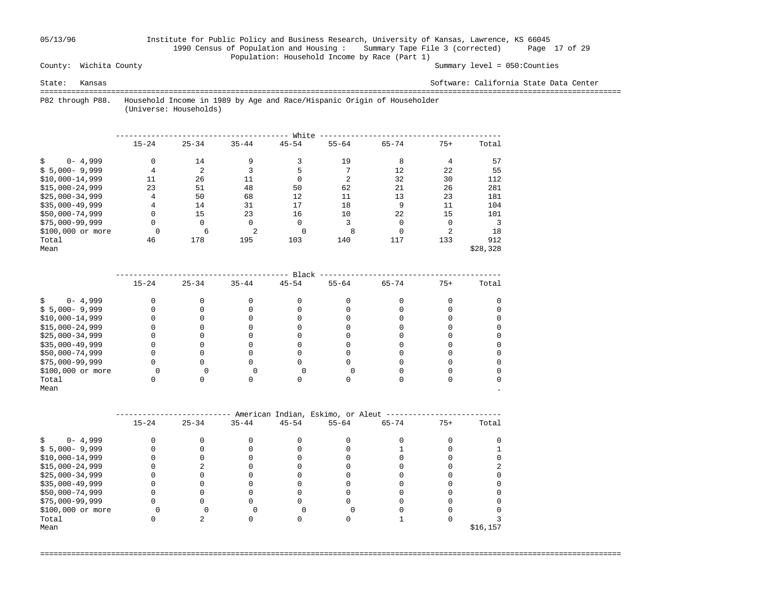## 05/13/96 Institute for Public Policy and Business Research, University of Kansas, Lawrence, KS 66045 1990 Census of Population and Housing : Summary Tape File 3 (corrected) Page 17 of 29 Population: Household Income by Race (Part 1)<br>County: Wichita County

Summary level =  $050$ : Counties

State: Kansas Software: California State Data Center

 =================================================================================================================================== P82 through P88. Household Income in 1989 by Age and Race/Hispanic Origin of Householder

(Universe: Households)

|                    |           |           |                | White     |           |           |          |          |
|--------------------|-----------|-----------|----------------|-----------|-----------|-----------|----------|----------|
|                    | $15 - 24$ | $25 - 34$ | $35 - 44$      | $45 - 54$ | $55 - 64$ | $65 - 74$ | $75+$    | Total    |
| $0 - 4,999$        | 0         | 14        | 9              |           | 19        | 8         | 4        | 57       |
| $$5,000-9,999$     | 4         | 2         |                |           |           | 12        | 22       | 55       |
| $$10,000-14,999$   | 11        | 26        | 11             |           |           | 32        | 30       | 112      |
| $$15,000-24,999$   | 23        | 51        | 48             | 50        | 62        | 21        | 26       | 281      |
| $$25,000-34,999$   | 4         | 50        | 68             | 12        | 11        | 13        | 23       | 181      |
| $$35,000-49,999$   | 4         | 14        | 31             | 17        | 18        | 9         | 11       | 104      |
| $$50,000-74,999$   | $\Omega$  | 15        | 23             | 16        | 10        | 22        | 15       | 101      |
| $$75.000 - 99.999$ | 0         | 0         | $\Omega$       | $\Omega$  |           | $\Omega$  | $\Omega$ |          |
| \$100,000 or more  |           | 6         | $\mathfrak{D}$ | 0         | 8         |           |          | 18       |
| Total              | 46        | 178       | 195            | 103       | 140       | 117       | 133      | 912      |
| Mean               |           |           |                |           |           |           |          | \$28,328 |

|                   |           |           |           | Black     |           |           |       |       |  |
|-------------------|-----------|-----------|-----------|-----------|-----------|-----------|-------|-------|--|
|                   | $15 - 24$ | $25 - 34$ | $35 - 44$ | $45 - 54$ | $55 - 64$ | $65 - 74$ | $75+$ | Total |  |
| $0 - 4,999$       |           |           |           |           |           |           |       |       |  |
| $$5,000-9,999$    |           |           |           |           |           |           |       |       |  |
| $$10,000-14,999$  |           |           |           |           |           |           |       |       |  |
| $$15,000-24,999$  |           |           |           |           |           |           |       |       |  |
| $$25,000-34,999$  |           |           |           |           |           |           |       |       |  |
| $$35,000-49,999$  |           |           |           |           |           |           |       |       |  |
| \$50,000-74,999   |           |           |           |           |           |           |       |       |  |
| $$75,000-99,999$  |           |           |           |           |           |           |       |       |  |
| \$100,000 or more |           |           |           |           |           |           |       |       |  |
| Total             |           |           |           |           |           |           |       |       |  |
| Mean              |           |           |           |           |           |           |       |       |  |

|                   |           |           |           |           | American Indian, Eskimo, or Aleut |           |       |           |
|-------------------|-----------|-----------|-----------|-----------|-----------------------------------|-----------|-------|-----------|
|                   | $15 - 24$ | $25 - 34$ | $35 - 44$ | $45 - 54$ | $55 - 64$                         | $65 - 74$ | $75+$ | Total     |
|                   |           |           |           |           |                                   |           |       |           |
| $0 - 4,999$       |           |           |           |           |                                   |           |       |           |
| $$5,000-9,999$    |           |           |           |           |                                   |           |       |           |
| $$10,000-14,999$  |           |           |           |           |                                   |           |       |           |
| $$15,000-24,999$  |           |           |           |           |                                   |           |       |           |
| $$25,000-34,999$  |           |           |           |           |                                   |           |       |           |
| $$35,000-49,999$  |           |           |           |           |                                   |           |       |           |
| \$50,000-74,999   |           |           |           |           |                                   |           |       |           |
| $$75,000-99,999$  |           |           |           |           |                                   |           |       |           |
| \$100,000 or more |           |           |           |           |                                   |           |       |           |
| Total             |           |           |           |           |                                   |           |       |           |
| Mean              |           |           |           |           |                                   |           |       | \$16, 157 |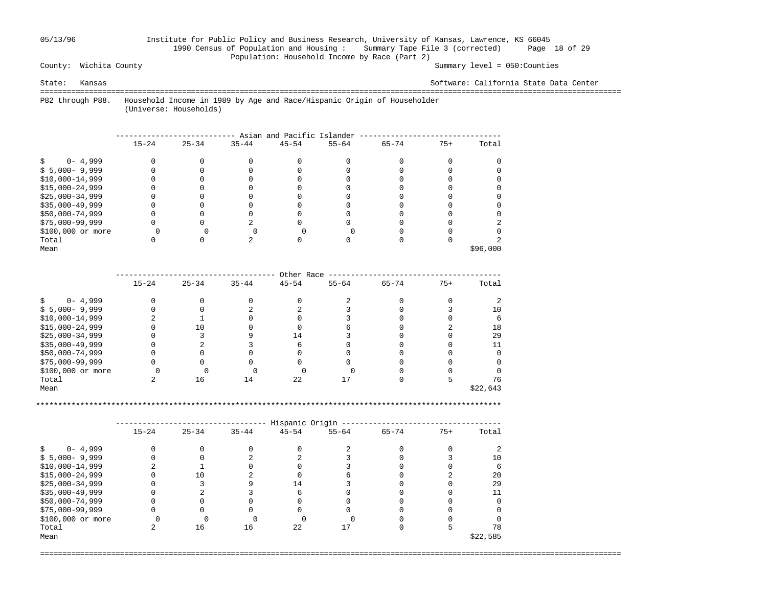## 05/13/96 Institute for Public Policy and Business Research, University of Kansas, Lawrence, KS 66045 1990 Census of Population and Housing : Summary Tape File 3 (corrected) Page 18 of 29 Population: Household Income by Race (Part 2)<br>County: Wichita County

Summary level =  $050$ : Counties

State: Kansas Software: California State Data Center

 =================================================================================================================================== P82 through P88. Household Income in 1989 by Age and Race/Hispanic Origin of Householder

(Universe: Households)

|                   | Asian and Pacific Islander |           |           |           |           |           |       |          |  |  |  |  |  |
|-------------------|----------------------------|-----------|-----------|-----------|-----------|-----------|-------|----------|--|--|--|--|--|
|                   | $15 - 24$                  | $25 - 34$ | $35 - 44$ | $45 - 54$ | $55 - 64$ | $65 - 74$ | $75+$ | Total    |  |  |  |  |  |
| $0 - 4,999$       |                            |           |           |           |           |           |       |          |  |  |  |  |  |
| $$5,000-9,999$    |                            |           |           |           |           |           |       |          |  |  |  |  |  |
| $$10,000-14,999$  |                            |           |           |           |           |           |       |          |  |  |  |  |  |
| $$15,000-24,999$  |                            |           |           |           |           |           |       |          |  |  |  |  |  |
| $$25,000-34,999$  |                            |           |           |           |           |           |       |          |  |  |  |  |  |
| $$35,000-49,999$  |                            |           |           |           |           |           |       |          |  |  |  |  |  |
| \$50,000-74,999   |                            |           |           |           |           |           |       |          |  |  |  |  |  |
| $$75,000-99,999$  |                            |           |           |           |           |           |       |          |  |  |  |  |  |
| \$100,000 or more |                            |           |           |           |           |           |       |          |  |  |  |  |  |
| Total             |                            |           |           |           |           |           |       |          |  |  |  |  |  |
| Mean              |                            |           |           |           |           |           |       | \$96,000 |  |  |  |  |  |

|                   | Other Race |           |           |           |           |           |       |          |  |  |  |  |  |
|-------------------|------------|-----------|-----------|-----------|-----------|-----------|-------|----------|--|--|--|--|--|
|                   | $15 - 24$  | $25 - 34$ | $35 - 44$ | $45 - 54$ | $55 - 64$ | $65 - 74$ | $75+$ | Total    |  |  |  |  |  |
| $0 - 4,999$       |            |           |           |           |           |           |       |          |  |  |  |  |  |
| $$5,000-9,999$    |            |           |           |           |           |           |       | 10       |  |  |  |  |  |
| $$10,000-14,999$  |            |           |           |           |           |           |       |          |  |  |  |  |  |
| $$15,000-24,999$  |            | L O       |           |           |           |           |       | 18       |  |  |  |  |  |
| $$25,000-34,999$  |            |           |           | 14        |           |           |       | 29       |  |  |  |  |  |
| $$35,000-49,999$  |            |           |           |           |           |           |       |          |  |  |  |  |  |
| \$50,000-74,999   |            |           |           |           |           |           |       |          |  |  |  |  |  |
| $$75,000-99,999$  |            |           |           |           |           |           |       |          |  |  |  |  |  |
| \$100,000 or more |            |           |           |           |           |           |       |          |  |  |  |  |  |
| Total             |            | 16        | 14        | 22        |           |           |       | 76       |  |  |  |  |  |
| Mean              |            |           |           |           |           |           |       | \$22,643 |  |  |  |  |  |

\*\*\*\*\*\*\*\*\*\*\*\*\*\*\*\*\*\*\*\*\*\*\*\*\*\*\*\*\*\*\*\*\*\*\*\*\*\*\*\*\*\*\*\*\*\*\*\*\*\*\*\*\*\*\*\*\*\*\*\*\*\*\*\*\*\*\*\*\*\*\*\*\*\*\*\*\*\*\*\*\*\*\*\*\*\*\*\*\*\*\*\*\*\*\*\*\*\*\*\*\*\*\*\*\*

|                   | Hispanic Origin |           |           |           |           |           |       |          |  |  |  |  |  |
|-------------------|-----------------|-----------|-----------|-----------|-----------|-----------|-------|----------|--|--|--|--|--|
|                   | $15 - 24$       | $25 - 34$ | $35 - 44$ | $45 - 54$ | $55 - 64$ | $65 - 74$ | $75+$ | Total    |  |  |  |  |  |
| $0 - 4,999$       |                 |           |           |           |           |           |       |          |  |  |  |  |  |
| $$5,000-9,999$    |                 |           |           |           |           |           |       | 10       |  |  |  |  |  |
| $$10,000-14,999$  |                 |           |           |           |           |           |       |          |  |  |  |  |  |
| $$15,000-24,999$  |                 | Τn        |           |           |           |           |       | 20       |  |  |  |  |  |
| $$25,000-34,999$  |                 |           |           | 14        |           |           |       | 29       |  |  |  |  |  |
| $$35,000-49,999$  |                 |           |           |           |           |           |       | 11       |  |  |  |  |  |
| $$50,000-74,999$  |                 |           |           |           |           |           |       |          |  |  |  |  |  |
| \$75,000-99,999   |                 |           |           |           |           |           |       |          |  |  |  |  |  |
| \$100,000 or more |                 |           |           |           |           |           |       |          |  |  |  |  |  |
| Total             |                 | 16        | 16        | 22        |           |           |       | 78       |  |  |  |  |  |
| Mean              |                 |           |           |           |           |           |       | \$22,585 |  |  |  |  |  |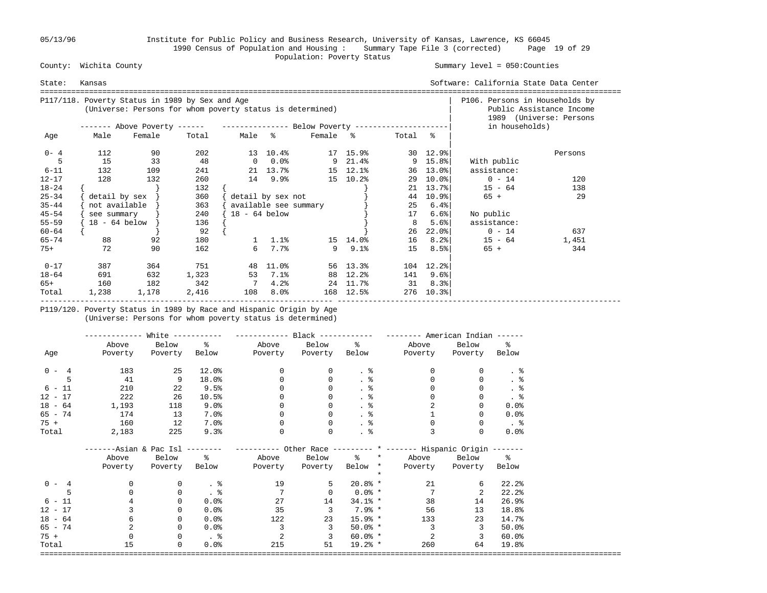05/13/96 Institute for Public Policy and Business Research, University of Kansas, Lawrence, KS 66045 1990 Census of Population and Housing : Summary Tape File 3 (corrected) Page 19 of 29 County: Wichita County **Exercise Status**<br>
Population: Poverty Status

#### Summary level =  $050$ : Counties

| State:    | Kansas          |                                                                                                              |       |                 |                            |                                |                                                     |         |                              | Software: California State Data Center<br>==================================== |         |
|-----------|-----------------|--------------------------------------------------------------------------------------------------------------|-------|-----------------|----------------------------|--------------------------------|-----------------------------------------------------|---------|------------------------------|--------------------------------------------------------------------------------|---------|
|           |                 | P117/118. Poverty Status in 1989 by Sex and Age<br>(Universe: Persons for whom poverty status is determined) |       |                 |                            | P106. Persons in Households by | Public Assistance Income<br>1989 (Universe: Persons |         |                              |                                                                                |         |
|           |                 | ------- Above Poverty ------    ---------------    Below Poverty -------------------                         |       |                 |                            |                                |                                                     |         |                              | in households)                                                                 |         |
| Age       | Male            | Female                                                                                                       | Total | Male %          |                            | Female %                       |                                                     | Total % |                              |                                                                                |         |
| $0 - 4$   | 112             | 90                                                                                                           | 202   |                 | 13 10.4%                   |                                | 17 15.9%                                            |         | $30 \quad 12.9$ <sup>8</sup> |                                                                                | Persons |
|           | 15              | 33                                                                                                           | 48    | $\overline{0}$  | $0.0\%$                    |                                | $9 \quad 21.4$ <sup>2</sup>                         |         | 9 15.8                       | With public                                                                    |         |
| $6 - 11$  | 132             | 109                                                                                                          | 241   |                 | 21 13.7%                   |                                | 15 12.1%                                            |         | 36 13.0%                     | assistance:                                                                    |         |
| $12 - 17$ | 128             | 132                                                                                                          | 260   |                 | 14 9.9%                    |                                | 15 10.2%                                            | 29      | $10.0\%$                     | $0 - 14$                                                                       | 120     |
| $18 - 24$ |                 |                                                                                                              | 132   |                 |                            |                                |                                                     | 21      | 13.7%                        | $15 - 64$                                                                      | 138     |
| $25 - 34$ | detail by sex   |                                                                                                              | 360   |                 | detail by sex not          |                                |                                                     | 44      | $10.9$ <sup>8</sup>          | $65 +$                                                                         | 29      |
| $35 - 44$ | not available   |                                                                                                              | 363   |                 | available see summary      |                                |                                                     | 25      | $6.4$ $8$                    |                                                                                |         |
| $45 - 54$ | see summary     |                                                                                                              | 240   | $18 - 64$ below |                            |                                |                                                     | 17      | $6.6$ $ $                    | No public                                                                      |         |
| $55 - 59$ | $18 - 64$ below |                                                                                                              | 136   |                 |                            |                                |                                                     | 8       | 5.6%                         | assistance:                                                                    |         |
| $60 - 64$ |                 |                                                                                                              | 92    |                 |                            |                                |                                                     | 26      | $22.0$ °                     | $0 - 14$                                                                       | 637     |
| $65 - 74$ | 88              | 92                                                                                                           | 180   |                 | $1 \quad 1.1$ <sup>2</sup> |                                | 15 14.0%                                            | 16      | $8.2$ $\,^{\circ}$           | $15 - 64$                                                                      | 1,451   |
| 75+       | 72              | 90                                                                                                           | 162   | 6               | 7.7%                       | 9                              | $9.1\%$                                             | 15      | 8.5%                         | $65 +$                                                                         | 344     |
| $0 - 17$  | 387             | 364                                                                                                          | 751   | 48              | 11.0%                      |                                | 56 13.3%                                            |         | 104 12.2%                    |                                                                                |         |
| $18 - 64$ | 691             | 632                                                                                                          | 1,323 | 53              | $7.1\%$                    |                                | 88 12.2%                                            | 141     | 9.6%                         |                                                                                |         |
| 65+       | 160             | 182                                                                                                          | 342   | 7               | 4.2%                       |                                | 24 11.7%                                            | 31      | 8.3%                         |                                                                                |         |
| Total     | 1,238           | 1,178                                                                                                        | 2,416 | 108             | 8.0%                       |                                | 168 12.5%                                           | 276     | $10.3$ $ $                   |                                                                                |         |

 P119/120. Poverty Status in 1989 by Race and Hispanic Origin by Age (Universe: Persons for whom poverty status is determined)

|           |                                 | White -----------             |                 | ------------ Black ------------ |                         |                 | $------$ American Indian $---$                                  |               |                            |
|-----------|---------------------------------|-------------------------------|-----------------|---------------------------------|-------------------------|-----------------|-----------------------------------------------------------------|---------------|----------------------------|
|           | Above                           | Below                         | $\frac{1}{6}$   |                                 | Above Below %           |                 | Above                                                           | Below         | $\approx$                  |
| Age       | Poverty                         | Poverty                       | Below           | Poverty Poverty Below           |                         |                 | Poverty                                                         | Poverty Below |                            |
| $0 - 4$   | 183                             | 25                            | $12.0$ %        | $\mathbf{0}$                    | 0                       | . 응             | $\Omega$                                                        | $\Omega$      | . 응                        |
| 5         | 41                              | 9                             | 18.0%           | 0                               | 0                       | $\frac{8}{100}$ |                                                                 |               | . $\frac{6}{6}$            |
| $6 - 11$  | 210                             | 22                            | 9.5%            | 0                               | 0                       | $\frac{8}{3}$   |                                                                 |               | $\frac{8}{3}$              |
| $12 - 17$ | 222                             | 26                            | 10.5%           |                                 | $\Omega$                | $\frac{8}{10}$  |                                                                 |               | . $\frac{6}{6}$            |
| $18 - 64$ | 1,193                           | 118                           | 9.0%            | $\Omega$                        | $\Omega$                | $\cdot$ %       |                                                                 |               | 0.0%                       |
| 65 - 74   | 174                             | 13                            | 7.0%            | $\Omega$                        |                         |                 |                                                                 |               | 0.0%                       |
| 75 +      | 160                             | 12                            | $7.0\%$         | $\Omega$                        | $\Omega$                | . 응             | $\Omega$                                                        | $\Omega$      | $\ddot{\phantom{1}}$       |
| Total     | 2,183                           | 225                           | 9.3%            | $\mathbf{0}$                    | 0                       | $\frac{8}{3}$   | 3                                                               |               | 0.0%                       |
|           |                                 | -----Asian & Pac Isl -------- |                 |                                 |                         |                 | --------- Other Race -------- * ------- Hispanic Origin ------- |               |                            |
|           | Above                           | Below %                       |                 |                                 | Above Below             |                 | % * Above Below %                                               |               |                            |
|           | Poverty                         | Poverty                       | Below           | Poverty                         | Poverty                 | Below *         | Poverty                                                         | Poverty Below |                            |
|           |                                 |                               |                 |                                 |                         | $\star$         |                                                                 |               |                            |
| $0 - 4$   | 0                               | 0                             | $\frac{8}{100}$ | 19                              | 5                       | $20.8%$ *       | 21                                                              | 6             | 22.2                       |
|           | 0                               | $\mathbf 0$                   | . 응             | 7                               | $\Omega$                | $0.0\%$ *       | 7                                                               | 2             | 22.2                       |
| $6 - 11$  |                                 | 0                             | $0.0$ %         | 27                              | 14                      | $34.1%$ *       | 38                                                              | 14            | 26.9%                      |
| $12 - 17$ |                                 | 0                             | $0.0$ %         | 35                              | $\overline{\mathbf{3}}$ | $7.9%*$         | 56                                                              | 13            | 18.8%                      |
| $18 - 64$ | 6                               | 0                             | 0.0%            | 122                             | 23                      | $15.9%*$        | 133                                                             | 23            | 14.7%                      |
| 65 - 74   | 2                               | 0                             | 0.0%            | $\overline{3}$                  | $\overline{3}$          | $50.0%$ *       | 3                                                               | 3             | 50.0%                      |
| $75 +$    |                                 | 0                             |                 | $\overline{2}$                  | 3                       | $60.0%$ *       | 2                                                               | 3             | 60.0%                      |
| Total     | 15<br>========================= | 0                             | 0.0%            | 215                             | 51                      | $19.2%$ *       | 260                                                             | 64            | 19.8%<br>================= |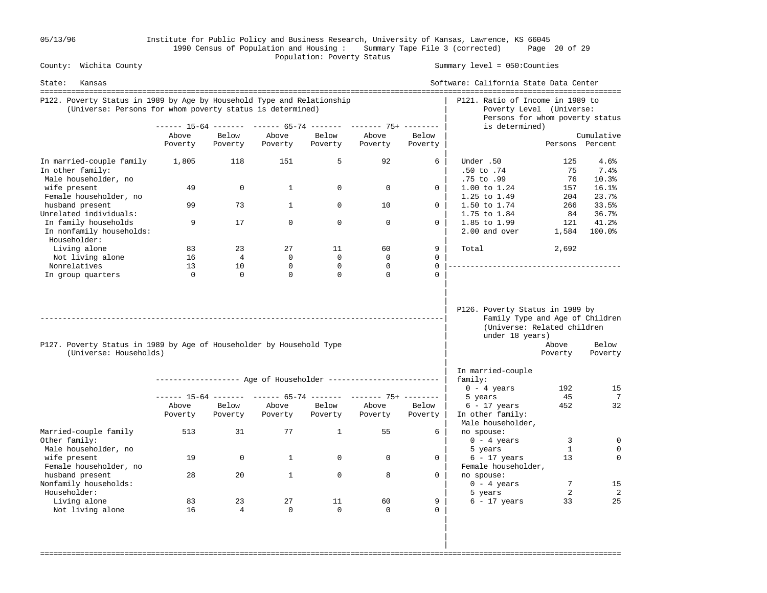05/13/96 Institute for Public Policy and Business Research, University of Kansas, Lawrence, KS 66045 1990 Census of Population and Housing : Summary Tape File 3 (corrected) Page 20 of 29 Population: Poverty Status<br>
County: Wichita County

#### Summary level =  $050$ : Counties

| State:<br>Kansas                                                                                                                    |                  |                   |                              |                         |                                                                |                      | Software: California State Data Center                                                                               |                   |                               |
|-------------------------------------------------------------------------------------------------------------------------------------|------------------|-------------------|------------------------------|-------------------------|----------------------------------------------------------------|----------------------|----------------------------------------------------------------------------------------------------------------------|-------------------|-------------------------------|
| P122. Poverty Status in 1989 by Age by Household Type and Relationship<br>(Universe: Persons for whom poverty status is determined) |                  |                   |                              |                         |                                                                |                      | P121. Ratio of Income in 1989 to<br>Poverty Level (Universe:<br>Persons for whom poverty status                      |                   |                               |
|                                                                                                                                     |                  |                   |                              |                         | ------ 15-64 ------- ------ 65-74 ------- ------- 75+ -------- |                      | is determined)                                                                                                       |                   |                               |
|                                                                                                                                     | Above<br>Poverty | Below<br>Poverty  | Above<br>Poverty             | Below<br>Poverty        | Above<br>Poverty                                               | Below<br>Poverty     |                                                                                                                      |                   | Cumulative<br>Persons Percent |
| In married-couple family<br>In other family:<br>Male householder, no                                                                | 1,805            | 118               | 151                          | 5                       | 92                                                             | 6                    | Under .50<br>$.50$ to $.74$<br>.75 to .99                                                                            | 125<br>75<br>76   | 4.6%<br>7.4%<br>10.3%         |
| wife present<br>Female householder, no<br>husband present                                                                           | 49<br>99         | $\mathbf 0$<br>73 | $\mathbf{1}$<br>$\mathbf{1}$ | 0<br>$\Omega$           | $\mathbf 0$<br>10                                              | 0<br>$\Omega$        | 1.00 to 1.24<br>1.25 to 1.49<br>1.50 to 1.74                                                                         | 157<br>204<br>266 | 16.1%<br>23.7%<br>33.5%       |
| Unrelated individuals:<br>In family households                                                                                      | 9                | 17                | $\mathbf 0$                  | $\mathbf 0$             | $\mathbf 0$                                                    | 0                    | 1.75 to 1.84<br>1.85 to 1.99                                                                                         | 84<br>121         | 36.7%<br>41.2%                |
| In nonfamily households:<br>Householder:                                                                                            |                  |                   |                              |                         |                                                                |                      | 2.00 and over                                                                                                        | 1,584             | 100.0%                        |
| Living alone                                                                                                                        | 83               | 23                | 27                           | 11                      | 60                                                             | 9                    | Total                                                                                                                | 2,692             |                               |
| Not living alone                                                                                                                    | 16               | $\overline{4}$    | $\Omega$                     | $\Omega$                | $\Omega$                                                       | $\Omega$             |                                                                                                                      |                   |                               |
| Nonrelatives                                                                                                                        | 13<br>$\Omega$   | 10<br>$\Omega$    | $\mathbf 0$<br>$\Omega$      | $\mathbf 0$<br>$\Omega$ | $\mathbf 0$<br>$\Omega$                                        | $\Omega$<br>$\Omega$ | _______________________________                                                                                      |                   |                               |
| P127. Poverty Status in 1989 by Age of Householder by Household Type<br>(Universe: Households)                                      |                  |                   |                              |                         |                                                                |                      | P126. Poverty Status in 1989 by<br>Family Type and Age of Children<br>(Universe: Related children<br>under 18 years) | Above             | Below                         |
|                                                                                                                                     |                  |                   |                              |                         |                                                                |                      | In married-couple                                                                                                    | Poverty           | Poverty                       |
|                                                                                                                                     |                  |                   |                              |                         | ------------------ Age of Householder ------------------------ |                      | family:                                                                                                              |                   |                               |
|                                                                                                                                     |                  |                   |                              |                         |                                                                |                      | $0 - 4$ years                                                                                                        | 192               | 15                            |
|                                                                                                                                     |                  |                   |                              |                         | ------ 15-64 ------- ------ 65-74 ------- ------- 75+ -------- |                      | 5 years                                                                                                              | 45                | 7                             |
|                                                                                                                                     | Above<br>Poverty | Below<br>Poverty  | Above<br>Poverty             | Below<br>Poverty        | Above<br>Poverty                                               | Below<br>Poverty     | $6 - 17$ years<br>In other family:<br>Male householder,                                                              | 452               | 32                            |
| Married-couple family<br>Other family:                                                                                              | 513              | 31                | 77                           | $\mathbf{1}$            | 55                                                             | 6                    | no spouse:<br>$0 - 4$ years                                                                                          | 3                 | $\mathbf 0$                   |
| Male householder, no<br>wife present<br>Female householder, no                                                                      | 19               | $\mathbf 0$       | $\mathbf{1}$                 | $\mathbf 0$             | $\mathbf 0$                                                    | $\mathbf 0$          | 5 years<br>$6 - 17$ years<br>Female householder,                                                                     | 1<br>13           | $\Omega$<br>$\Omega$          |
| husband present<br>Nonfamily households:                                                                                            | 28               | 20                | $\mathbf{1}$                 | $\Omega$                | 8                                                              | $\Omega$             | no spouse:<br>$0 - 4$ years                                                                                          | 7                 | 15                            |
| Householder:                                                                                                                        |                  |                   |                              |                         |                                                                |                      | 5 years                                                                                                              | 2                 | 2                             |
| Living alone<br>Not living alone                                                                                                    | 83<br>16         | 23<br>4           | 27<br>$\mathbf 0$            | 11<br>$\Omega$          | 60<br>$\Omega$                                                 | 9<br>$\Omega$        | $6 - 17$ years                                                                                                       | 33                | 25                            |

===================================================================================================================================

 | | |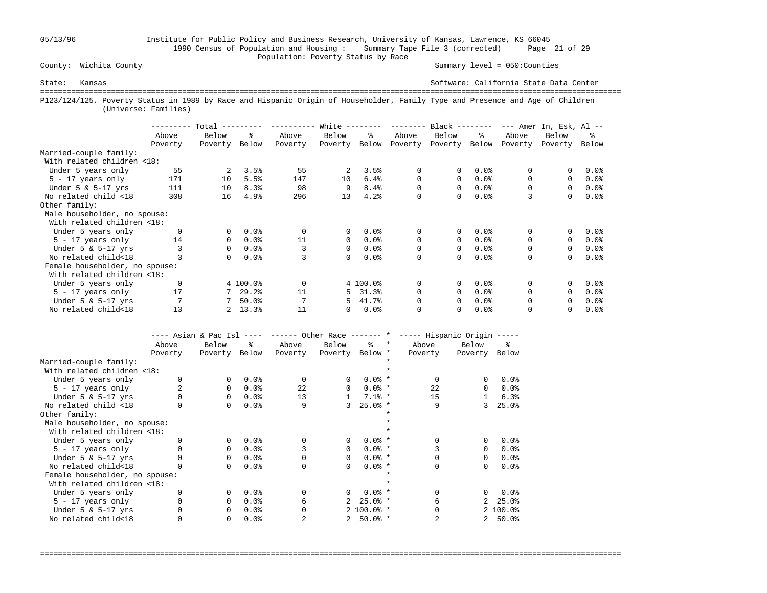## 05/13/96 Institute for Public Policy and Business Research, University of Kansas, Lawrence, KS 66045 1990 Census of Population and Housing : Summary Tape File 3 (corrected) Page 21 of 29 County: Wichita County **Example 2018** Population: Poverty Status by Race

Summary level =  $050$ : Counties

State: Kansas Software: California State Data Center =================================================================================================================================== P123/124/125. Poverty Status in 1989 by Race and Hispanic Origin of Householder, Family Type and Presence and Age of Children (Universe: Families)

|                                |          | Total          |          |          | White        |          | --------- | $Black$ -------- |         |          | $---$ Amer In, Esk, Al $---$ |         |
|--------------------------------|----------|----------------|----------|----------|--------------|----------|-----------|------------------|---------|----------|------------------------------|---------|
|                                | Above    | Below          | ፠        | Above    | Below        | ዱ        | Above     | Below            | ႜ       | Above    | Below                        | ፠       |
|                                | Poverty  | Poverty        | Below    | Poverty  | Poverty      | Below    | Poverty   | Poverty          | Below   | Poverty  | Poverty                      | Below   |
| Married-couple family:         |          |                |          |          |              |          |           |                  |         |          |                              |         |
| With related children <18:     |          |                |          |          |              |          |           |                  |         |          |                              |         |
| Under 5 years only             | 55       | $\overline{2}$ | 3.5%     | 55       | 2            | 3.5%     | 0         | 0                | 0.0%    | 0        |                              | 0.0%    |
| $5 - 17$ years only            | 171      | 10             | 5.5%     | 147      | 10           | 6.4%     | 0         | 0                | 0.0%    | $\Omega$ | $\Omega$                     | $0.0$ % |
| Under $5 \& 5-17$ yrs          | 111      | 10             | 8.3%     | 98       | 9            | 8.4%     | 0         | 0                | 0.0%    |          | $\Omega$                     | $0.0$ % |
| No related child <18           | 308      | 16             | 4.9%     | 296      | 13           | 4.2%     | 0         | 0                | 0.0%    | 3        | 0                            | 0.0%    |
| Other family:                  |          |                |          |          |              |          |           |                  |         |          |                              |         |
| Male householder, no spouse:   |          |                |          |          |              |          |           |                  |         |          |                              |         |
| With related children <18:     |          |                |          |          |              |          |           |                  |         |          |                              |         |
| Under 5 years only             | $\Omega$ | 0              | 0.0%     | $\Omega$ | $\mathbf{0}$ | 0.0%     | 0         | 0                | $0.0$ % | 0        | 0                            | 0.0%    |
| $5 - 17$ years only            | 14       | 0              | 0.0%     | 11       | $\Omega$     | $0.0$ %  | 0         | $\Omega$         | 0.0%    | $\Omega$ | $\Omega$                     | $0.0$ % |
| Under $5 \& 5-17$ yrs          |          | 0              | 0.0%     |          | $\Omega$     | 0.0%     | 0         | 0                | 0.0%    | 0        | $\Omega$                     | $0.0$ % |
| No related child<18            |          | $\Omega$       | 0.0%     |          | $\Omega$     | 0.0%     | $\Omega$  | 0                | 0.0%    | $\Omega$ | $\Omega$                     | 0.0%    |
| Female householder, no spouse: |          |                |          |          |              |          |           |                  |         |          |                              |         |
| With related children <18:     |          |                |          |          |              |          |           |                  |         |          |                              |         |
| Under 5 years only             | 0        |                | 4 100.0% | $\Omega$ |              | 4 100.0% | 0         | 0                | 0.0%    | $\Omega$ |                              | 0.0%    |
| $5 - 17$ years only            | 17       |                | 29.2%    | 11       | 5            | 31.3%    | $\Omega$  | 0                | 0.0%    |          | $\Omega$                     | $0.0$ % |
| Under $5 \& 5-17$ yrs          |          |                | 50.0%    |          | 5.           | 41.7%    | 0         | 0                | 0.0%    | $\Omega$ | $\Omega$                     | 0.0%    |
| No related child<18            | 13       |                | 13.3%    | 11       | 0            | 0.0%     | $\Omega$  | 0                | 0.0%    |          |                              | $0.0$ % |

|                                | ---- Asian & Pac Isl |          | $- - - - -$ | ------ Other Race ------- * |                 |               |         | ----- Hispanic Origin ----- |              |              |
|--------------------------------|----------------------|----------|-------------|-----------------------------|-----------------|---------------|---------|-----------------------------|--------------|--------------|
|                                | Above                | Below    | °≈          | Above                       | Below           | $\approx$     | $\star$ | Above                       | Below        | ዱ            |
|                                | Poverty              | Poverty  | Below       | Poverty                     | Poverty Below * |               |         | Poverty                     | Poverty      | Below        |
| Married-couple family:         |                      |          |             |                             |                 |               |         |                             |              |              |
| With related children <18:     |                      |          |             |                             |                 |               |         |                             |              |              |
| Under 5 years only             |                      | $\Omega$ | 0.0%        | $\Omega$                    | $\Omega$        | $0.0%$ *      |         | $\Omega$                    | 0            | 0.0%         |
| $5 - 17$ years only            |                      | $\Omega$ | 0.0%        | 22                          | $\Omega$        | $0.0%$ *      |         | 22                          | $\Omega$     | 0.0%         |
| Under $5 \& 5-17$ yrs          |                      | $\Omega$ | 0.0%        | 13                          |                 | $7.1%$ *      |         | 15                          | $\mathbf{1}$ | 6.3%         |
| No related child <18           |                      | $\Omega$ | 0.0%        | 9                           | ζ               | $25.0%$ *     |         | 9                           | 3            | 25.0%        |
| Other family:                  |                      |          |             |                             |                 |               |         |                             |              |              |
| Male householder, no spouse:   |                      |          |             |                             |                 |               |         |                             |              |              |
| With related children <18:     |                      |          |             |                             |                 |               |         |                             |              |              |
| Under 5 years only             |                      | $\Omega$ | 0.0%        | $\Omega$                    | $\Omega$        | $0.0%$ *      |         |                             | 0            | 0.0%         |
| $5 - 17$ years only            |                      | $\Omega$ | 0.0%        |                             | $\Omega$        | $0.0%$ *      |         |                             | 0            | 0.0%         |
| Under $5 \& 5-17$ yrs          |                      | $\Omega$ | 0.0%        |                             | $\Omega$        | $0.0%$ *      |         |                             | $\Omega$     | 0.0%         |
| No related child<18            |                      | $\Omega$ | 0.0%        | $\Omega$                    | $\Omega$        | $0.0%$ *      |         | U                           | 0            | 0.0%         |
| Female householder, no spouse: |                      |          |             |                             |                 |               |         |                             |              |              |
| With related children <18:     |                      |          |             |                             |                 |               |         |                             |              |              |
| Under 5 years only             |                      | $\Omega$ | 0.0%        | $\Omega$                    | $\Omega$        | $0.0%$ *      |         | <sup>0</sup>                | 0            | 0.0%         |
| 5 - 17 years only              |                      | $\Omega$ | 0.0%        | б                           |                 | $25.0$ *      |         | 6                           | 2            | 25.0%        |
| Under $5 \& 5-17$ yrs          |                      | $\Omega$ | 0.0%        |                             |                 | $2,100.0$ % * |         |                             |              | $2, 100.0$ % |
| No related child<18            |                      | 0        | 0.0%        |                             |                 | $50.0%$ *     |         |                             | 2            | 50.0%        |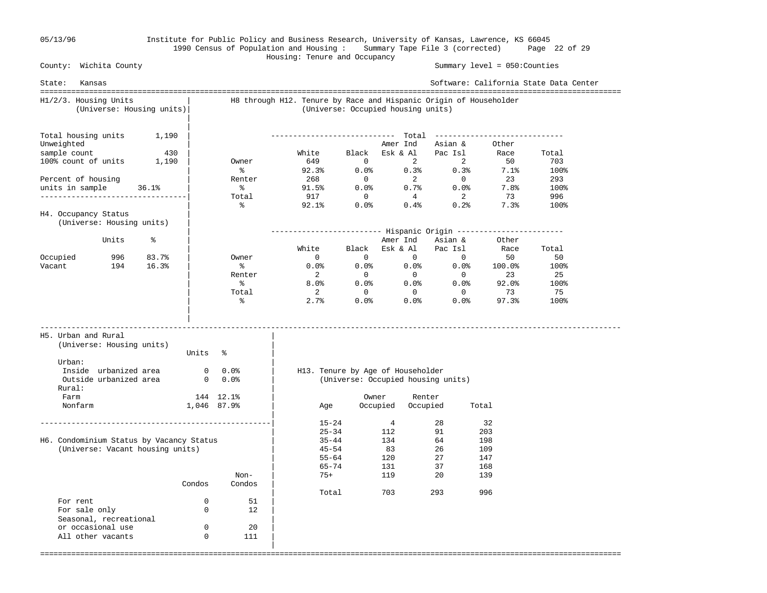Seasonal, recreational

or occasional use 0 0 20 All other vacants 0 111 |

#### 05/13/96 Institute for Public Policy and Business Research, University of Kansas, Lawrence, KS 66045 1990 Census of Population and Housing : Summary Tape File 3 (corrected) Page 22 of 29

 Housing: Tenure and Occupancy County: Wichita County Summary level = 050:Counties State: Kansas Software: California State Data Center =================================================================================================================================== H1/2/3. Housing Units | H8 through H12. Tenure by Race and Hispanic Origin of Householder (Universe: Housing units)| (Universe: Occupied housing units) | Total housing units 1,190 Total housing units 1,190 | ---------------------------- Total ----------------------------- Unweighted  $\begin{array}{c|cccc}\n\text{Unweighted} & & | & & \text{American} & \text{Asian & \&} \\
\text{sample count} & & 430 & | & & \text{White} & \text{Black} & \text{Esk & \& Al} & \text{Pac Isl} & \text{Race} \\
\text{100% count of units} & 1,190 & | & & \text{Owner} & 649 & 0 & 2 & 2 & 50\n\end{array}$  sample count 430 | White Black Esk & Al Pac Isl Race Total 100% count of units 1,190 | Owner 649 0 2 2 50 703  $\sim$  8 92.3% 0.0% 0.3% 0.3% 7.1% 100% Percent of housing The Renter 268 0 2 0 23 293 units in sample 36.1% | % 91.5% 0.0% 0.7% 0.0% 7.8% 100% ---------------------------------| Total 917 0 4 2 73 996 | % 92.1% 0.0% 0.4% 0.2% 7.3% 100% H4. Occupancy Status (Universe: Housing units) | | ------------------------- Hispanic Origin ------------------------ % | Next Amer Ind Asian & Other & Solid Asian & Other & Other & Other & Other & Other & Other & Other & Other & Other & Other & Other & Other & Other & Other & Other & Other & Other & Other & Other & Other & Other & Other | White Black Esk & Al Pac Isl Race Total Occupied 996 83.7% | Owner 0 0 0 0 0 50 50 Vacant 194 16.3% | % 0.0% 0.0% 0.0% 0.0% 100.0% 100%<br>Renter 2 0 0 0 23 25 | Renter 2 0 0 0 23 25 | % 8.0% 0.0% 0.0% 0.0% 92.0% 100% | Total 2 0 0 0 73 75  $\sim$  8  $\sim$  2.7% 0.0% 0.0% 97.3% 100% | | ----------------------------------------------------------------------------------------------------------------------------------- H5. Urban and Rural | (Universe: Housing units) | Units % Urban:  $\qquad \qquad \blacksquare$  Inside urbanized area 0 0.0% | H13. Tenure by Age of Householder Outside urbanized area 0 0.0% | (Universe: Occupied housing units) Rural: Farm 144 12.1% | Owner Renter Nonfarm 1,046 87.9% | Age Occupied Occupied Total | ----------------------------------------------------| 15-24 4 28 32  $|$  25-34 112 91 203 H6. Condominium Status by Vacancy Status | 35-44 134 64 198 (Universe: Vacant housing units)  $\begin{array}{cccc} | & 45-54 & 83 & 26 & 109 \\ | & 55-64 & 120 & 27 & 147 \end{array}$  $|$  55-64 120 27 147  $|$  65-74 131 37 168 Non-  $\vert$  75+ 119 20 139 Condos Condos | | Total 703 293 996<br>| Total 703 293 For rent  $0$  51<br>For sale only  $0$  12 For sale only 0 0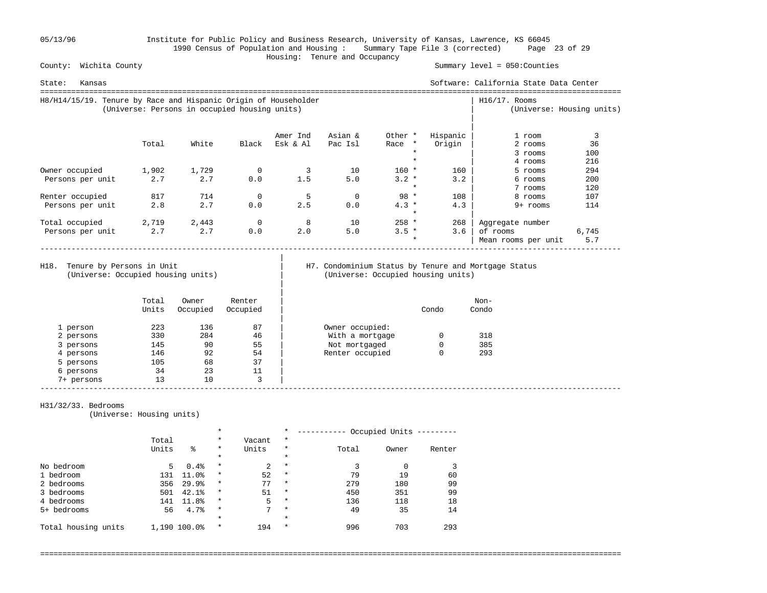05/13/96 Institute for Public Policy and Business Research, University of Kansas, Lawrence, KS 66045 1990 Census of Population and Housing : Summary Tape File 3 (corrected) Page 23 of 29 Housing: Tenure and Occupancy

Summary level =  $050$ : Counties

| Kansas<br>State:                                                |                                               |       |             |          |          |                   |          | Software: California State Data Center |                           |
|-----------------------------------------------------------------|-----------------------------------------------|-------|-------------|----------|----------|-------------------|----------|----------------------------------------|---------------------------|
| H8/H14/15/19. Tenure by Race and Hispanic Origin of Householder | (Universe: Persons in occupied housing units) |       |             |          |          |                   |          | $H16/17$ . Rooms                       | (Universe: Housing units) |
|                                                                 |                                               |       |             | Amer Ind | Asian &  | Other *           | Hispanic | 1 room                                 |                           |
|                                                                 | Total                                         | White | Black       | Esk & Al | Pac Isl  | Race *            | Origin   | 2 rooms                                | 36                        |
|                                                                 |                                               |       |             |          |          | $\star$           |          | 3 rooms                                | 100                       |
|                                                                 |                                               |       |             |          |          |                   |          | 4 rooms                                | 216                       |
| Owner occupied                                                  | 1,902                                         | 1,729 | 0           |          | 10       | $160 *$           | 160      | 5 rooms                                | 294                       |
| Persons per unit                                                | 2.7                                           | 2.7   | 0.0         | 1.5      | 5.0      | $3.2 *$           | 3.2      | 6 rooms                                | 200                       |
|                                                                 |                                               |       |             |          |          | $\star$           |          | 7 rooms                                | 120                       |
| Renter occupied                                                 | 817                                           | 714   | 0           | 5        | $\Omega$ | $98 *$            | 108      | 8 rooms                                | 107                       |
| Persons per unit                                                | 2.8                                           | 2.7   | 0.0         | 2.5      | 0.0      | $4.3*$<br>$\star$ | 4.3      | 9+ rooms                               | 114                       |
| Total occupied                                                  | 2,719                                         | 2,443 | $\mathbf 0$ | 8        | 10       | $258 *$           | 268      | Aggregate number                       |                           |
| Persons per unit                                                | 2.7                                           | 2.7   | 0.0         | 2.0      | 5.0      | $3.5 *$           | 3.6      | of rooms                               | 6,745                     |
|                                                                 |                                               |       |             |          |          | $\star$           |          | Mean rooms per unit                    | 5.7                       |

(Universe: Occupied housing units) | (Universe: Occupied housing units)

|

|

# H18. Tenure by Persons in Unit | H7. Condominium Status by Tenure and Mortgage Status (Universe: Occupied housing units)

|            | Total<br>Units | Owner<br>Occupied | Renter<br>Occupied |                 | Condo | Non-<br>Condo |
|------------|----------------|-------------------|--------------------|-----------------|-------|---------------|
| 1 person   | 223            | 136               | 87                 | Owner occupied: |       |               |
| 2 persons  | 330            | 284               | 46                 | With a mortgage |       | 318           |
| 3 persons  | 145            | 90                | 55                 | Not mortgaged   | 0     | 385           |
| 4 persons  | 146            | 92                | 54                 | Renter occupied | 0     | 293           |
| 5 persons  | 105            | 68                | 37                 |                 |       |               |
| 6 persons  | 34             | 23                | 11                 |                 |       |               |
| 7+ persons | 13             | 10                | 3                  |                 |       |               |

#### H31/32/33. Bedrooms

(Universe: Housing units)

|                     | $\star$ |              |         | $\star$ | Occupied Units |       |       |        |
|---------------------|---------|--------------|---------|---------|----------------|-------|-------|--------|
|                     | Total   |              | $\star$ | Vacant  | $\star$        |       |       |        |
|                     | Units   | る            | $\star$ | Units   | $^\star$       | Total | Owner | Renter |
|                     |         |              | $\star$ |         | $\star$        |       |       |        |
| No bedroom          | 5       | 0.4%         | $\star$ | 2       | $\star$        |       |       |        |
| 1 bedroom           | 131     | 11.0%        | $\star$ | 52      | $\star$        | 79    | 19    | 60     |
| 2 bedrooms          | 356     | 29.9%        | $\star$ | 77      | $\star$        | 279   | 180   | 99     |
| 3 bedrooms          | 501     | 42.1%        | $\star$ | 51      | $\star$        | 450   | 351   | 99     |
| 4 bedrooms          | 141     | 11.8%        | $\star$ | 5       | $\star$        | 136   | 118   | 18     |
| 5+ bedrooms         | 56      | 4.7%         | $\star$ | 7       | $\star$        | 49    | 35    | 14     |
|                     |         |              | $\star$ |         | $\star$        |       |       |        |
| Total housing units |         | 1,190 100.0% | $\star$ | 194     | $\star$        | 996   | 703   | 293    |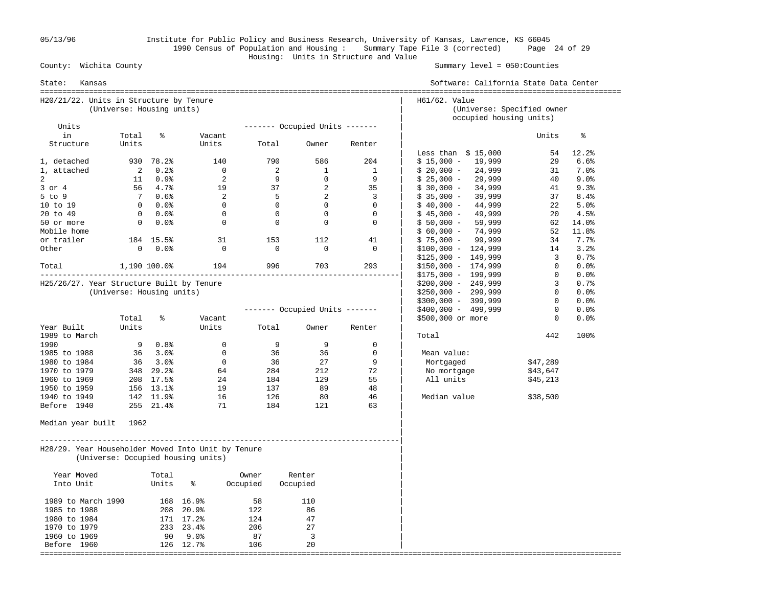05/13/96 Institute for Public Policy and Business Research, University of Kansas, Lawrence, KS 66045 1990 Census of Population and Housing : Summary Tape File 3 (corrected) Page 24 of 29 Housing: Units in Structure and Value

Summary level =  $050$ : Counties

| State:<br>Kansas                                   |                           |                             |                                    |                |                                |                          | Software: California State Data Center                                 |              |            |
|----------------------------------------------------|---------------------------|-----------------------------|------------------------------------|----------------|--------------------------------|--------------------------|------------------------------------------------------------------------|--------------|------------|
| H20/21/22. Units in Structure by Tenure            | (Universe: Housing units) |                             |                                    |                |                                |                          | H61/62. Value<br>(Universe: Specified owner<br>occupied housing units) |              |            |
| Units                                              |                           |                             |                                    |                | ------- Occupied Units ------- |                          |                                                                        |              |            |
| in                                                 | Total                     | ႜ                           | Vacant                             |                |                                |                          |                                                                        | Units        | ႜ          |
| Structure                                          | Units                     |                             | Units                              | Total          | Owner                          | Renter                   | Less than $$15,000$                                                    | 54           | $12.2$ $%$ |
| 1, detached                                        |                           | 930 78.2%                   | 140                                | 790            | 586                            | 204                      | $$15,000 - 19,999$                                                     | 29           | 6.6%       |
| 1, attached                                        | 2                         | $0.2\%$                     | $\overline{0}$                     | $\overline{c}$ | $\mathbf{1}$                   | 1                        | $$20,000 - 24,999$                                                     | 31           | $7.0\%$    |
| 2                                                  | 11                        | $0.9\%$                     | $\overline{2}$                     | 9              | $\overline{0}$                 | 9                        | $$25,000 -$<br>29,999                                                  | 40           | 9.0%       |
| $3$ or $4$                                         |                           | 56 4.7%                     | 19                                 | 37             | $\overline{\phantom{0}}^2$     | 35                       | 34,999<br>$$30,000 -$                                                  | 41           | 9.3%       |
| $5$ to $9$                                         |                           | 7 0.6%                      | $\overline{\mathbf{c}}$            | $5^{\circ}$    | $\overline{\phantom{0}}$ 2     | $\overline{\phantom{a}}$ | 39,999<br>$$35,000 -$                                                  | 37           | $8.4\%$    |
| 10 to 19                                           |                           | $0.0$ %                     | $\overline{0}$                     | $\overline{0}$ | $\overline{0}$                 | $\Omega$                 | $$40,000 -$<br>44,999                                                  | 22           | 5.0%       |
| 20 to 49                                           |                           | $0.0$ %                     | $\overline{0}$                     | $\Omega$       | $\overline{0}$                 | $\Omega$                 | 49,999<br>$$45,000 -$                                                  | 20           | 4.5%       |
| 50 or more                                         |                           | $0.0$ %                     | $\overline{0}$                     | $\overline{0}$ | $\mathbf 0$                    | $\mathbf 0$              | 59,999<br>$$50,000 -$                                                  |              | 62 14.0%   |
| Mobile home                                        |                           |                             |                                    |                |                                |                          | 74,999<br>$$60,000 -$                                                  |              | 52 11.8%   |
| or trailer                                         |                           | 184 15.5%                   | 31                                 | 153            | 112                            | 41                       | $$75,000 - 99,999$                                                     |              | 34 7.7%    |
| Other                                              |                           | $0.0$ %                     | $\overline{0}$                     | $\overline{0}$ | $\overline{0}$                 | $\overline{0}$           | $$100,000 - 124,999$                                                   | 14           | 3.2%       |
|                                                    |                           |                             |                                    |                |                                |                          | $$125,000 - 149,999$                                                   | $3^{\circ}$  | 0.7%       |
| Total 1,190 100.0% 194                             |                           |                             |                                    |                | 996 1996<br>703                | 293                      | $$150,000 - 174,999$                                                   | 0            | 0.0%       |
|                                                    |                           |                             |                                    |                |                                |                          | $$175,000 - 199,999$                                                   | $\mathbf 0$  | 0.0%       |
| H25/26/27. Year Structure Built by Tenure          |                           |                             |                                    |                |                                |                          | $$200,000 - 249,999$                                                   | $3^{\circ}$  | 0.7%       |
|                                                    | (Universe: Housing units) |                             |                                    |                |                                |                          | $$250,000 - 299,999$                                                   | $\Omega$     | 0.0%       |
|                                                    |                           |                             |                                    |                |                                |                          | $$300,000 - 399,999$                                                   | $\circ$      | 0.0%       |
|                                                    |                           |                             |                                    |                | ------- Occupied Units ------- |                          | $$400,000 - 499,999$                                                   | $\mathbf 0$  | $0.0$ %    |
|                                                    | Total                     | နွ                          | Vacant                             |                |                                |                          | \$500,000 or more                                                      | $\mathbf{0}$ | 0.0%       |
| Year Built                                         | Units                     |                             | Units                              | Total          | Owner                          | Renter                   |                                                                        |              |            |
| 1989 to March                                      |                           |                             |                                    |                |                                |                          | Total                                                                  | 442          | 100%       |
| 1990                                               |                           | 90.8%                       | $\overline{0}$                     | 9              | 9                              | $\mathbf 0$              |                                                                        |              |            |
| 1985 to 1988                                       |                           | 36 3.0%                     | $\overline{0}$                     | 36             | 36                             | $\mathbf 0$              | Mean value:                                                            |              |            |
| 1980 to 1984                                       |                           | $36 \quad 3.0$ <sup>9</sup> | $\overline{0}$                     | 36             | 27                             | 9                        | Mortgaged                                                              | \$47,289     |            |
| 1970 to 1979                                       |                           | 348 29.2%                   | 64                                 | 284            | 212                            | 72                       | No mortgage                                                            | \$43,647     |            |
| 1960 to 1969                                       |                           | 208 17.5%                   | 24                                 | 184            | 129                            | 55                       | All units                                                              | \$45,213     |            |
| 1950 to 1959                                       |                           | 156 13.1%                   | 19                                 | 137            | 89                             | 48                       |                                                                        |              |            |
| 1940 to 1949                                       |                           | 142 11.9%                   | 16                                 | 126            | 80                             | 46                       | Median value                                                           | \$38,500     |            |
| Before 1940                                        |                           | 255 21.4%                   | 71                                 | 184            | 121                            | 63                       |                                                                        |              |            |
| Median year built 1962                             |                           |                             |                                    |                |                                |                          |                                                                        |              |            |
| H28/29. Year Householder Moved Into Unit by Tenure |                           |                             | (Universe: Occupied housing units) |                |                                |                          |                                                                        |              |            |
| Year Moved                                         |                           | Total                       |                                    | Owner          | Renter                         |                          |                                                                        |              |            |
| Into Unit                                          |                           | Units                       | နွ                                 | Occupied       | Occupied                       |                          |                                                                        |              |            |
| 1989 to March 1990                                 |                           |                             | 168 16.9%                          | 58             | 110                            |                          |                                                                        |              |            |
| 1985 to 1988                                       |                           |                             | 208 20.9%                          | 122            | 86                             |                          |                                                                        |              |            |
| 1980 to 1984                                       |                           |                             | 171 17.2%                          | 124            | 47                             |                          |                                                                        |              |            |
| 1970 to 1979                                       |                           |                             | 233 23.4%                          | 206            | 27                             |                          |                                                                        |              |            |
| 1960 to 1969                                       |                           |                             | 90 9.0%                            | 87             | $\overline{\mathbf{3}}$        |                          |                                                                        |              |            |
| Before 1960                                        |                           |                             | 126 12.7%                          | 106            | 20                             |                          |                                                                        |              |            |
|                                                    |                           |                             |                                    |                |                                |                          |                                                                        |              |            |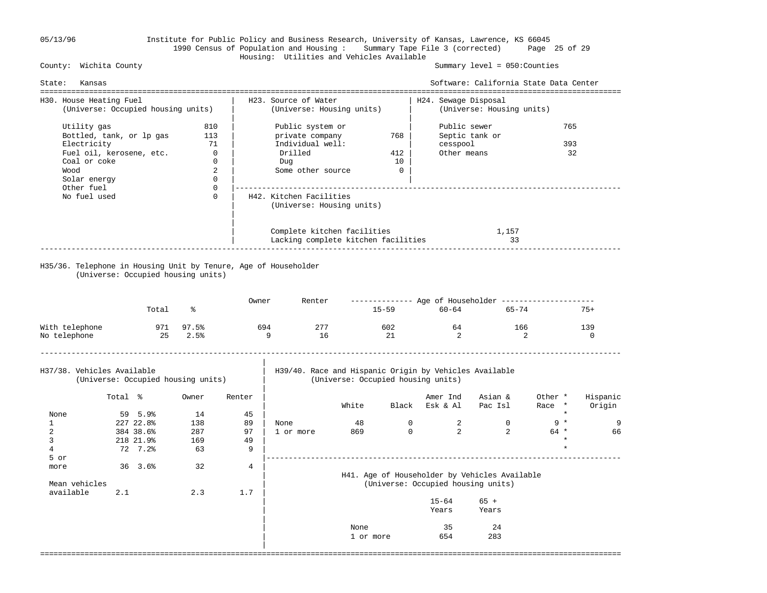### 05/13/96 Institute for Public Policy and Business Research, University of Kansas, Lawrence, KS 66045 1990 Census of Population and Housing : Summary Tape File 3 (corrected) Page 25 of 29 Housing: Utilities and Vehicles Available

Summary level =  $050$ : Counties

| State:                                                        | Kansas                                                                                                             |                                                           |                                                                          |                           |                                                                                                |                   |                                    |                                                                             | Software: California State Data Center<br>================================= |                   |                    |
|---------------------------------------------------------------|--------------------------------------------------------------------------------------------------------------------|-----------------------------------------------------------|--------------------------------------------------------------------------|---------------------------|------------------------------------------------------------------------------------------------|-------------------|------------------------------------|-----------------------------------------------------------------------------|-----------------------------------------------------------------------------|-------------------|--------------------|
| H30. House Heating Fuel                                       | (Universe: Occupied housing units)                                                                                 |                                                           |                                                                          |                           | H23. Source of Water<br>(Universe: Housing units)                                              |                   |                                    | H24. Sewage Disposal                                                        | (Universe: Housing units)                                                   |                   |                    |
| Wood<br>Other fuel                                            | Utility gas<br>Bottled, tank, or lp gas<br>Electricity<br>Fuel oil, kerosene, etc.<br>Coal or coke<br>Solar energy |                                                           | 810<br>113<br>71<br>$\mathbf 0$<br>$\Omega$<br>2<br>$\Omega$<br>$\Omega$ |                           | Public system or<br>private company<br>Individual well:<br>Drilled<br>Dug<br>Some other source |                   | 768<br>412<br>10<br>$\overline{0}$ | Public sewer<br>cesspool<br>Other means                                     | Septic tank or                                                              | 765<br>393<br>32  |                    |
|                                                               | No fuel used                                                                                                       |                                                           | $\Omega$                                                                 |                           | H42. Kitchen Facilities<br>(Universe: Housing units)                                           |                   |                                    |                                                                             |                                                                             |                   |                    |
|                                                               |                                                                                                                    |                                                           |                                                                          |                           | Complete kitchen facilities<br>Lacking complete kitchen facilities                             |                   |                                    |                                                                             | 1,157<br>33                                                                 |                   |                    |
|                                                               | (Universe: Occupied housing units)                                                                                 |                                                           |                                                                          |                           | H35/36. Telephone in Housing Unit by Tenure, Age of Householder                                |                   |                                    |                                                                             |                                                                             |                   |                    |
|                                                               |                                                                                                                    | Total                                                     | ႜ                                                                        | Owner                     | Renter                                                                                         |                   |                                    | 15-59 60-64                                                                 | ------------- Age of Householder --------------------<br>65-74              |                   | $75+$              |
| With telephone<br>No telephone                                |                                                                                                                    | 971                                                       | 97.5%<br>25 2.5%                                                         |                           | 277<br>694<br>9<br>16                                                                          |                   | 602<br>21                          | 64<br>$\overline{2}$                                                        | 166                                                                         | 2                 | 139<br>$\Omega$    |
| H37/38. Vehicles Available                                    | (Universe: Occupied housing units)                                                                                 |                                                           |                                                                          |                           | H39/40. Race and Hispanic Origin by Vehicles Available                                         |                   |                                    | (Universe: Occupied housing units)                                          |                                                                             |                   |                    |
|                                                               | Total %                                                                                                            |                                                           | Owner                                                                    | Renter                    |                                                                                                | White             |                                    | Amer Ind<br>Black Esk & Al                                                  | Asian &<br>Pac Isl                                                          | Other *<br>Race * | Hispanic<br>Origin |
| None<br>$\mathbf{1}$<br>$\overline{2}$<br>3<br>$\overline{4}$ |                                                                                                                    | 59 5.9%<br>227 22.8%<br>384 38.6%<br>218 21.9%<br>72 7.2% | 14<br>138<br>287<br>169<br>63                                            | 45<br>89<br>97<br>49<br>9 | None<br>1 or more                                                                              | 48<br>869         | $\overline{0}$<br>$\mathbf{0}$     | 2<br>2                                                                      | $\Omega$<br>2                                                               | $9 *$<br>$64 *$   | 9<br>66            |
| 5 or<br>more<br>Mean vehicles                                 |                                                                                                                    | $36 \quad 3.6$                                            | 32                                                                       | $\overline{4}$            |                                                                                                |                   |                                    | _____________________________________<br>(Universe: Occupied housing units) | H41. Age of Householder by Vehicles Available                               |                   |                    |
| available                                                     | 2.1                                                                                                                |                                                           | 2.3                                                                      | 1.7                       |                                                                                                |                   |                                    | $15 - 64$<br>Years                                                          | $65 +$<br>Years                                                             |                   |                    |
|                                                               |                                                                                                                    |                                                           |                                                                          |                           |                                                                                                | None<br>1 or more |                                    | 35<br>654                                                                   | 24<br>283                                                                   |                   |                    |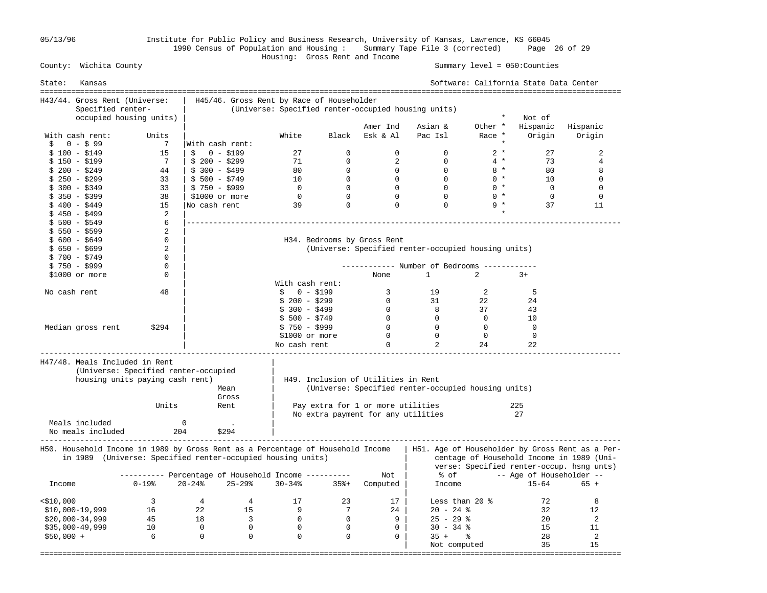05/13/96 Institute for Public Policy and Business Research, University of Kansas, Lawrence, KS 66045 1990 Census of Population and Housing : Summary Tape File 3 (corrected) Page 26 of 29

#### Housing: Gross Rent and Income Summary level =  $050$ : Counties

| State:       | Kansas                                                                                                                                         |                                                      |                 |                         |                |                                           |                |                                                     |                | Software: California State Data Center |                                                                                                                                           |
|--------------|------------------------------------------------------------------------------------------------------------------------------------------------|------------------------------------------------------|-----------------|-------------------------|----------------|-------------------------------------------|----------------|-----------------------------------------------------|----------------|----------------------------------------|-------------------------------------------------------------------------------------------------------------------------------------------|
|              | H43/44. Gross Rent (Universe:                                                                                                                  |                                                      |                 |                         |                | H45/46. Gross Rent by Race of Householder |                |                                                     |                |                                        |                                                                                                                                           |
|              | Specified renter-                                                                                                                              |                                                      |                 |                         |                |                                           |                | (Universe: Specified renter-occupied housing units) |                |                                        |                                                                                                                                           |
|              | occupied housing units)                                                                                                                        |                                                      |                 |                         |                |                                           |                |                                                     | $\star$        | Not of                                 |                                                                                                                                           |
|              |                                                                                                                                                |                                                      |                 |                         |                |                                           | Amer Ind       | Asian &                                             | Other *        | Hispanic                               | Hispanic                                                                                                                                  |
|              | With cash rent:                                                                                                                                | Units                                                |                 |                         | White          | Black                                     | Esk & Al       | Pac Isl                                             | Race *         | Origin                                 | Origin                                                                                                                                    |
| Ŝ.           | $0 - $99$                                                                                                                                      | 7                                                    | With cash rent: |                         |                |                                           |                |                                                     | $\star$        |                                        |                                                                                                                                           |
|              | $$100 - $149$                                                                                                                                  | 15                                                   | Ŝ.<br>0 - \$199 |                         | 27             | $\Omega$                                  | $\Omega$       | $\Omega$                                            | $2 *$          | 27                                     | $\overline{2}$                                                                                                                            |
|              | \$ 150 - \$199                                                                                                                                 | 7                                                    | $$200 - $299$   |                         | 71             | $\Omega$                                  | 2              | $\Omega$                                            | $4 *$          | 73                                     | $\overline{4}$                                                                                                                            |
|              | $$200 - $249$                                                                                                                                  | 44                                                   | $$300 - $499$   |                         | 80             | $\mathbf{0}$                              | $\mathbf 0$    | $\overline{0}$                                      | $8 *$          | 80                                     | 8                                                                                                                                         |
|              | $$250 - $299$                                                                                                                                  | 33                                                   | $$500 - $749$   |                         | 10             | $\overline{0}$                            | $\overline{0}$ | $\Omega$                                            | $0 *$          | 10                                     | 0                                                                                                                                         |
|              |                                                                                                                                                | 33                                                   | $$750 - $999$   |                         | $\overline{0}$ | $\Omega$                                  | $\overline{0}$ | $\Omega$                                            | $0 *$          | $\bigcirc$                             | $\mathbf{0}$                                                                                                                              |
|              | \$ 300 - \$349                                                                                                                                 |                                                      |                 |                         |                |                                           | $\Omega$       | $\Omega$                                            |                |                                        |                                                                                                                                           |
|              | $$350 - $399$                                                                                                                                  | 38                                                   | $$1000$ or more |                         | $\overline{0}$ | $\Omega$                                  |                |                                                     | $0 *$          | $\Omega$                               | $\mathbf 0$                                                                                                                               |
|              | $$400 - $449$                                                                                                                                  | 15                                                   | No cash rent    |                         | 39             | $\Omega$                                  | $\mathbf 0$    | $\Omega$                                            | $9 *$          | 37                                     | 11                                                                                                                                        |
|              | $$450 - $499$                                                                                                                                  | 2                                                    |                 |                         |                |                                           |                |                                                     |                |                                        |                                                                                                                                           |
|              | $$500 - $549$                                                                                                                                  | 6                                                    |                 |                         |                |                                           |                |                                                     |                |                                        |                                                                                                                                           |
|              | $$550 - $599$                                                                                                                                  | 2                                                    |                 |                         |                |                                           |                |                                                     |                |                                        |                                                                                                                                           |
|              | $$600 - $649$                                                                                                                                  | $\mathbf 0$                                          |                 |                         |                | H34. Bedrooms by Gross Rent               |                |                                                     |                |                                        |                                                                                                                                           |
|              | $$650 - $699$                                                                                                                                  | 2                                                    |                 |                         |                |                                           |                | (Universe: Specified renter-occupied housing units) |                |                                        |                                                                                                                                           |
|              | $$700 - $749$                                                                                                                                  | 0                                                    |                 |                         |                |                                           |                |                                                     |                |                                        |                                                                                                                                           |
|              | $$750 - $999$                                                                                                                                  | 0                                                    |                 |                         |                |                                           |                | ----------- Number of Bedrooms -----------          |                |                                        |                                                                                                                                           |
|              | \$1000 or more                                                                                                                                 | $\Omega$                                             |                 |                         |                |                                           | None           | $\mathbf{1}$                                        | $\overline{2}$ | $3+$                                   |                                                                                                                                           |
|              |                                                                                                                                                |                                                      |                 |                         |                | With cash rent:                           |                |                                                     |                |                                        |                                                                                                                                           |
| No cash rent |                                                                                                                                                | 48                                                   |                 |                         | $\mathsf{S}$   | $0 - $199$                                | $\overline{3}$ | 19                                                  | 2              | 5                                      |                                                                                                                                           |
|              |                                                                                                                                                |                                                      |                 |                         | $$200 - $299$  |                                           | $\overline{0}$ | 31                                                  | 22             | 24                                     |                                                                                                                                           |
|              |                                                                                                                                                |                                                      |                 |                         | $$300 - $499$  |                                           | $\overline{0}$ | 8                                                   | 37             | 43                                     |                                                                                                                                           |
|              |                                                                                                                                                |                                                      |                 |                         | $$500 - $749$  |                                           | $\overline{0}$ | $\overline{0}$                                      | $\Omega$       | 10                                     |                                                                                                                                           |
|              | Median gross rent                                                                                                                              | \$294                                                |                 |                         | $$750 - $999$  |                                           | $\overline{0}$ | $\overline{0}$                                      | $\Omega$       | $\overline{0}$                         |                                                                                                                                           |
|              |                                                                                                                                                |                                                      |                 |                         |                | \$1000 or more                            | $\overline{0}$ | $\overline{0}$                                      | $\overline{0}$ | $\overline{0}$                         |                                                                                                                                           |
|              |                                                                                                                                                |                                                      |                 |                         | No cash rent   |                                           | $\Omega$       | 2                                                   | 24             | 22                                     |                                                                                                                                           |
|              | H47/48. Meals Included in Rent<br>(Universe: Specified renter-occupied)<br>housing units paying cash rent)                                     |                                                      |                 | Mean<br>Gross           |                | H49. Inclusion of Utilities in Rent       |                | (Universe: Specified renter-occupied housing units) |                |                                        |                                                                                                                                           |
|              |                                                                                                                                                | Units                                                |                 | Rent                    |                | Pay extra for 1 or more utilities         |                |                                                     |                | 225                                    |                                                                                                                                           |
|              |                                                                                                                                                |                                                      |                 |                         |                | No extra payment for any utilities        |                |                                                     |                | 27                                     |                                                                                                                                           |
|              | Meals included                                                                                                                                 |                                                      | $\mathbf 0$     |                         |                |                                           |                |                                                     |                |                                        |                                                                                                                                           |
|              | No meals included                                                                                                                              | 204                                                  |                 | \$294                   |                |                                           |                |                                                     |                |                                        |                                                                                                                                           |
|              | H50. Household Income in 1989 by Gross Rent as a Percentage of Household Income<br>in 1989 (Universe: Specified renter-occupied housing units) |                                                      |                 |                         |                |                                           |                |                                                     |                |                                        | H51. Age of Householder by Gross Rent as a Per-<br>centage of Household Income in 1989 (Uni-<br>verse: Specified renter-occup. hsng unts) |
|              |                                                                                                                                                | ---------- Percentage of Household Income ---------- |                 |                         |                |                                           | Not            | % of                                                |                | -- Age of Householder --               |                                                                                                                                           |
| Income       |                                                                                                                                                | $0 - 19$ %                                           | $20 - 24$ %     | 25-29%                  | $30 - 34%$     | $35% +$                                   | Computed       | Income                                              |                | $15 - 64$                              | $65 +$                                                                                                                                    |
| $<$ \$10,000 |                                                                                                                                                | $\overline{\mathbf{3}}$                              | $\overline{4}$  | 4                       | 17             | 23                                        | 17             |                                                     | Less than 20 % | 72                                     | 8                                                                                                                                         |
|              | $$10,000-19,999$                                                                                                                               | 16                                                   | 22              | 15                      | 9              | $\overline{7}$                            | 24             | $20 - 24$ %                                         |                | 32                                     | 12                                                                                                                                        |
|              | $$20,000-34,999$                                                                                                                               | 45                                                   | 18              | $\overline{\mathbf{3}}$ | $\overline{0}$ | $\mathbf{0}$                              | 9              | $25 - 29$ %                                         |                | 20                                     | 2                                                                                                                                         |
|              | $$35,000-49,999$                                                                                                                               | 10                                                   | $\overline{0}$  | $\overline{0}$          | $\mathbf 0$    | $\Omega$                                  | $\Omega$       | $30 - 34$ %                                         |                | 15                                     | 11                                                                                                                                        |
| $$50,000 +$  |                                                                                                                                                | 6                                                    | $\overline{0}$  | $\overline{0}$          | $\mathbf 0$    | $\Omega$                                  | $\Omega$       | $35 +$ $\frac{6}{3}$                                |                | 28                                     | 2                                                                                                                                         |
|              |                                                                                                                                                |                                                      |                 |                         |                |                                           |                | Not computed                                        |                | 35                                     | 15                                                                                                                                        |
|              |                                                                                                                                                |                                                      |                 |                         |                |                                           |                |                                                     |                | -----------------------------          |                                                                                                                                           |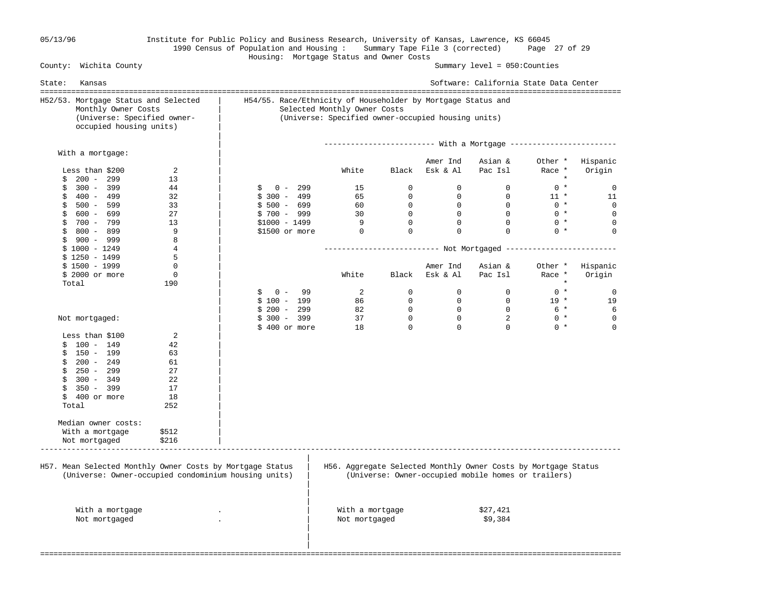## 05/13/96 Institute for Public Policy and Business Research, University of Kansas, Lawrence, KS 66045 1990 Census of Population and Housing : Summary Tape File 3 (corrected) Page 27 of 29 Housing: Mortgage Status and Owner Costs

Summary level =  $050$ : Counties

| State:<br>Kansas                                                                                                      |                                                              |                                                                                    |                |                | Software: California State Data Center              |         |             |
|-----------------------------------------------------------------------------------------------------------------------|--------------------------------------------------------------|------------------------------------------------------------------------------------|----------------|----------------|-----------------------------------------------------|---------|-------------|
| H52/53. Mortgage Status and Selected<br>Monthly Owner Costs<br>(Universe: Specified owner-<br>occupied housing units) | H54/55. Race/Ethnicity of Householder by Mortgage Status and | Selected Monthly Owner Costs<br>(Universe: Specified owner-occupied housing units) |                |                |                                                     |         |             |
|                                                                                                                       |                                                              |                                                                                    |                |                |                                                     |         |             |
| With a mortgage:                                                                                                      |                                                              |                                                                                    |                | Amer Ind       | Asian &                                             | Other * | Hispanic    |
| Less than \$200<br>2                                                                                                  |                                                              | White                                                                              | Black          | Esk & Al       | Pac Isl                                             | Race *  | Origin      |
| $200 - 299$<br>13<br>\$                                                                                               |                                                              |                                                                                    |                |                |                                                     | $\star$ |             |
| $300 - 399$<br>44<br>\$                                                                                               | $0 - 299$<br>\$                                              | 15                                                                                 | $\overline{0}$ | $\overline{0}$ | $\overline{0}$                                      | $0 *$   | 0           |
| \$<br>400 - 499<br>32                                                                                                 | $$300 - 499$                                                 | 65                                                                                 | $\Omega$       | $\Omega$       | $\Omega$                                            | $11$ *  | 11          |
| $500 - 599$<br>33<br>\$                                                                                               | $$500 - 699$                                                 | 60                                                                                 | $\overline{0}$ | $\overline{0}$ | $\overline{0}$                                      | $0 *$   | $\mathbf 0$ |
| $$600 - 699$<br>27                                                                                                    | $$700 - 999$                                                 | 30                                                                                 | $\overline{0}$ | $\overline{0}$ | $\overline{0}$                                      | $0 *$   | $\Omega$    |
| 700 - 799<br>13<br>\$                                                                                                 | $$1000 - 1499$                                               | 9                                                                                  | $\overline{0}$ | $\overline{0}$ | $\mathbf{0}$                                        | $0 *$   | 0           |
| \$<br>800 - 899<br>9                                                                                                  | \$1500 or more                                               | $\overline{0}$                                                                     | $\mathbf 0$    | $\mathbf 0$    | $\Omega$                                            | $0 *$   | $\mathbf 0$ |
| 8<br>$$900 - 999$                                                                                                     |                                                              |                                                                                    |                |                |                                                     |         |             |
| $\overline{4}$<br>$$1000 - 1249$                                                                                      |                                                              |                                                                                    |                |                |                                                     |         |             |
| 5<br>$$1250 - 1499$                                                                                                   |                                                              |                                                                                    |                |                |                                                     |         |             |
| $\mathbf 0$<br>$$1500 - 1999$                                                                                         |                                                              |                                                                                    |                | Amer Ind       | Asian &                                             | Other * | Hispanic    |
| $\mathbf 0$<br>\$ 2000 or more                                                                                        |                                                              | White                                                                              | Black          | Esk & Al       | Pac Isl                                             | Race *  | Origin      |
| 190<br>Total                                                                                                          |                                                              |                                                                                    |                |                |                                                     | $\star$ |             |
|                                                                                                                       | \$<br>$0 -$<br>99                                            | 2                                                                                  | $\Omega$       | $\Omega$       | $\Omega$                                            | $0 *$   | 0           |
|                                                                                                                       | $$100 - 199$                                                 | 86 —                                                                               | $\overline{0}$ | $\mathbf{0}$   | $\overline{0}$                                      | $19 *$  | 19          |
|                                                                                                                       | $$200 - 299$                                                 | 82                                                                                 | $\overline{0}$ | $\mathbf{0}$   | $\bigcirc$                                          | 6 *     | 6           |
| Not mortgaged:                                                                                                        | $$300 - 399$                                                 | 37                                                                                 | $\overline{0}$ | $\overline{0}$ | $\overline{\phantom{a}}$                            | $0 *$   | 0           |
|                                                                                                                       | \$400 or more                                                | 18                                                                                 | $\Omega$       | $\Omega$       | $\Omega$                                            | $0 *$   | $\Omega$    |
| Less than \$100<br>2                                                                                                  |                                                              |                                                                                    |                |                |                                                     |         |             |
| $$100 - 149$<br>42                                                                                                    |                                                              |                                                                                    |                |                |                                                     |         |             |
| $$150 - 199$<br>63                                                                                                    |                                                              |                                                                                    |                |                |                                                     |         |             |
| $$200 - 249$<br>61                                                                                                    |                                                              |                                                                                    |                |                |                                                     |         |             |
| 250 - 299<br>27<br>\$                                                                                                 |                                                              |                                                                                    |                |                |                                                     |         |             |
| \$<br>$300 - 349$<br>22                                                                                               |                                                              |                                                                                    |                |                |                                                     |         |             |
| \$<br>350 - 399<br>17                                                                                                 |                                                              |                                                                                    |                |                |                                                     |         |             |
| $$400$ or more<br>18                                                                                                  |                                                              |                                                                                    |                |                |                                                     |         |             |
| Total<br>252                                                                                                          |                                                              |                                                                                    |                |                |                                                     |         |             |
|                                                                                                                       |                                                              |                                                                                    |                |                |                                                     |         |             |
| Median owner costs:                                                                                                   |                                                              |                                                                                    |                |                |                                                     |         |             |
| With a mortgage<br>\$512                                                                                              |                                                              |                                                                                    |                |                |                                                     |         |             |
| \$216<br>Not mortgaged                                                                                                |                                                              |                                                                                    |                |                |                                                     |         |             |
|                                                                                                                       |                                                              |                                                                                    |                |                |                                                     |         |             |
| H57. Mean Selected Monthly Owner Costs by Mortgage Status<br>(Universe: Owner-occupied condominium housing units)     |                                                              | H56. Aggregate Selected Monthly Owner Costs by Mortgage Status                     |                |                | (Universe: Owner-occupied mobile homes or trailers) |         |             |
|                                                                                                                       |                                                              |                                                                                    |                |                |                                                     |         |             |
|                                                                                                                       |                                                              |                                                                                    |                |                |                                                     |         |             |
| With a mortgage                                                                                                       |                                                              | With a mortgage                                                                    |                |                | \$27,421                                            |         |             |
| Not mortgaged                                                                                                         |                                                              | Not mortgaged                                                                      |                |                | \$9,384                                             |         |             |
|                                                                                                                       |                                                              |                                                                                    |                |                |                                                     |         |             |
|                                                                                                                       |                                                              |                                                                                    |                |                |                                                     |         |             |
|                                                                                                                       |                                                              |                                                                                    |                |                |                                                     |         |             |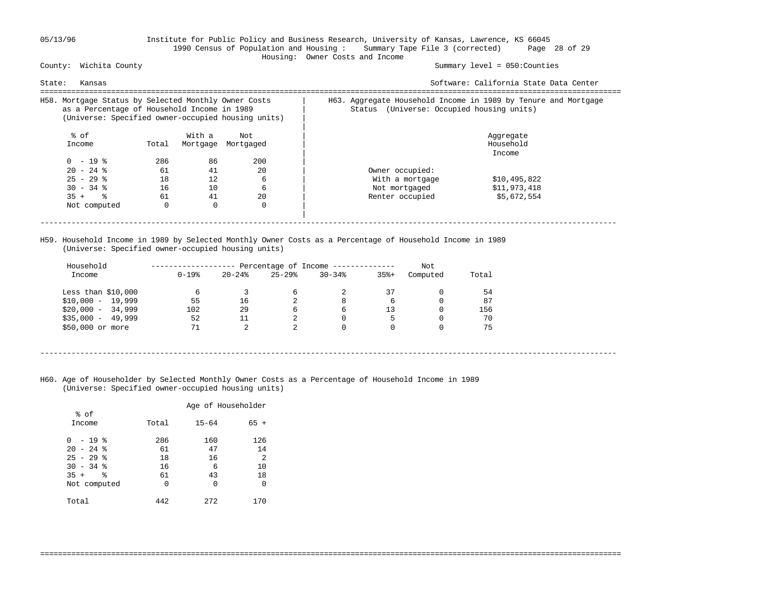### 05/13/96 Institute for Public Policy and Business Research, University of Kansas, Lawrence, KS 66045 1990 Census of Population and Housing : Summary Tape File 3 (corrected) Page 28 of 29 Housing: Owner Costs and Income

Summary level =  $050$ : Counties

| Kansas<br>State:                                                                                                                                          |       |          |           | Software: California State Data Center                                                                         |  |
|-----------------------------------------------------------------------------------------------------------------------------------------------------------|-------|----------|-----------|----------------------------------------------------------------------------------------------------------------|--|
| H58. Mortgage Status by Selected Monthly Owner Costs<br>as a Percentage of Household Income in 1989<br>(Universe: Specified owner-occupied housing units) |       |          |           | H63. Aggregate Household Income in 1989 by Tenure and Mortgage<br>(Universe: Occupied housing units)<br>Status |  |
| % of                                                                                                                                                      |       | With a   | Not       | Aggregate                                                                                                      |  |
| Income                                                                                                                                                    | Total | Mortgage | Mortgaged | Household                                                                                                      |  |
|                                                                                                                                                           |       |          |           | Income                                                                                                         |  |
| $0 - 19$ $\approx$                                                                                                                                        | 286   | 86       | 200       |                                                                                                                |  |
| $20 - 24$ %                                                                                                                                               | 61    | 41       | 20        | Owner occupied:                                                                                                |  |
| $25 - 29$ %                                                                                                                                               | 18    | 12       | 6         | \$10,495,822<br>With a mortgage                                                                                |  |
| $30 - 34$ %                                                                                                                                               | 16    | 10       | 6         | \$11,973,418<br>Not mortgaged                                                                                  |  |
| $35 +$ $\frac{6}{3}$                                                                                                                                      | 61    | 41       | 20        | \$5,672,554<br>Renter occupied                                                                                 |  |
| Not computed                                                                                                                                              | 0     | $\Omega$ | $\Omega$  |                                                                                                                |  |
|                                                                                                                                                           |       |          |           |                                                                                                                |  |
|                                                                                                                                                           |       |          |           |                                                                                                                |  |

 H59. Household Income in 1989 by Selected Monthly Owner Costs as a Percentage of Household Income in 1989 (Universe: Specified owner-occupied housing units)

| Household           |            |               |           | Percentage of Income -------------- |         | Not      |       |
|---------------------|------------|---------------|-----------|-------------------------------------|---------|----------|-------|
| Income              | $0 - 19$ % | $20 - 24$ $%$ | $25 - 29$ | $30 - 34$                           | $35% +$ | Computed | Total |
| Less than $$10,000$ | 6          |               | 6         | 2                                   | 37      |          | 54    |
| $$10,000 - 19,999$  | 55         | 16            |           | 8                                   | 6       |          | 87    |
| $$20,000 - 34,999$  | 102        | 29            | 6         | 6                                   | 13      |          | 156   |
| $$35,000 - 49,999$  | 52         | 11            | 2         | $\Omega$                            | 5       |          | 70    |
| \$50,000 or more    | 71         | 2             | 2         | $\Omega$                            |         |          | 75    |

- ----------------------------------------------------------------------------------------------------------------------------------
- H60. Age of Householder by Selected Monthly Owner Costs as a Percentage of Household Income in 1989 (Universe: Specified owner-occupied housing units)

|                             |           | Age of Householder |           |
|-----------------------------|-----------|--------------------|-----------|
| % of<br>Income              | Total     | $15 - 64$          | $65 +$    |
| $-19$ %<br>0<br>$20 - 24$ % | 286<br>61 | 160<br>47          | 126<br>14 |
| $25 - 29$ %                 | 18        | 16                 | 2         |
| $30 - 34$ %<br>°<br>$35 +$  | 16<br>61  | 6<br>43            | 10<br>18  |
| Not computed                | 0         | U                  | 0         |
| Total                       | 442       | 272                | 170       |